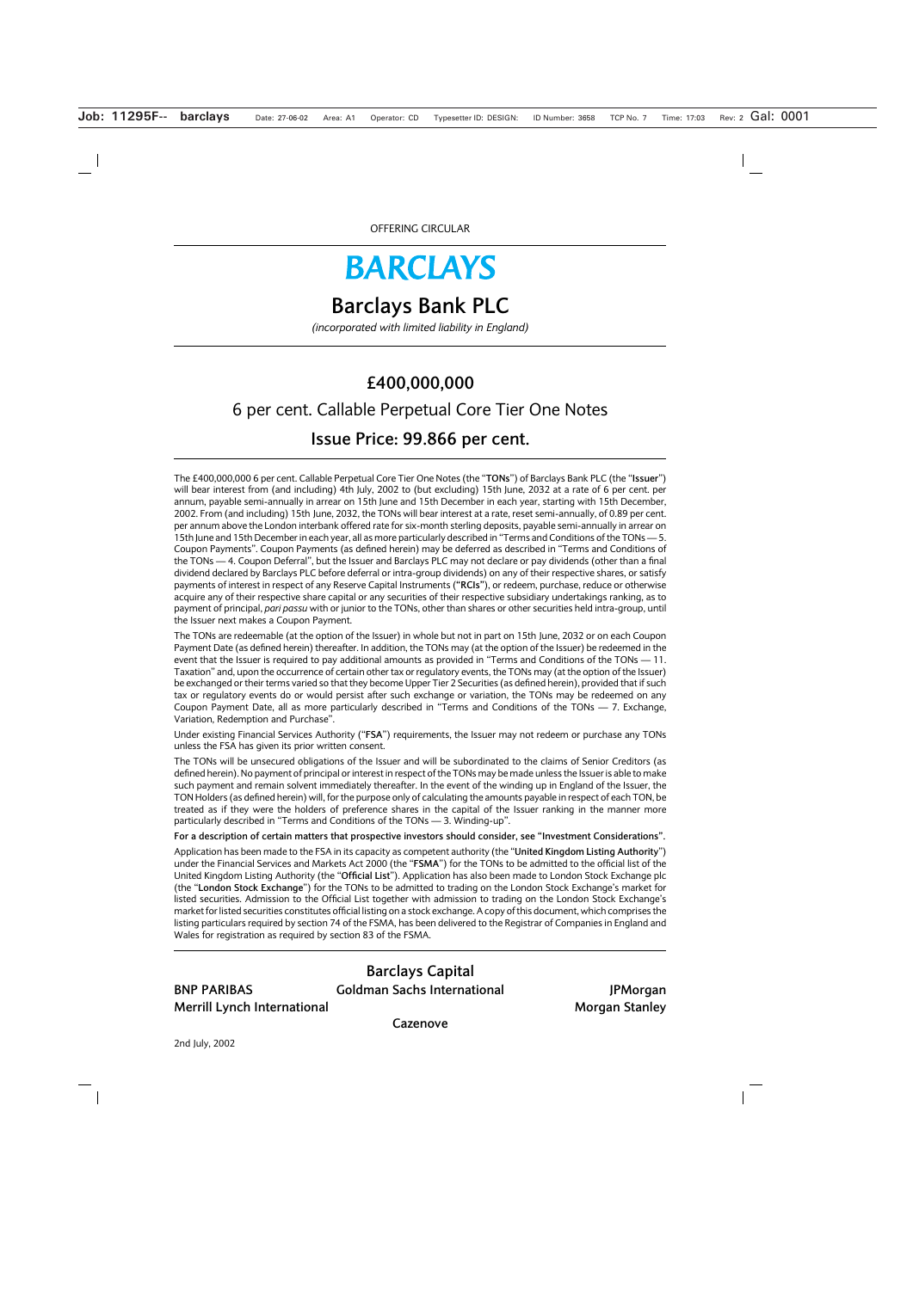# **BARCLAYS**

# **Barclays Bank PLC**

*(incorporated with limited liability in England)*

# **£400,000,000** 6 per cent. Callable Perpetual Core Tier One Notes **Issue Price: 99.866 per cent.**

The £400,000,000 6 per cent. Callable Perpetual Core Tier One Notes (the "**TONs**") of Barclays Bank PLC (the "**Issuer**") will bear interest from (and including) 4th July, 2002 to (but excluding) 15th June, 2032 at a rate of 6 per cent. per annum, payable semi-annually in arrear on 15th June and 15th December in each year, starting with 15th December, 2002. From (and including) 15th June, 2032, the TONs will bear interest at a rate, reset semi-annually, of 0.89 per cent. per annum above the London interbank offered rate for six-month sterling deposits, payable semi-annually in arrear on 15th June and 15th December in each year, all as more particularly described in "Terms and Conditions of the TONs — 5. Coupon Payments". Coupon Payments (as defined herein) may be deferred as described in "Terms and Conditions of the TONs — 4. Coupon Deferral", but the Issuer and Barclays PLC may not declare or pay dividends (other than a final dividend declared by Barclays PLC before deferral or intra-group dividends) on any of their respective shares, or satisfy payments of interest in respect of any Reserve Capital Instruments (**"RCIs"**), or redeem, purchase, reduce or otherwise acquire any of their respective share capital or any securities of their respective subsidiary undertakings ranking, as to payment of principal, *pari passu* with or junior to the TONs, other than shares or other securities held intra-group, until the Issuer next makes a Coupon Payment.

The TONs are redeemable (at the option of the Issuer) in whole but not in part on 15th June, 2032 or on each Coupon Payment Date (as defined herein) thereafter. In addition, the TONs may (at the option of the Issuer) be redeemed in the event that the Issuer is required to pay additional amounts as provided in "Terms and Conditions of the TONs — 11. Taxation" and, upon the occurrence of certain other tax or regulatory events, the TONs may (at the option of the Issuer) be exchanged or their terms varied so that they become Upper Tier 2 Securities (as defined herein), provided that if such tax or regulatory events do or would persist after such exchange or variation, the TONs may be redeemed on any Coupon Payment Date, all as more particularly described in "Terms and Conditions of the TONs — 7. Exchange, Variation, Redemption and Purchase".

Under existing Financial Services Authority ("**FSA**") requirements, the Issuer may not redeem or purchase any TONs unless the FSA has given its prior written consent.

The TONs will be unsecured obligations of the Issuer and will be subordinated to the claims of Senior Creditors (as defined herein). No payment of principal or interest in respect of the TONs may be made unless the Issuer is able to make such payment and remain solvent immediately thereafter. In the event of the winding up in England of the Issuer, the TON Holders (as defined herein) will, for the purpose only of calculating the amounts payable in respect of each TON, be treated as if they were the holders of preference shares in the capital of the Issuer ranking in the manner more particularly described in "Terms and Conditions of the TONs — 3. Winding-up".

**For a description of certain matters that prospective investors should consider, see "Investment Considerations".**

Application has been made to the FSA in its capacity as competent authority (the "**United Kingdom Listing Authority**") under the Financial Services and Markets Act 2000 (the "**FSMA**") for the TONs to be admitted to the official list of the United Kingdom Listing Authority (the "**Official List**"). Application has also been made to London Stock Exchange plc (the "**London Stock Exchange**") for the TONs to be admitted to trading on the London Stock Exchange's market for listed securities. Admission to the Official List together with admission to trading on the London Stock Exchange's market for listed securities constitutes official listing on a stock exchange. A copy of this document, which comprises the listing particulars required by section 74 of the FSMA, has been delivered to the Registrar of Companies in England and Wales for registration as required by section 83 of the FSMA.

**Merrill Lynch International Morgan Stanley** 

**Barclays Capital BNP PARIBAS** Goldman Sachs International **JPMorgan** 

**Cazenove**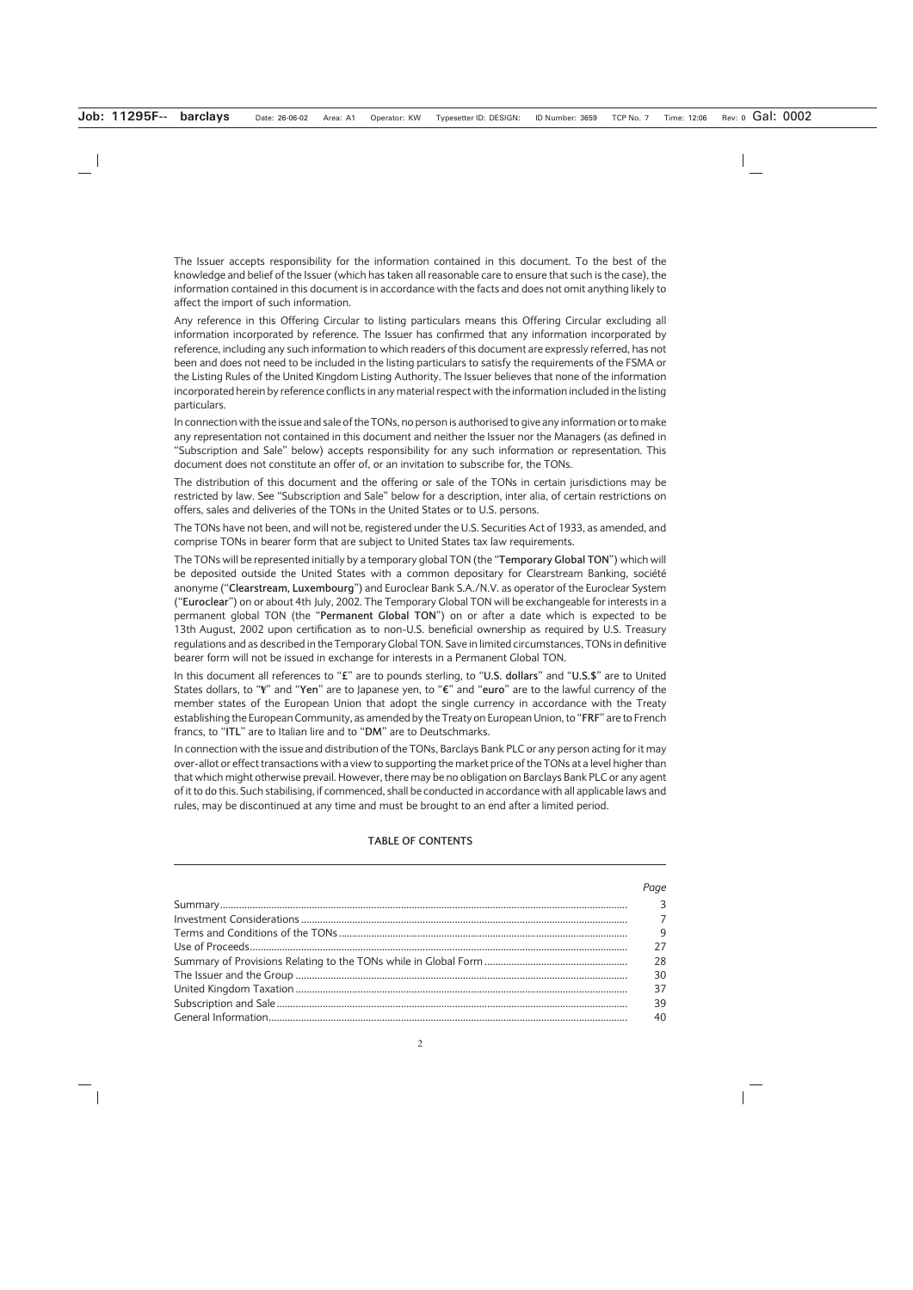The Issuer accepts responsibility for the information contained in this document. To the best of the knowledge and belief of the Issuer (which has taken all reasonable care to ensure that such is the case), the information contained in this document is in accordance with the facts and does not omit anything likely to affect the import of such information.

Any reference in this Offering Circular to listing particulars means this Offering Circular excluding all information incorporated by reference. The Issuer has confirmed that any information incorporated by reference, including any such information to which readers of this document are expressly referred, has not been and does not need to be included in the listing particulars to satisfy the requirements of the FSMA or the Listing Rules of the United Kingdom Listing Authority. The Issuer believes that none of the information incorporated herein by reference conflicts in any material respect with the information included in the listing particulars.

In connection with the issue and sale of the TONs, no person is authorised to give any information or to make any representation not contained in this document and neither the Issuer nor the Managers (as defined in "Subscription and Sale" below) accepts responsibility for any such information or representation. This document does not constitute an offer of, or an invitation to subscribe for, the TONs.

The distribution of this document and the offering or sale of the TONs in certain jurisdictions may be restricted by law. See "Subscription and Sale" below for a description, inter alia, of certain restrictions on offers, sales and deliveries of the TONs in the United States or to U.S. persons.

The TONs have not been, and will not be, registered under the U.S. Securities Act of 1933, as amended, and comprise TONs in bearer form that are subject to United States tax law requirements.

The TONs will be represented initially by a temporary global TON (the "**Temporary Global TON**") which will be deposited outside the United States with a common depositary for Clearstream Banking, société anonyme ("**Clearstream, Luxembourg**") and Euroclear Bank S.A./N.V. as operator of the Euroclear System ("**Euroclear**") on or about 4th July, 2002. The Temporary Global TON will be exchangeable for interests in a permanent global TON (the "**Permanent Global TON**") on or after a date which is expected to be 13th August, 2002 upon certification as to non-U.S. beneficial ownership as required by U.S. Treasury regulations and as described in the Temporary Global TON. Save in limited circumstances, TONs in definitive bearer form will not be issued in exchange for interests in a Permanent Global TON.

In this document all references to "**£**" are to pounds sterling, to "**U.S. dollars**" and "**U.S.\$**" are to United States dollars, to "**¥**" and "**Yen**" are to Japanese yen, to "**¤**" and "**euro**" are to the lawful currency of the member states of the European Union that adopt the single currency in accordance with the Treaty establishing the European Community, as amended by the Treaty on European Union, to "**FRF**" are to French francs, to "**ITL**" are to Italian lire and to "**DM**" are to Deutschmarks.

In connection with the issue and distribution of the TONs, Barclays Bank PLC or any person acting for it may over-allot or effect transactions with a view to supporting the market price of the TONs at a level higher than that which might otherwise prevail. However, there may be no obligation on Barclays Bank PLC or any agent of it to do this. Such stabilising, if commenced, shall be conducted in accordance with all applicable laws and rules, may be discontinued at any time and must be brought to an end after a limited period.

# **TABLE OF CONTENTS**

| Page |
|------|
|      |
|      |
| 9    |
| 27   |
| -28  |
| 30   |
| 37   |
| 39   |
| 40   |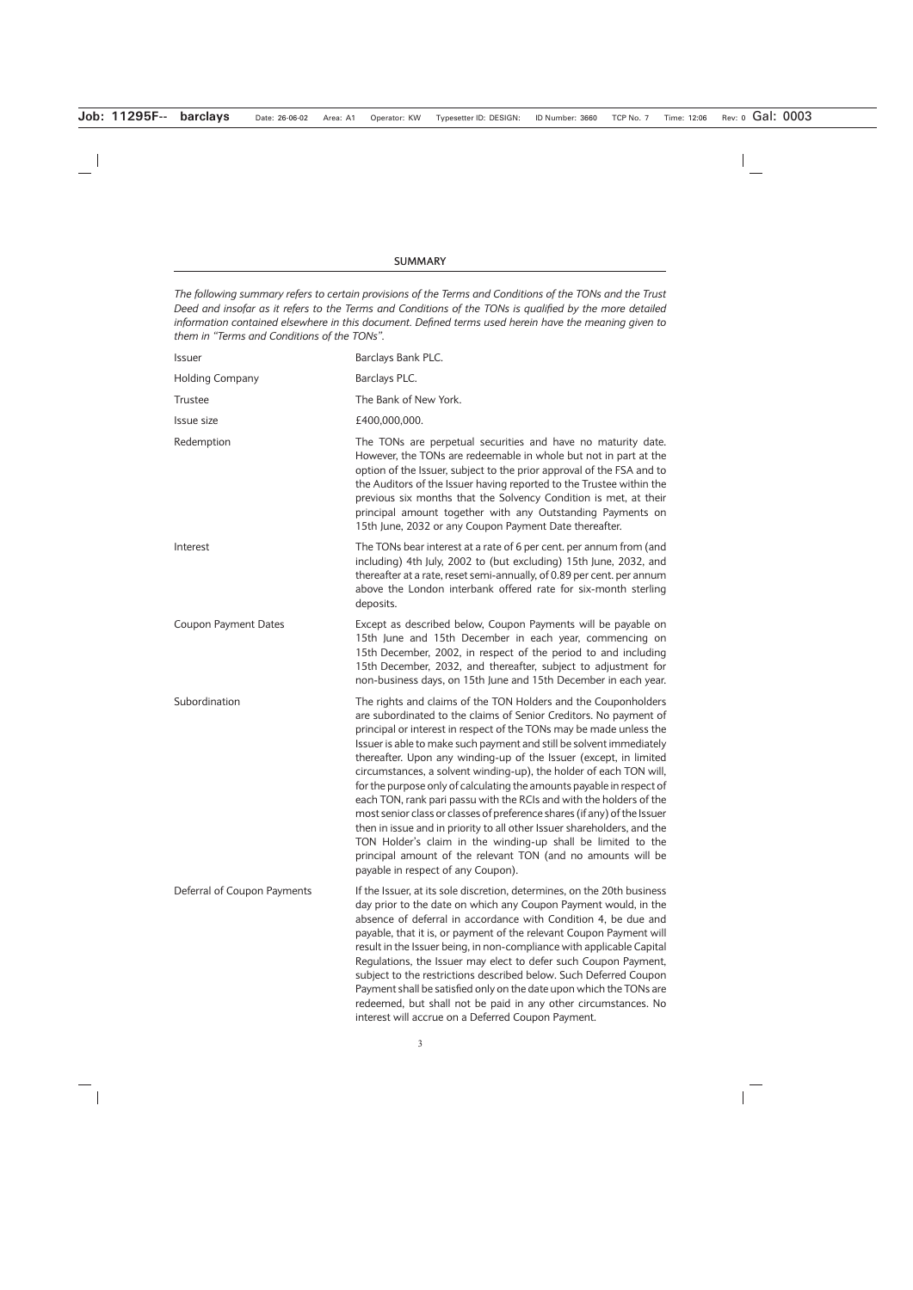#### **SUMMARY**

*The following summary refers to certain provisions of the Terms and Conditions of the TONs and the Trust Deed and insofar as it refers to the Terms and Conditions of the TONs is qualified by the more detailed information contained elsewhere in this document. Defined terms used herein have the meaning given to them in "Terms and Conditions of the TONs".*

| Issuer                      | Barclays Bank PLC.                                                                                                                                                                                                                                                                                                                                                                                                                                                                                                                                                                                                                                                                                                                                                                                                                                                                                         |
|-----------------------------|------------------------------------------------------------------------------------------------------------------------------------------------------------------------------------------------------------------------------------------------------------------------------------------------------------------------------------------------------------------------------------------------------------------------------------------------------------------------------------------------------------------------------------------------------------------------------------------------------------------------------------------------------------------------------------------------------------------------------------------------------------------------------------------------------------------------------------------------------------------------------------------------------------|
| <b>Holding Company</b>      | Barclays PLC.                                                                                                                                                                                                                                                                                                                                                                                                                                                                                                                                                                                                                                                                                                                                                                                                                                                                                              |
| Trustee                     | The Bank of New York.                                                                                                                                                                                                                                                                                                                                                                                                                                                                                                                                                                                                                                                                                                                                                                                                                                                                                      |
| Issue size                  | £400,000,000.                                                                                                                                                                                                                                                                                                                                                                                                                                                                                                                                                                                                                                                                                                                                                                                                                                                                                              |
| Redemption                  | The TONs are perpetual securities and have no maturity date.<br>However, the TONs are redeemable in whole but not in part at the<br>option of the Issuer, subject to the prior approval of the FSA and to<br>the Auditors of the Issuer having reported to the Trustee within the<br>previous six months that the Solvency Condition is met, at their<br>principal amount together with any Outstanding Payments on<br>15th June, 2032 or any Coupon Payment Date thereafter.                                                                                                                                                                                                                                                                                                                                                                                                                              |
| Interest                    | The TONs bear interest at a rate of 6 per cent. per annum from (and<br>including) 4th July, 2002 to (but excluding) 15th June, 2032, and<br>thereafter at a rate, reset semi-annually, of 0.89 per cent. per annum<br>above the London interbank offered rate for six-month sterling<br>deposits.                                                                                                                                                                                                                                                                                                                                                                                                                                                                                                                                                                                                          |
| <b>Coupon Payment Dates</b> | Except as described below, Coupon Payments will be payable on<br>15th June and 15th December in each year, commencing on<br>15th December, 2002, in respect of the period to and including<br>15th December, 2032, and thereafter, subject to adjustment for<br>non-business days, on 15th June and 15th December in each year.                                                                                                                                                                                                                                                                                                                                                                                                                                                                                                                                                                            |
| Subordination               | The rights and claims of the TON Holders and the Couponholders<br>are subordinated to the claims of Senior Creditors. No payment of<br>principal or interest in respect of the TONs may be made unless the<br>Issuer is able to make such payment and still be solvent immediately<br>thereafter. Upon any winding-up of the Issuer (except, in limited<br>circumstances, a solvent winding-up), the holder of each TON will,<br>for the purpose only of calculating the amounts payable in respect of<br>each TON, rank pari passu with the RCIs and with the holders of the<br>most senior class or classes of preference shares (if any) of the Issuer<br>then in issue and in priority to all other Issuer shareholders, and the<br>TON Holder's claim in the winding-up shall be limited to the<br>principal amount of the relevant TON (and no amounts will be<br>payable in respect of any Coupon). |
| Deferral of Coupon Payments | If the Issuer, at its sole discretion, determines, on the 20th business<br>day prior to the date on which any Coupon Payment would, in the<br>absence of deferral in accordance with Condition 4, be due and<br>payable, that it is, or payment of the relevant Coupon Payment will<br>result in the Issuer being, in non-compliance with applicable Capital<br>Regulations, the Issuer may elect to defer such Coupon Payment,<br>subject to the restrictions described below. Such Deferred Coupon<br>Payment shall be satisfied only on the date upon which the TONs are<br>redeemed, but shall not be paid in any other circumstances. No<br>interest will accrue on a Deferred Coupon Payment.                                                                                                                                                                                                        |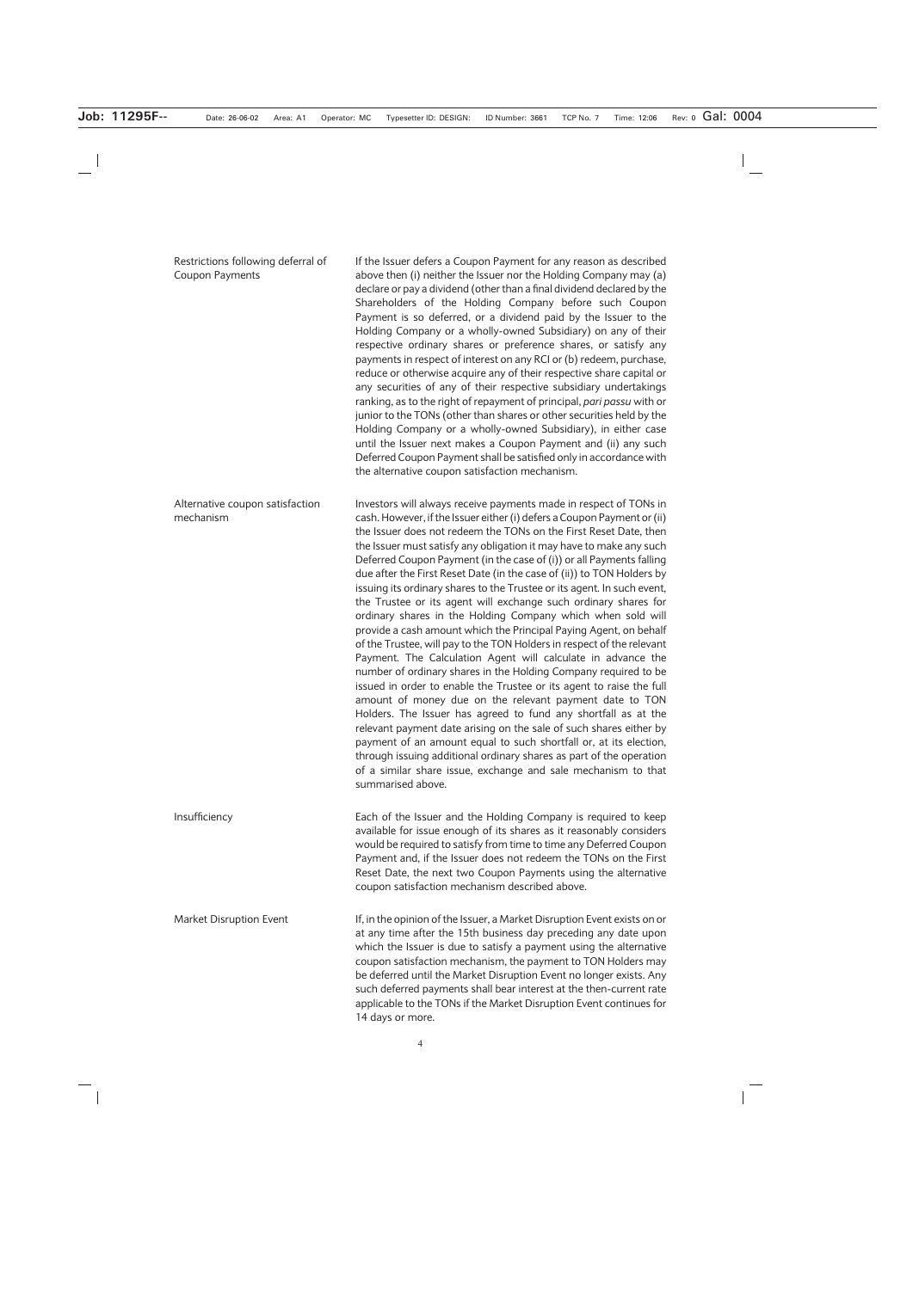| Restrictions following deferral of<br>Coupon Payments | If the Issuer defers a Coupon Payment for any reason as described<br>above then (i) neither the Issuer nor the Holding Company may (a)<br>declare or pay a dividend (other than a final dividend declared by the<br>Shareholders of the Holding Company before such Coupon<br>Payment is so deferred, or a dividend paid by the Issuer to the<br>Holding Company or a wholly-owned Subsidiary) on any of their<br>respective ordinary shares or preference shares, or satisfy any<br>payments in respect of interest on any RCI or (b) redeem, purchase,<br>reduce or otherwise acquire any of their respective share capital or<br>any securities of any of their respective subsidiary undertakings<br>ranking, as to the right of repayment of principal, pari passu with or<br>junior to the TONs (other than shares or other securities held by the<br>Holding Company or a wholly-owned Subsidiary), in either case<br>until the Issuer next makes a Coupon Payment and (ii) any such<br>Deferred Coupon Payment shall be satisfied only in accordance with<br>the alternative coupon satisfaction mechanism.                                                                                                                                                                                                                                                                                                                                    |
|-------------------------------------------------------|--------------------------------------------------------------------------------------------------------------------------------------------------------------------------------------------------------------------------------------------------------------------------------------------------------------------------------------------------------------------------------------------------------------------------------------------------------------------------------------------------------------------------------------------------------------------------------------------------------------------------------------------------------------------------------------------------------------------------------------------------------------------------------------------------------------------------------------------------------------------------------------------------------------------------------------------------------------------------------------------------------------------------------------------------------------------------------------------------------------------------------------------------------------------------------------------------------------------------------------------------------------------------------------------------------------------------------------------------------------------------------------------------------------------------------------------------------|
| Alternative coupon satisfaction<br>mechanism          | Investors will always receive payments made in respect of TONs in<br>cash. However, if the Issuer either (i) defers a Coupon Payment or (ii)<br>the Issuer does not redeem the TONs on the First Reset Date, then<br>the Issuer must satisfy any obligation it may have to make any such<br>Deferred Coupon Payment (in the case of (i)) or all Payments falling<br>due after the First Reset Date (in the case of (ii)) to TON Holders by<br>issuing its ordinary shares to the Trustee or its agent. In such event,<br>the Trustee or its agent will exchange such ordinary shares for<br>ordinary shares in the Holding Company which when sold will<br>provide a cash amount which the Principal Paying Agent, on behalf<br>of the Trustee, will pay to the TON Holders in respect of the relevant<br>Payment. The Calculation Agent will calculate in advance the<br>number of ordinary shares in the Holding Company required to be<br>issued in order to enable the Trustee or its agent to raise the full<br>amount of money due on the relevant payment date to TON<br>Holders. The Issuer has agreed to fund any shortfall as at the<br>relevant payment date arising on the sale of such shares either by<br>payment of an amount equal to such shortfall or, at its election,<br>through issuing additional ordinary shares as part of the operation<br>of a similar share issue, exchange and sale mechanism to that<br>summarised above. |
| Insufficiency                                         | Each of the Issuer and the Holding Company is required to keep<br>available for issue enough of its shares as it reasonably considers<br>would be required to satisfy from time to time any Deferred Coupon<br>Payment and, if the Issuer does not redeem the TONs on the First<br>Reset Date, the next two Coupon Payments using the alternative<br>coupon satisfaction mechanism described above.                                                                                                                                                                                                                                                                                                                                                                                                                                                                                                                                                                                                                                                                                                                                                                                                                                                                                                                                                                                                                                                    |
| Market Disruption Event                               | If, in the opinion of the Issuer, a Market Disruption Event exists on or<br>at any time after the 15th business day preceding any date upon<br>which the Issuer is due to satisfy a payment using the alternative<br>coupon satisfaction mechanism, the payment to TON Holders may<br>be deferred until the Market Disruption Event no longer exists. Any<br>such deferred payments shall bear interest at the then-current rate<br>applicable to the TONs if the Market Disruption Event continues for<br>14 days or more.                                                                                                                                                                                                                                                                                                                                                                                                                                                                                                                                                                                                                                                                                                                                                                                                                                                                                                                            |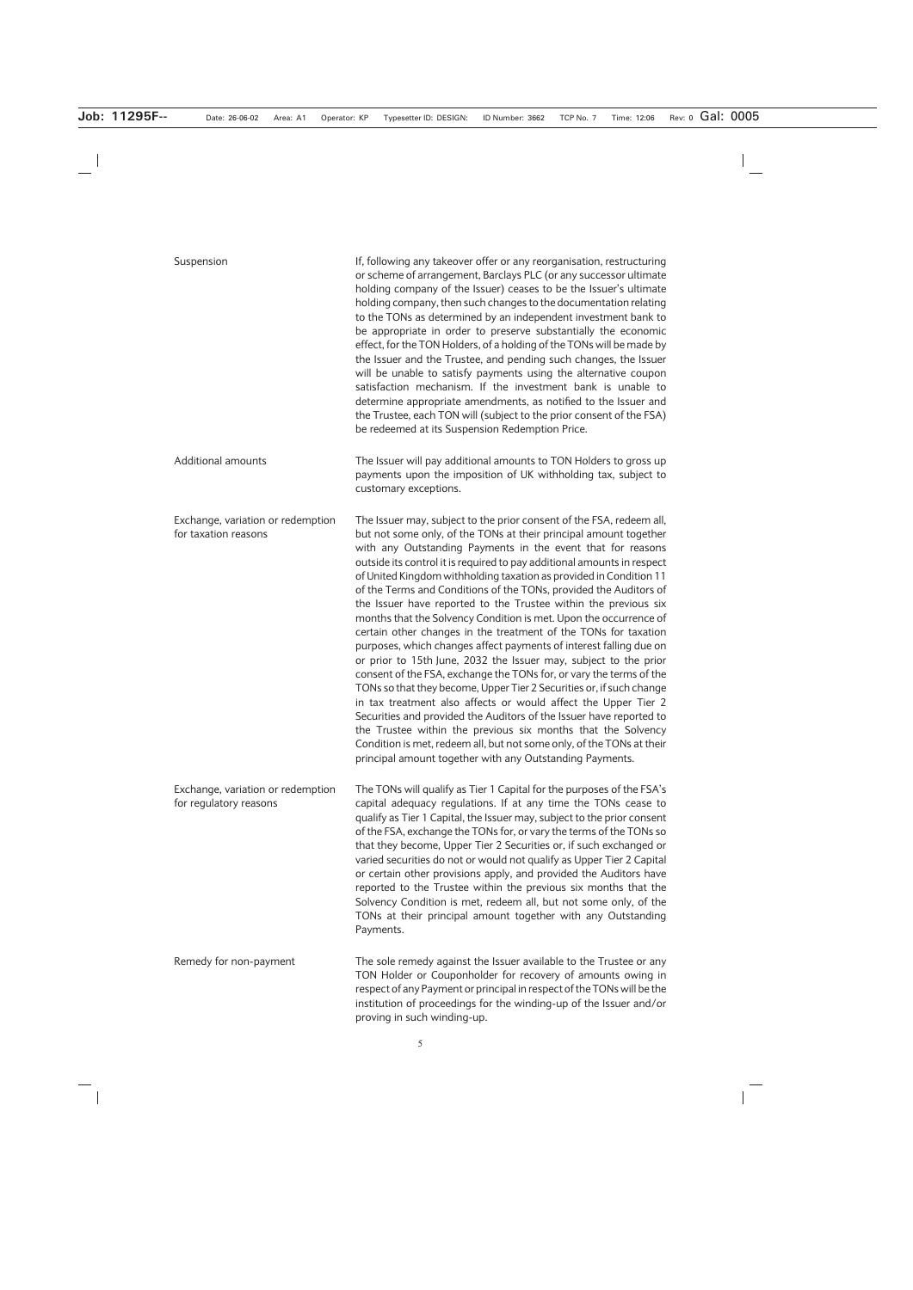| Suspension                                                  | If, following any takeover offer or any reorganisation, restructuring<br>or scheme of arrangement, Barclays PLC (or any successor ultimate<br>holding company of the Issuer) ceases to be the Issuer's ultimate<br>holding company, then such changes to the documentation relating<br>to the TONs as determined by an independent investment bank to<br>be appropriate in order to preserve substantially the economic<br>effect, for the TON Holders, of a holding of the TONs will be made by<br>the Issuer and the Trustee, and pending such changes, the Issuer<br>will be unable to satisfy payments using the alternative coupon<br>satisfaction mechanism. If the investment bank is unable to<br>determine appropriate amendments, as notified to the Issuer and<br>the Trustee, each TON will (subject to the prior consent of the FSA)<br>be redeemed at its Suspension Redemption Price.                                                                                                                                                                                                                                                                                                                                                                             |
|-------------------------------------------------------------|----------------------------------------------------------------------------------------------------------------------------------------------------------------------------------------------------------------------------------------------------------------------------------------------------------------------------------------------------------------------------------------------------------------------------------------------------------------------------------------------------------------------------------------------------------------------------------------------------------------------------------------------------------------------------------------------------------------------------------------------------------------------------------------------------------------------------------------------------------------------------------------------------------------------------------------------------------------------------------------------------------------------------------------------------------------------------------------------------------------------------------------------------------------------------------------------------------------------------------------------------------------------------------|
| <b>Additional amounts</b>                                   | The Issuer will pay additional amounts to TON Holders to gross up<br>payments upon the imposition of UK withholding tax, subject to<br>customary exceptions.                                                                                                                                                                                                                                                                                                                                                                                                                                                                                                                                                                                                                                                                                                                                                                                                                                                                                                                                                                                                                                                                                                                     |
| Exchange, variation or redemption<br>for taxation reasons   | The Issuer may, subject to the prior consent of the FSA, redeem all,<br>but not some only, of the TONs at their principal amount together<br>with any Outstanding Payments in the event that for reasons<br>outside its control it is required to pay additional amounts in respect<br>of United Kingdom withholding taxation as provided in Condition 11<br>of the Terms and Conditions of the TONs, provided the Auditors of<br>the Issuer have reported to the Trustee within the previous six<br>months that the Solvency Condition is met. Upon the occurrence of<br>certain other changes in the treatment of the TONs for taxation<br>purposes, which changes affect payments of interest falling due on<br>or prior to 15th June, 2032 the Issuer may, subject to the prior<br>consent of the FSA, exchange the TONs for, or vary the terms of the<br>TONs so that they become, Upper Tier 2 Securities or, if such change<br>in tax treatment also affects or would affect the Upper Tier 2<br>Securities and provided the Auditors of the Issuer have reported to<br>the Trustee within the previous six months that the Solvency<br>Condition is met, redeem all, but not some only, of the TONs at their<br>principal amount together with any Outstanding Payments. |
| Exchange, variation or redemption<br>for regulatory reasons | The TONs will qualify as Tier 1 Capital for the purposes of the FSA's<br>capital adequacy regulations. If at any time the TONs cease to<br>qualify as Tier 1 Capital, the Issuer may, subject to the prior consent<br>of the FSA, exchange the TONs for, or vary the terms of the TONs so<br>that they become, Upper Tier 2 Securities or, if such exchanged or<br>varied securities do not or would not qualify as Upper Tier 2 Capital<br>or certain other provisions apply, and provided the Auditors have<br>reported to the Trustee within the previous six months that the<br>Solvency Condition is met, redeem all, but not some only, of the<br>TONs at their principal amount together with any Outstanding<br>Payments.                                                                                                                                                                                                                                                                                                                                                                                                                                                                                                                                                |
| Remedy for non-payment                                      | The sole remedy against the Issuer available to the Trustee or any<br>TON Holder or Couponholder for recovery of amounts owing in<br>respect of any Payment or principal in respect of the TONs will be the<br>institution of proceedings for the winding-up of the Issuer and/or<br>proving in such winding-up.                                                                                                                                                                                                                                                                                                                                                                                                                                                                                                                                                                                                                                                                                                                                                                                                                                                                                                                                                                 |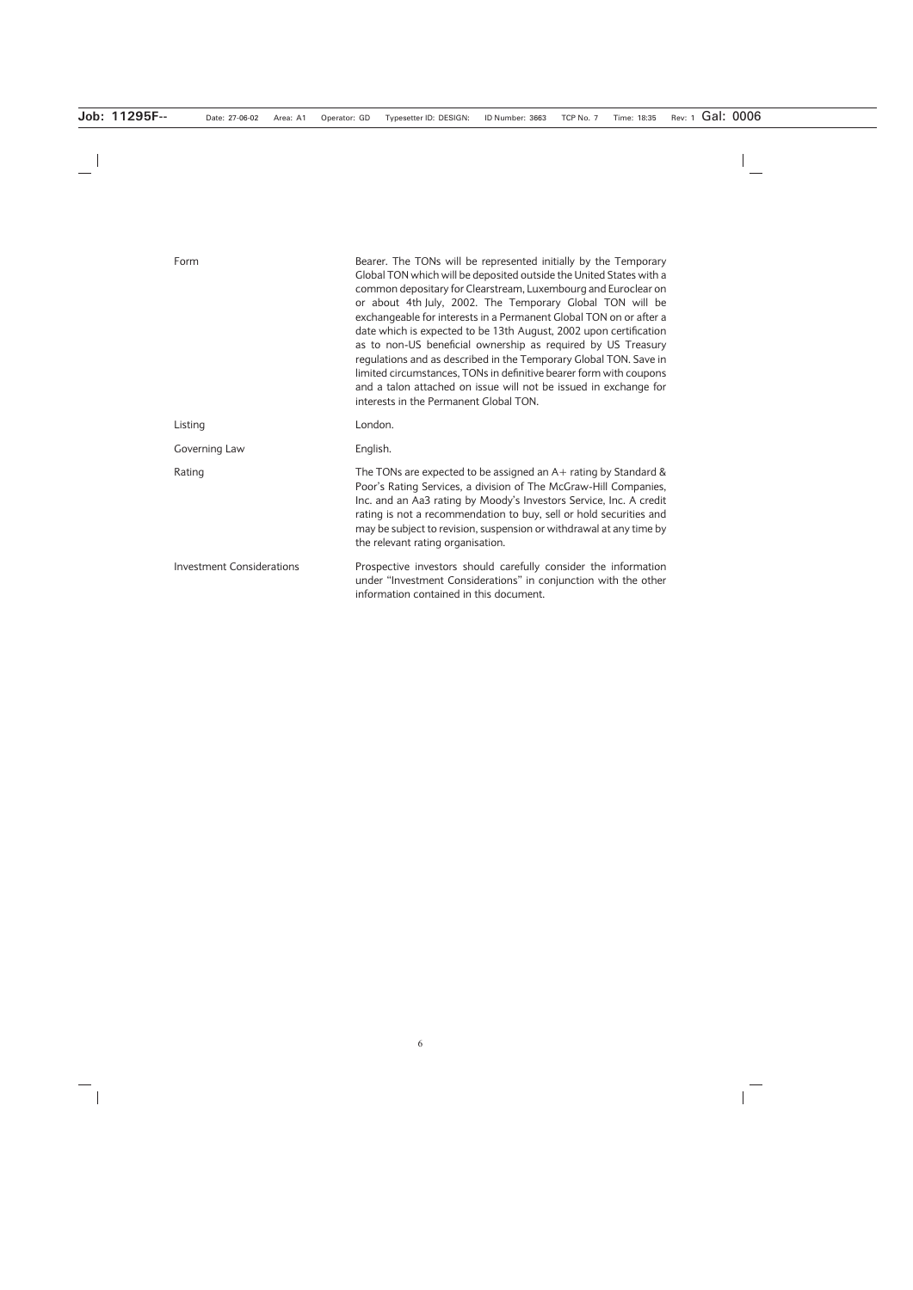| Form                             | Bearer. The TONs will be represented initially by the Temporary<br>Global TON which will be deposited outside the United States with a<br>common depositary for Clearstream, Luxembourg and Euroclear on<br>or about 4th July, 2002. The Temporary Global TON will be<br>exchangeable for interests in a Permanent Global TON on or after a<br>date which is expected to be 13th August, 2002 upon certification<br>as to non-US beneficial ownership as required by US Treasury<br>regulations and as described in the Temporary Global TON. Save in<br>limited circumstances, TONs in definitive bearer form with coupons<br>and a talon attached on issue will not be issued in exchange for<br>interests in the Permanent Global TON. |
|----------------------------------|-------------------------------------------------------------------------------------------------------------------------------------------------------------------------------------------------------------------------------------------------------------------------------------------------------------------------------------------------------------------------------------------------------------------------------------------------------------------------------------------------------------------------------------------------------------------------------------------------------------------------------------------------------------------------------------------------------------------------------------------|
| Listing                          | London.                                                                                                                                                                                                                                                                                                                                                                                                                                                                                                                                                                                                                                                                                                                                   |
| Governing Law                    | English.                                                                                                                                                                                                                                                                                                                                                                                                                                                                                                                                                                                                                                                                                                                                  |
| Rating                           | The TONs are expected to be assigned an $A+$ rating by Standard &<br>Poor's Rating Services, a division of The McGraw-Hill Companies,<br>Inc. and an Aa3 rating by Moody's Investors Service, Inc. A credit<br>rating is not a recommendation to buy, sell or hold securities and<br>may be subject to revision, suspension or withdrawal at any time by<br>the relevant rating organisation.                                                                                                                                                                                                                                                                                                                                             |
| <b>Investment Considerations</b> | Prospective investors should carefully consider the information<br>under "Investment Considerations" in conjunction with the other<br>information contained in this document.                                                                                                                                                                                                                                                                                                                                                                                                                                                                                                                                                             |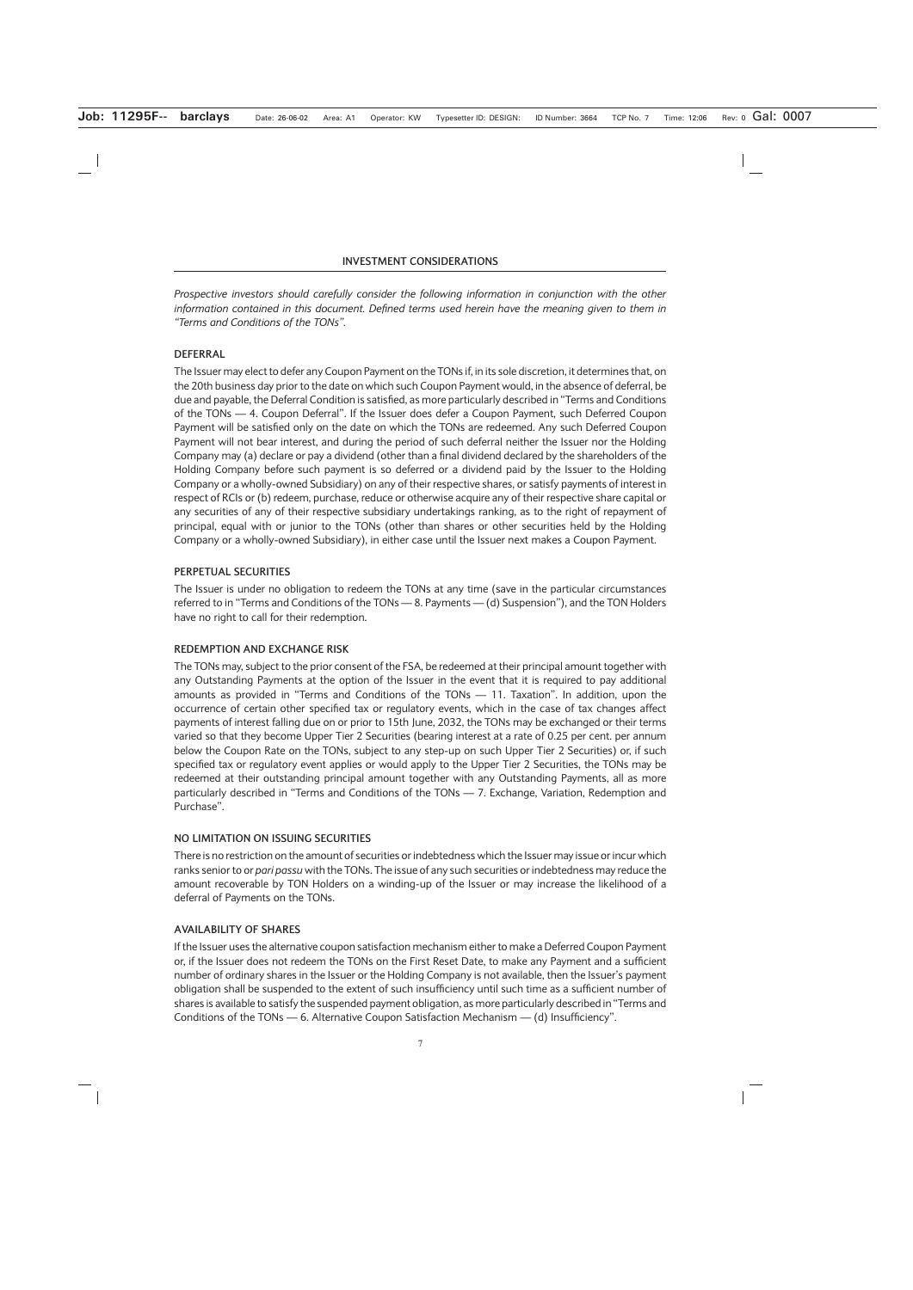*Prospective investors should carefully consider the following information in conjunction with the other information contained in this document. Defined terms used herein have the meaning given to them in "Terms and Conditions of the TONs".*

# **DEFERRAL**

The Issuer may elect to defer any Coupon Payment on the TONs if, in its sole discretion, it determines that, on the 20th business day prior to the date on which such Coupon Payment would, in the absence of deferral, be due and payable, the Deferral Condition is satisfied, as more particularly described in "Terms and Conditions of the TONs — 4. Coupon Deferral". If the Issuer does defer a Coupon Payment, such Deferred Coupon Payment will be satisfied only on the date on which the TONs are redeemed. Any such Deferred Coupon Payment will not bear interest, and during the period of such deferral neither the Issuer nor the Holding Company may (a) declare or pay a dividend (other than a final dividend declared by the shareholders of the Holding Company before such payment is so deferred or a dividend paid by the Issuer to the Holding Company or a wholly-owned Subsidiary) on any of their respective shares, or satisfy payments of interest in respect of RCIs or (b) redeem, purchase, reduce or otherwise acquire any of their respective share capital or any securities of any of their respective subsidiary undertakings ranking, as to the right of repayment of principal, equal with or junior to the TONs (other than shares or other securities held by the Holding Company or a wholly-owned Subsidiary), in either case until the Issuer next makes a Coupon Payment.

# **PERPETUAL SECURITIES**

The Issuer is under no obligation to redeem the TONs at any time (save in the particular circumstances referred to in "Terms and Conditions of the TONs — 8. Payments — (d) Suspension"), and the TON Holders have no right to call for their redemption.

### **REDEMPTION AND EXCHANGE RISK**

The TONs may, subject to the prior consent of the FSA, be redeemed at their principal amount together with any Outstanding Payments at the option of the Issuer in the event that it is required to pay additional amounts as provided in "Terms and Conditions of the TONs — 11. Taxation". In addition, upon the occurrence of certain other specified tax or regulatory events, which in the case of tax changes affect payments of interest falling due on or prior to 15th June, 2032, the TONs may be exchanged or their terms varied so that they become Upper Tier 2 Securities (bearing interest at a rate of 0.25 per cent. per annum below the Coupon Rate on the TONs, subject to any step-up on such Upper Tier 2 Securities) or, if such specified tax or regulatory event applies or would apply to the Upper Tier 2 Securities, the TONs may be redeemed at their outstanding principal amount together with any Outstanding Payments, all as more particularly described in "Terms and Conditions of the TONs — 7. Exchange, Variation, Redemption and Purchase".

### **NO LIMITATION ON ISSUING SECURITIES**

There is no restriction on the amount of securities or indebtedness which the Issuer may issue or incur which ranks senior to or *pari passu* with the TONs. The issue of any such securities or indebtedness may reduce the amount recoverable by TON Holders on a winding-up of the Issuer or may increase the likelihood of a deferral of Payments on the TONs.

### **AVAILABILITY OF SHARES**

If the Issuer uses the alternative coupon satisfaction mechanism either to make a Deferred Coupon Payment or, if the Issuer does not redeem the TONs on the First Reset Date, to make any Payment and a sufficient number of ordinary shares in the Issuer or the Holding Company is not available, then the Issuer's payment obligation shall be suspended to the extent of such insufficiency until such time as a sufficient number of shares is available to satisfy the suspended payment obligation, as more particularly described in "Terms and Conditions of the TONs — 6. Alternative Coupon Satisfaction Mechanism — (d) Insufficiency".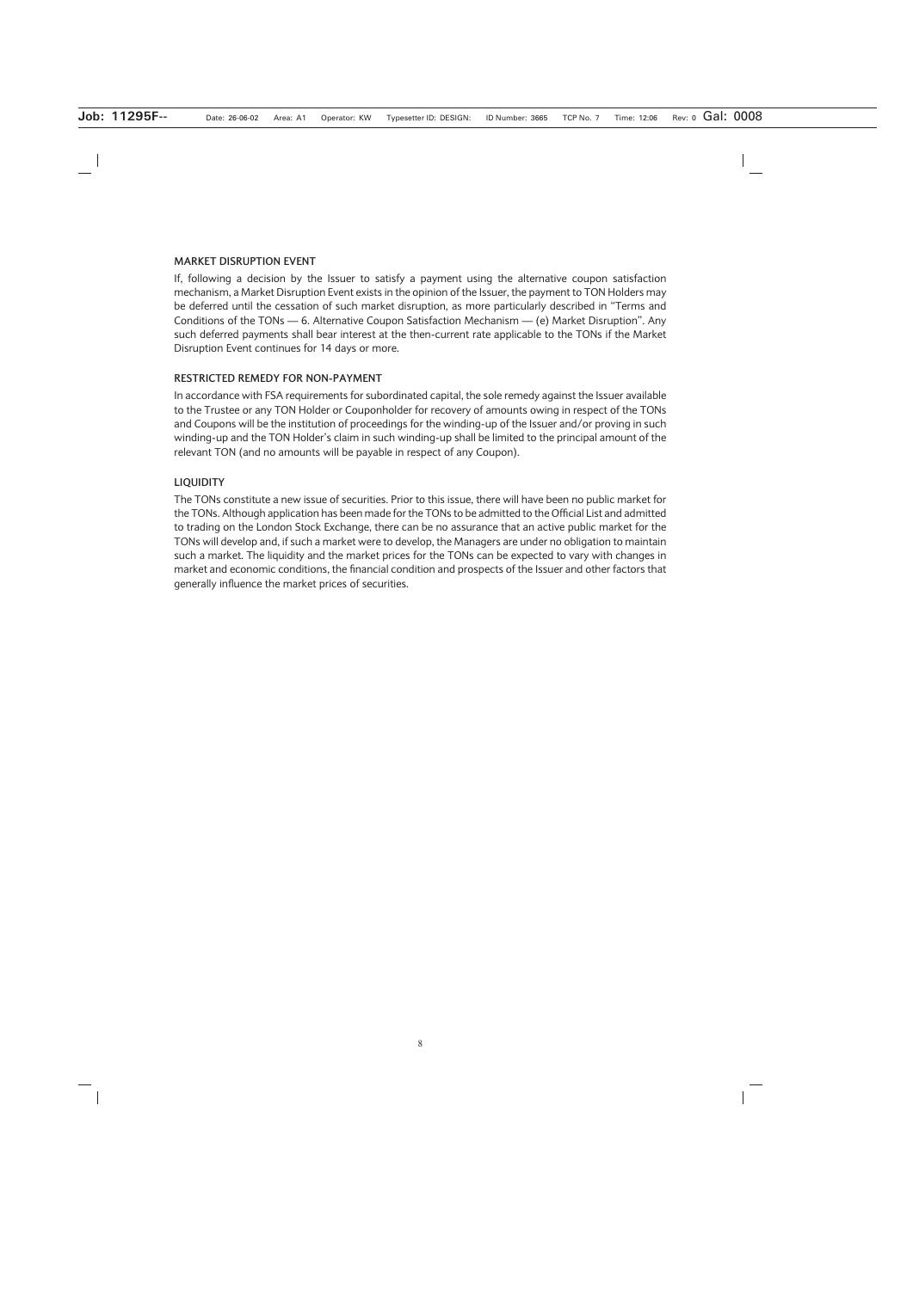#### **MARKET DISRUPTION EVENT**

If, following a decision by the Issuer to satisfy a payment using the alternative coupon satisfaction mechanism, a Market Disruption Event exists in the opinion of the Issuer, the payment to TON Holders may be deferred until the cessation of such market disruption, as more particularly described in "Terms and Conditions of the TONs — 6. Alternative Coupon Satisfaction Mechanism — (e) Market Disruption". Any such deferred payments shall bear interest at the then-current rate applicable to the TONs if the Market Disruption Event continues for 14 days or more.

### **RESTRICTED REMEDY FOR NON-PAYMENT**

In accordance with FSA requirements for subordinated capital, the sole remedy against the Issuer available to the Trustee or any TON Holder or Couponholder for recovery of amounts owing in respect of the TONs and Coupons will be the institution of proceedings for the winding-up of the Issuer and/or proving in such winding-up and the TON Holder's claim in such winding-up shall be limited to the principal amount of the relevant TON (and no amounts will be payable in respect of any Coupon).

#### **LIQUIDITY**

The TONs constitute a new issue of securities. Prior to this issue, there will have been no public market for the TONs. Although application has been made for the TONs to be admitted to the Official List and admitted to trading on the London Stock Exchange, there can be no assurance that an active public market for the TONs will develop and, if such a market were to develop, the Managers are under no obligation to maintain such a market. The liquidity and the market prices for the TONs can be expected to vary with changes in market and economic conditions, the financial condition and prospects of the Issuer and other factors that generally influence the market prices of securities.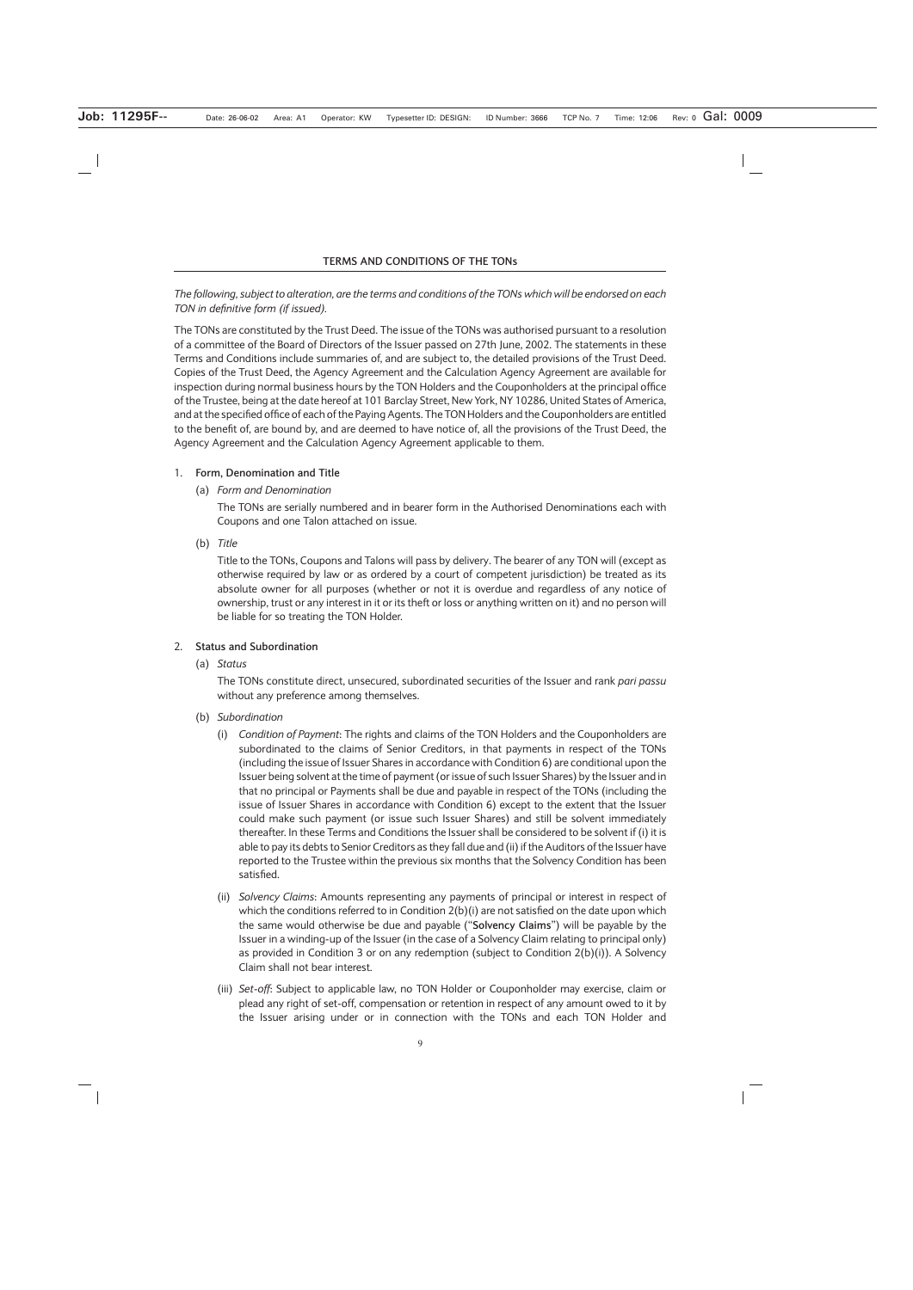# *The following, subject to alteration, are the terms and conditions of the TONs which will be endorsed on each TON in definitive form (if issued).*

The TONs are constituted by the Trust Deed. The issue of the TONs was authorised pursuant to a resolution of a committee of the Board of Directors of the Issuer passed on 27th June, 2002. The statements in these Terms and Conditions include summaries of, and are subject to, the detailed provisions of the Trust Deed. Copies of the Trust Deed, the Agency Agreement and the Calculation Agency Agreement are available for inspection during normal business hours by the TON Holders and the Couponholders at the principal office of the Trustee, being at the date hereof at 101 Barclay Street, New York, NY 10286, United States of America, and at the specified office of each of the Paying Agents. The TON Holders and the Couponholders are entitled to the benefit of, are bound by, and are deemed to have notice of, all the provisions of the Trust Deed, the Agency Agreement and the Calculation Agency Agreement applicable to them.

### 1. **Form, Denomination and Title**

(a) *Form and Denomination*

The TONs are serially numbered and in bearer form in the Authorised Denominations each with Coupons and one Talon attached on issue.

(b) *Title*

Title to the TONs, Coupons and Talons will pass by delivery. The bearer of any TON will (except as otherwise required by law or as ordered by a court of competent jurisdiction) be treated as its absolute owner for all purposes (whether or not it is overdue and regardless of any notice of ownership, trust or any interest in it or its theft or loss or anything written on it) and no person will be liable for so treating the TON Holder.

### 2. **Status and Subordination**

(a) *Status*

The TONs constitute direct, unsecured, subordinated securities of the Issuer and rank *pari passu* without any preference among themselves.

- (b) *Subordination*
	- (i) *Condition of Payment*: The rights and claims of the TON Holders and the Couponholders are subordinated to the claims of Senior Creditors, in that payments in respect of the TONs (including the issue of Issuer Shares in accordance with Condition 6) are conditional upon the Issuer being solvent at the time of payment (or issue of such Issuer Shares) by the Issuer and in that no principal or Payments shall be due and payable in respect of the TONs (including the issue of Issuer Shares in accordance with Condition 6) except to the extent that the Issuer could make such payment (or issue such Issuer Shares) and still be solvent immediately thereafter. In these Terms and Conditions the Issuer shall be considered to be solvent if (i) it is able to pay its debts to Senior Creditors as they fall due and (ii) if the Auditors of the Issuer have reported to the Trustee within the previous six months that the Solvency Condition has been satisfied.
	- (ii) *Solvency Claims*: Amounts representing any payments of principal or interest in respect of which the conditions referred to in Condition  $2(b)(i)$  are not satisfied on the date upon which the same would otherwise be due and payable ("**Solvency Claims**") will be payable by the Issuer in a winding-up of the Issuer (in the case of a Solvency Claim relating to principal only) as provided in Condition 3 or on any redemption (subject to Condition 2(b)(i)). A Solvency Claim shall not bear interest.
	- (iii) *Set-off*: Subject to applicable law, no TON Holder or Couponholder may exercise, claim or plead any right of set-off, compensation or retention in respect of any amount owed to it by the Issuer arising under or in connection with the TONs and each TON Holder and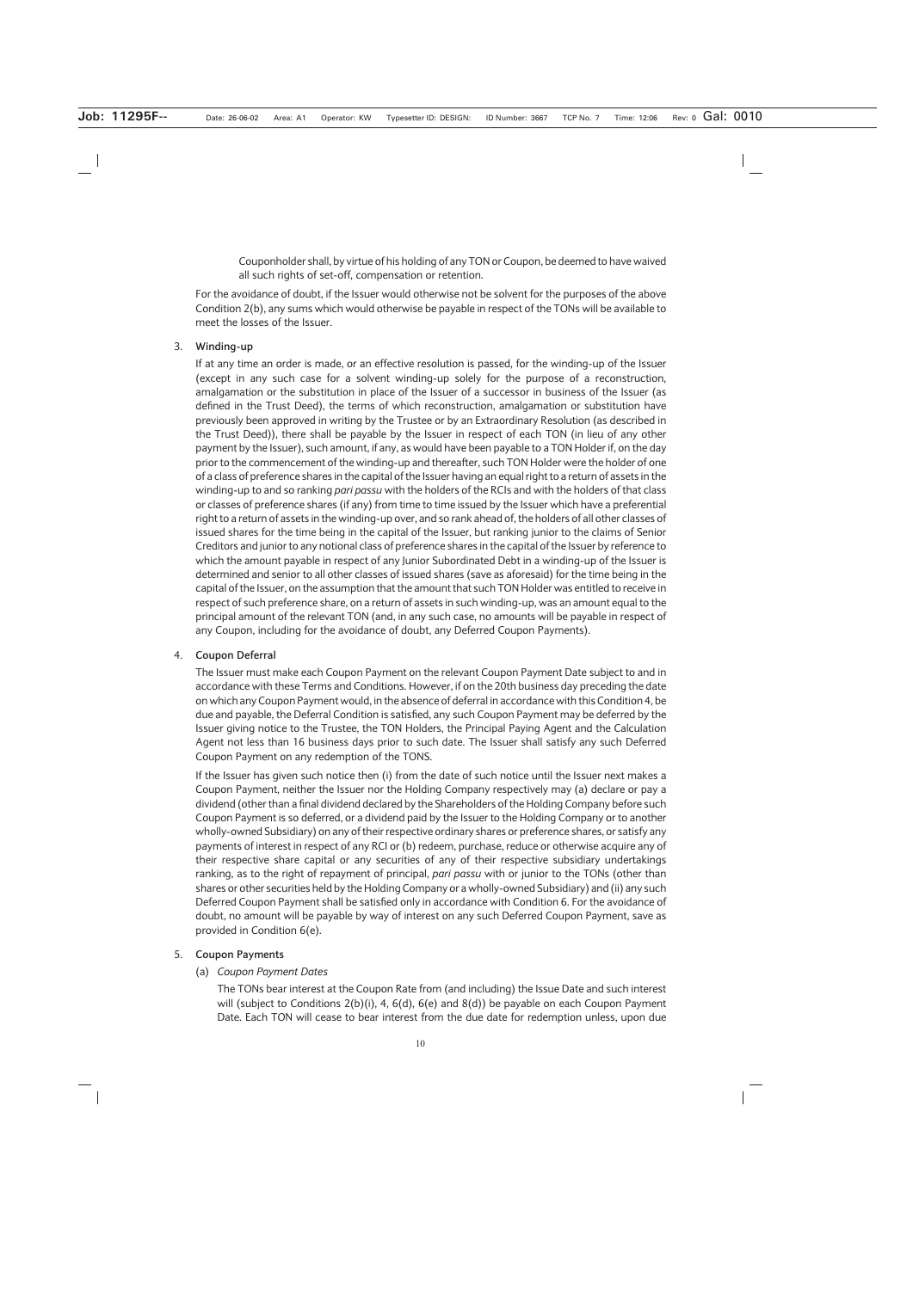Couponholder shall, by virtue of his holding of any TON or Coupon, be deemed to have waived all such rights of set-off, compensation or retention.

For the avoidance of doubt, if the Issuer would otherwise not be solvent for the purposes of the above Condition 2(b), any sums which would otherwise be payable in respect of the TONs will be available to meet the losses of the Issuer.

# 3. **Winding-up**

If at any time an order is made, or an effective resolution is passed, for the winding-up of the Issuer (except in any such case for a solvent winding-up solely for the purpose of a reconstruction, amalgamation or the substitution in place of the Issuer of a successor in business of the Issuer (as defined in the Trust Deed), the terms of which reconstruction, amalgamation or substitution have previously been approved in writing by the Trustee or by an Extraordinary Resolution (as described in the Trust Deed)), there shall be payable by the Issuer in respect of each TON (in lieu of any other payment by the Issuer), such amount, if any, as would have been payable to a TON Holder if, on the day prior to the commencement of the winding-up and thereafter, such TON Holder were the holder of one of a class of preference shares in the capital of the Issuer having an equal right to a return of assets in the winding-up to and so ranking *pari passu* with the holders of the RCIs and with the holders of that class or classes of preference shares (if any) from time to time issued by the Issuer which have a preferential right to a return of assets in the winding-up over, and so rank ahead of, the holders of all other classes of issued shares for the time being in the capital of the Issuer, but ranking junior to the claims of Senior Creditors and junior to any notional class of preference shares in the capital of the Issuer by reference to which the amount payable in respect of any Junior Subordinated Debt in a winding-up of the Issuer is determined and senior to all other classes of issued shares (save as aforesaid) for the time being in the capital of the Issuer, on the assumption that the amount that such TON Holder was entitled to receive in respect of such preference share, on a return of assets in such winding-up, was an amount equal to the principal amount of the relevant TON (and, in any such case, no amounts will be payable in respect of any Coupon, including for the avoidance of doubt, any Deferred Coupon Payments).

### 4. **Coupon Deferral**

The Issuer must make each Coupon Payment on the relevant Coupon Payment Date subject to and in accordance with these Terms and Conditions. However, if on the 20th business day preceding the date on which any Coupon Payment would, in the absence of deferral in accordance with this Condition 4, be due and payable, the Deferral Condition is satisfied, any such Coupon Payment may be deferred by the Issuer giving notice to the Trustee, the TON Holders, the Principal Paying Agent and the Calculation Agent not less than 16 business days prior to such date. The Issuer shall satisfy any such Deferred Coupon Payment on any redemption of the TONS.

If the Issuer has given such notice then (i) from the date of such notice until the Issuer next makes a Coupon Payment, neither the Issuer nor the Holding Company respectively may (a) declare or pay a dividend (other than a final dividend declared by the Shareholders of the Holding Company before such Coupon Payment is so deferred, or a dividend paid by the Issuer to the Holding Company or to another wholly-owned Subsidiary) on any of their respective ordinary shares or preference shares, or satisfy any payments of interest in respect of any RCI or (b) redeem, purchase, reduce or otherwise acquire any of their respective share capital or any securities of any of their respective subsidiary undertakings ranking, as to the right of repayment of principal, *pari passu* with or junior to the TONs (other than shares or other securities held by the Holding Company or a wholly-owned Subsidiary) and (ii) any such Deferred Coupon Payment shall be satisfied only in accordance with Condition 6. For the avoidance of doubt, no amount will be payable by way of interest on any such Deferred Coupon Payment, save as provided in Condition 6(e).

### 5. **Coupon Payments**

### (a) *Coupon Payment Dates*

The TONs bear interest at the Coupon Rate from (and including) the Issue Date and such interest will (subject to Conditions  $2(b)(i)$ , 4,  $6(d)$ ,  $6(e)$  and  $8(d)$ ) be payable on each Coupon Payment Date. Each TON will cease to bear interest from the due date for redemption unless, upon due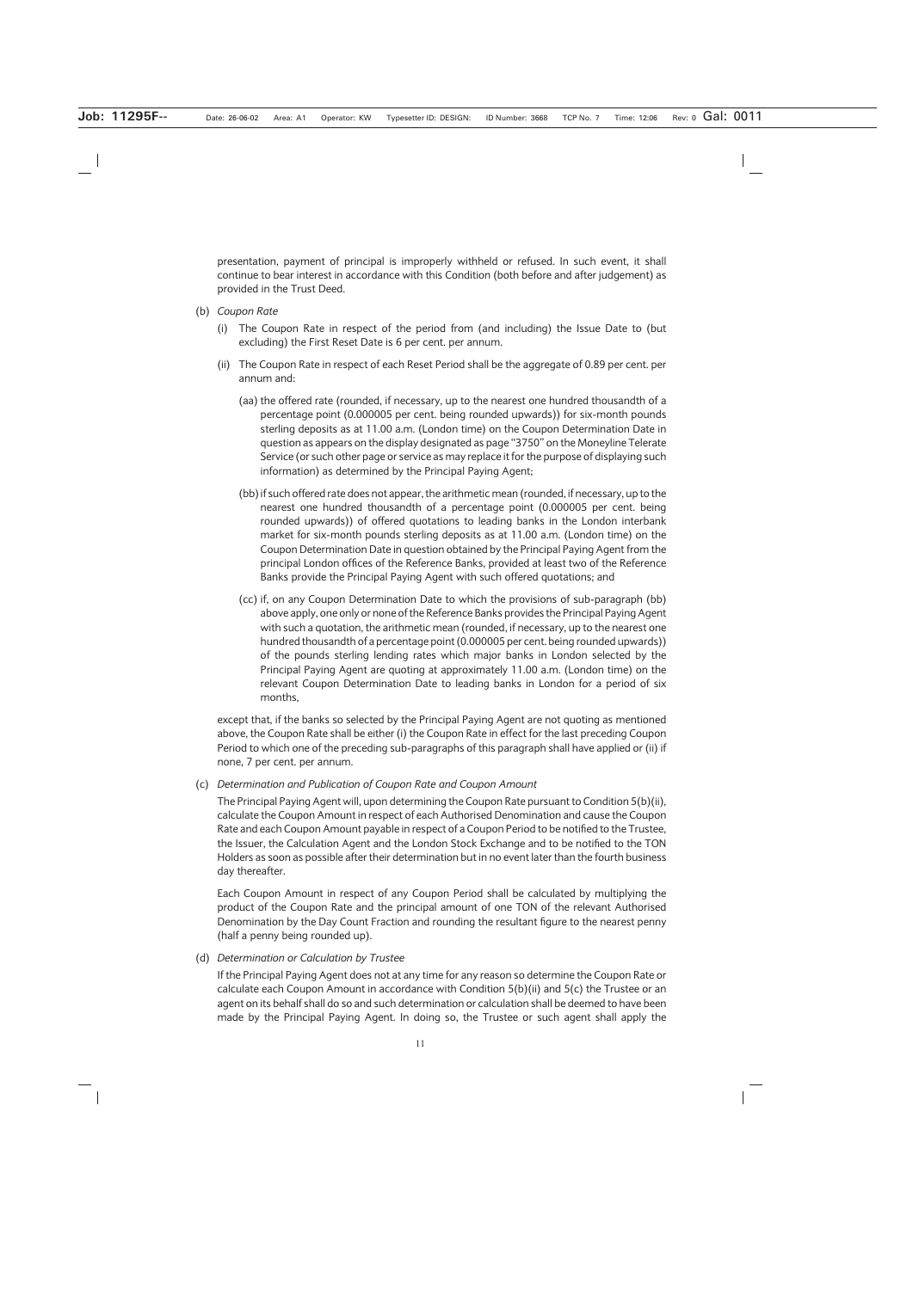presentation, payment of principal is improperly withheld or refused. In such event, it shall continue to bear interest in accordance with this Condition (both before and after judgement) as provided in the Trust Deed.

- (b) *Coupon Rate*
	- (i) The Coupon Rate in respect of the period from (and including) the Issue Date to (but excluding) the First Reset Date is 6 per cent. per annum.
	- (ii) The Coupon Rate in respect of each Reset Period shall be the aggregate of 0.89 per cent. per annum and:
		- (aa) the offered rate (rounded, if necessary, up to the nearest one hundred thousandth of a percentage point (0.000005 per cent. being rounded upwards)) for six-month pounds sterling deposits as at 11.00 a.m. (London time) on the Coupon Determination Date in question as appears on the display designated as page "3750" on the Moneyline Telerate Service (or such other page or service as may replace it for the purpose of displaying such information) as determined by the Principal Paying Agent;
		- (bb) if such offered rate does not appear, the arithmetic mean (rounded, if necessary, up to the nearest one hundred thousandth of a percentage point (0.000005 per cent. being rounded upwards)) of offered quotations to leading banks in the London interbank market for six-month pounds sterling deposits as at 11.00 a.m. (London time) on the Coupon Determination Date in question obtained by the Principal Paying Agent from the principal London offices of the Reference Banks, provided at least two of the Reference Banks provide the Principal Paying Agent with such offered quotations; and
		- (cc) if, on any Coupon Determination Date to which the provisions of sub-paragraph (bb) above apply, one only or none of the Reference Banks provides the Principal Paying Agent with such a quotation, the arithmetic mean (rounded, if necessary, up to the nearest one hundred thousandth of a percentage point (0.000005 per cent. being rounded upwards)) of the pounds sterling lending rates which major banks in London selected by the Principal Paying Agent are quoting at approximately 11.00 a.m. (London time) on the relevant Coupon Determination Date to leading banks in London for a period of six months,

except that, if the banks so selected by the Principal Paying Agent are not quoting as mentioned above, the Coupon Rate shall be either (i) the Coupon Rate in effect for the last preceding Coupon Period to which one of the preceding sub-paragraphs of this paragraph shall have applied or (ii) if none, 7 per cent. per annum.

(c) *Determination and Publication of Coupon Rate and Coupon Amount*

The Principal Paying Agent will, upon determining the Coupon Rate pursuant to Condition 5(b)(ii), calculate the Coupon Amount in respect of each Authorised Denomination and cause the Coupon Rate and each Coupon Amount payable in respect of a Coupon Period to be notified to the Trustee, the Issuer, the Calculation Agent and the London Stock Exchange and to be notified to the TON Holders as soon as possible after their determination but in no event later than the fourth business day thereafter.

Each Coupon Amount in respect of any Coupon Period shall be calculated by multiplying the product of the Coupon Rate and the principal amount of one TON of the relevant Authorised Denomination by the Day Count Fraction and rounding the resultant figure to the nearest penny (half a penny being rounded up).

(d) *Determination or Calculation by Trustee*

If the Principal Paying Agent does not at any time for any reason so determine the Coupon Rate or calculate each Coupon Amount in accordance with Condition 5(b)(ii) and 5(c) the Trustee or an agent on its behalf shall do so and such determination or calculation shall be deemed to have been made by the Principal Paying Agent. In doing so, the Trustee or such agent shall apply the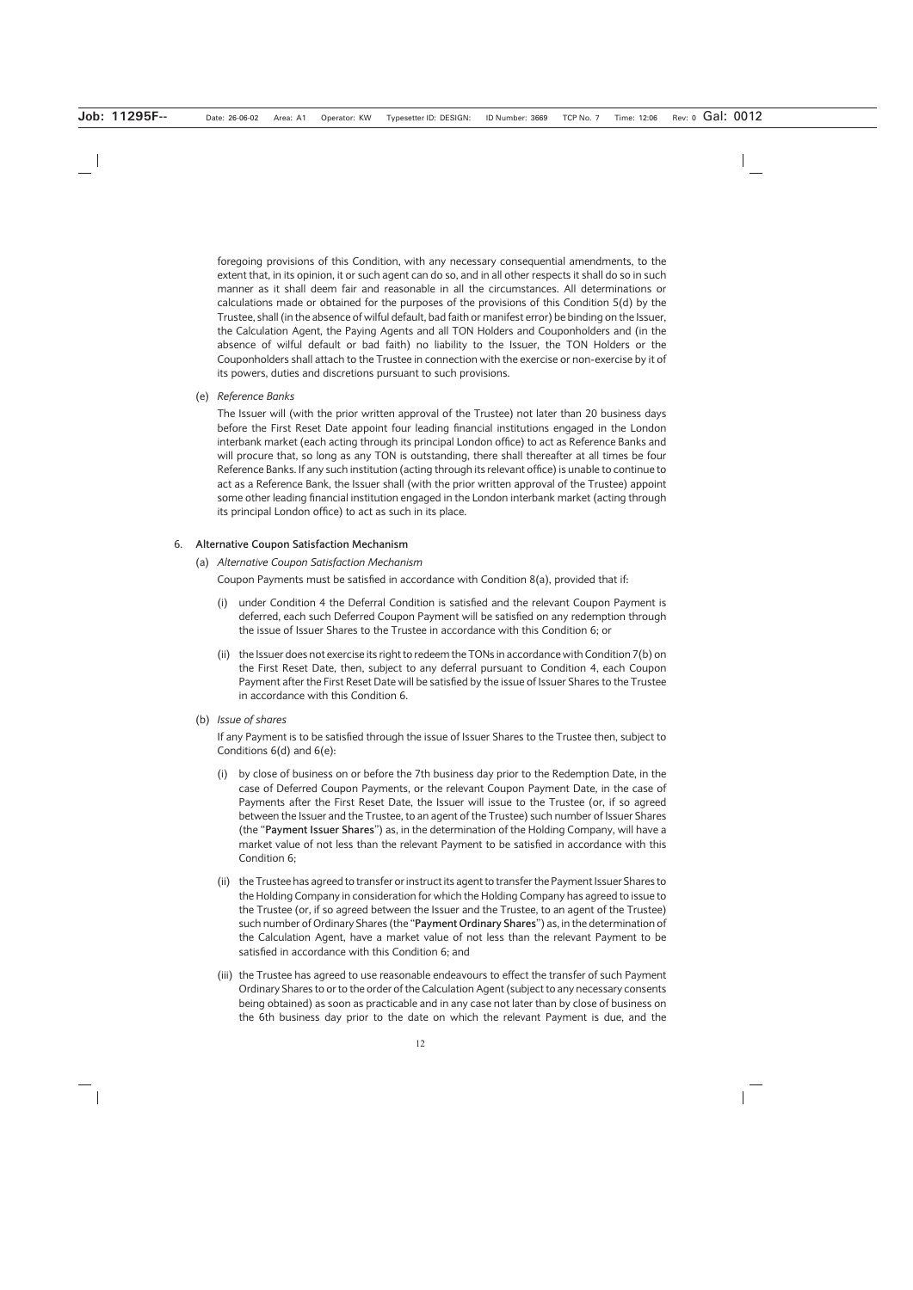foregoing provisions of this Condition, with any necessary consequential amendments, to the extent that, in its opinion, it or such agent can do so, and in all other respects it shall do so in such manner as it shall deem fair and reasonable in all the circumstances. All determinations or calculations made or obtained for the purposes of the provisions of this Condition 5(d) by the Trustee, shall (in the absence of wilful default, bad faith or manifest error) be binding on the Issuer, the Calculation Agent, the Paying Agents and all TON Holders and Couponholders and (in the absence of wilful default or bad faith) no liability to the Issuer, the TON Holders or the Couponholders shall attach to the Trustee in connection with the exercise or non-exercise by it of its powers, duties and discretions pursuant to such provisions.

(e) *Reference Banks*

The Issuer will (with the prior written approval of the Trustee) not later than 20 business days before the First Reset Date appoint four leading financial institutions engaged in the London interbank market (each acting through its principal London office) to act as Reference Banks and will procure that, so long as any TON is outstanding, there shall thereafter at all times be four Reference Banks. If any such institution (acting through its relevant office) is unable to continue to act as a Reference Bank, the Issuer shall (with the prior written approval of the Trustee) appoint some other leading financial institution engaged in the London interbank market (acting through its principal London office) to act as such in its place.

### 6. **Alternative Coupon Satisfaction Mechanism**

(a) *Alternative Coupon Satisfaction Mechanism*

Coupon Payments must be satisfied in accordance with Condition 8(a), provided that if:

- (i) under Condition 4 the Deferral Condition is satisfied and the relevant Coupon Payment is deferred, each such Deferred Coupon Payment will be satisfied on any redemption through the issue of Issuer Shares to the Trustee in accordance with this Condition 6; or
- (ii) the Issuer does not exercise its right to redeem the TONs in accordance with Condition 7(b) on the First Reset Date, then, subject to any deferral pursuant to Condition 4, each Coupon Payment after the First Reset Date will be satisfied by the issue of Issuer Shares to the Trustee in accordance with this Condition 6.
- (b) *Issue of shares*

If any Payment is to be satisfied through the issue of Issuer Shares to the Trustee then, subject to Conditions 6(d) and 6(e):

- (i) by close of business on or before the 7th business day prior to the Redemption Date, in the case of Deferred Coupon Payments, or the relevant Coupon Payment Date, in the case of Payments after the First Reset Date, the Issuer will issue to the Trustee (or, if so agreed between the Issuer and the Trustee, to an agent of the Trustee) such number of Issuer Shares (the "**Payment Issuer Shares**") as, in the determination of the Holding Company, will have a market value of not less than the relevant Payment to be satisfied in accordance with this Condition 6;
- (ii) the Trustee has agreed to transfer or instruct its agent to transfer the Payment Issuer Shares to the Holding Company in consideration for which the Holding Company has agreed to issue to the Trustee (or, if so agreed between the Issuer and the Trustee, to an agent of the Trustee) such number of Ordinary Shares (the "**Payment Ordinary Shares**") as, in the determination of the Calculation Agent, have a market value of not less than the relevant Payment to be satisfied in accordance with this Condition 6; and
- (iii) the Trustee has agreed to use reasonable endeavours to effect the transfer of such Payment Ordinary Shares to or to the order of the Calculation Agent (subject to any necessary consents being obtained) as soon as practicable and in any case not later than by close of business on the 6th business day prior to the date on which the relevant Payment is due, and the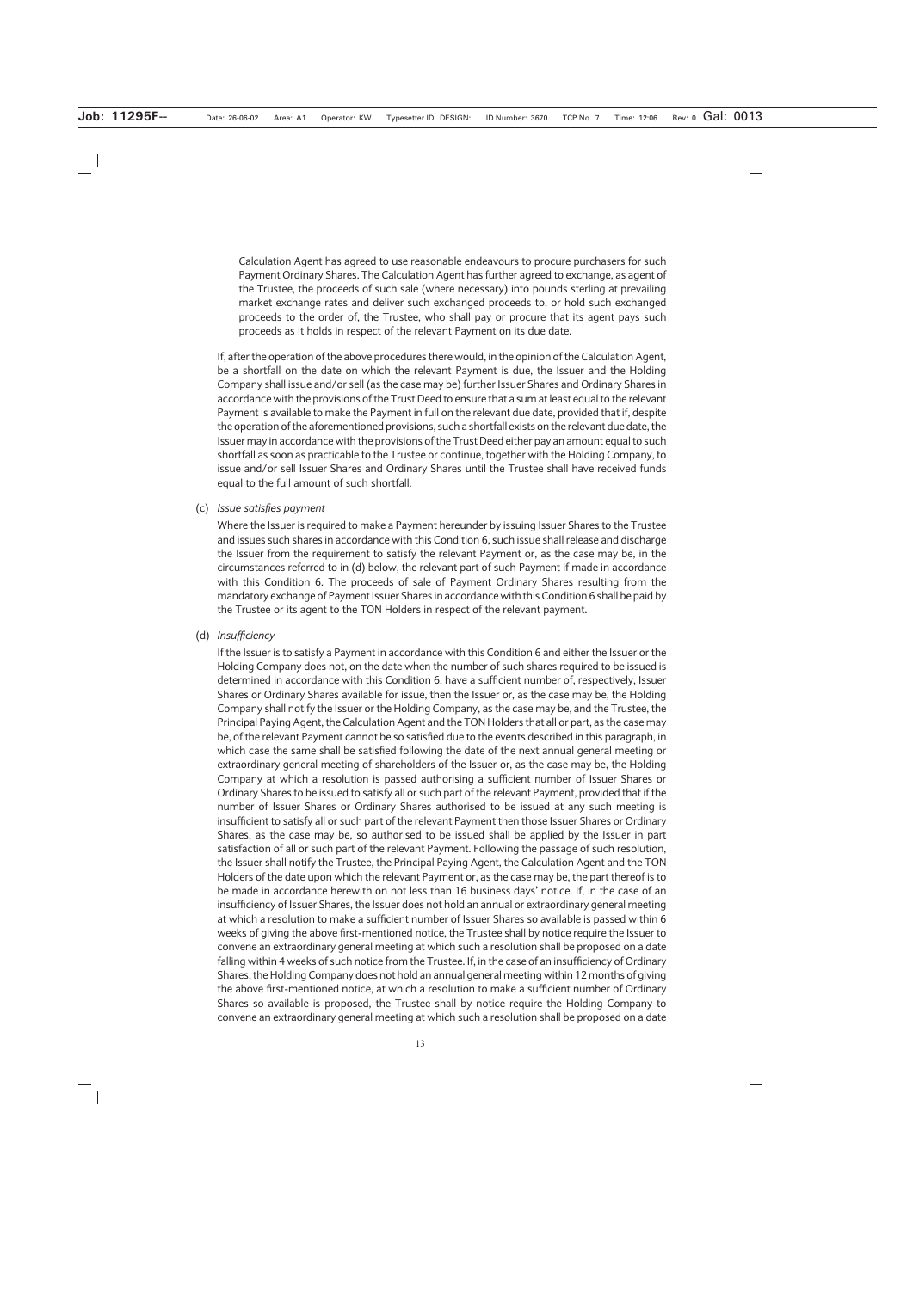Calculation Agent has agreed to use reasonable endeavours to procure purchasers for such Payment Ordinary Shares. The Calculation Agent has further agreed to exchange, as agent of the Trustee, the proceeds of such sale (where necessary) into pounds sterling at prevailing market exchange rates and deliver such exchanged proceeds to, or hold such exchanged proceeds to the order of, the Trustee, who shall pay or procure that its agent pays such proceeds as it holds in respect of the relevant Payment on its due date.

If, after the operation of the above procedures there would, in the opinion of the Calculation Agent, be a shortfall on the date on which the relevant Payment is due, the Issuer and the Holding Company shall issue and/or sell (as the case may be) further Issuer Shares and Ordinary Shares in accordance with the provisions of the Trust Deed to ensure that a sum at least equal to the relevant Payment is available to make the Payment in full on the relevant due date, provided that if, despite the operation of the aforementioned provisions, such a shortfall exists on the relevant due date, the Issuer may in accordance with the provisions of the Trust Deed either pay an amount equal to such shortfall as soon as practicable to the Trustee or continue, together with the Holding Company, to issue and/or sell Issuer Shares and Ordinary Shares until the Trustee shall have received funds equal to the full amount of such shortfall.

#### (c) *Issue satisfies payment*

Where the Issuer is required to make a Payment hereunder by issuing Issuer Shares to the Trustee and issues such shares in accordance with this Condition 6, such issue shall release and discharge the Issuer from the requirement to satisfy the relevant Payment or, as the case may be, in the circumstances referred to in (d) below, the relevant part of such Payment if made in accordance with this Condition 6. The proceeds of sale of Payment Ordinary Shares resulting from the mandatory exchange of Payment Issuer Shares in accordance with this Condition 6 shall be paid by the Trustee or its agent to the TON Holders in respect of the relevant payment.

### (d) *Insufficiency*

If the Issuer is to satisfy a Payment in accordance with this Condition 6 and either the Issuer or the Holding Company does not, on the date when the number of such shares required to be issued is determined in accordance with this Condition 6, have a sufficient number of, respectively, Issuer Shares or Ordinary Shares available for issue, then the Issuer or, as the case may be, the Holding Company shall notify the Issuer or the Holding Company, as the case may be, and the Trustee, the Principal Paying Agent, the Calculation Agent and the TON Holders that all or part, as the case may be, of the relevant Payment cannot be so satisfied due to the events described in this paragraph, in which case the same shall be satisfied following the date of the next annual general meeting or extraordinary general meeting of shareholders of the Issuer or, as the case may be, the Holding Company at which a resolution is passed authorising a sufficient number of Issuer Shares or Ordinary Shares to be issued to satisfy all or such part of the relevant Payment, provided that if the number of Issuer Shares or Ordinary Shares authorised to be issued at any such meeting is insufficient to satisfy all or such part of the relevant Payment then those Issuer Shares or Ordinary Shares, as the case may be, so authorised to be issued shall be applied by the Issuer in part satisfaction of all or such part of the relevant Payment. Following the passage of such resolution, the Issuer shall notify the Trustee, the Principal Paying Agent, the Calculation Agent and the TON Holders of the date upon which the relevant Payment or, as the case may be, the part thereof is to be made in accordance herewith on not less than 16 business days' notice. If, in the case of an insufficiency of Issuer Shares, the Issuer does not hold an annual or extraordinary general meeting at which a resolution to make a sufficient number of Issuer Shares so available is passed within 6 weeks of giving the above first-mentioned notice, the Trustee shall by notice require the Issuer to convene an extraordinary general meeting at which such a resolution shall be proposed on a date falling within 4 weeks of such notice from the Trustee. If, in the case of an insufficiency of Ordinary Shares, the Holding Company does not hold an annual general meeting within 12 months of giving the above first-mentioned notice, at which a resolution to make a sufficient number of Ordinary Shares so available is proposed, the Trustee shall by notice require the Holding Company to convene an extraordinary general meeting at which such a resolution shall be proposed on a date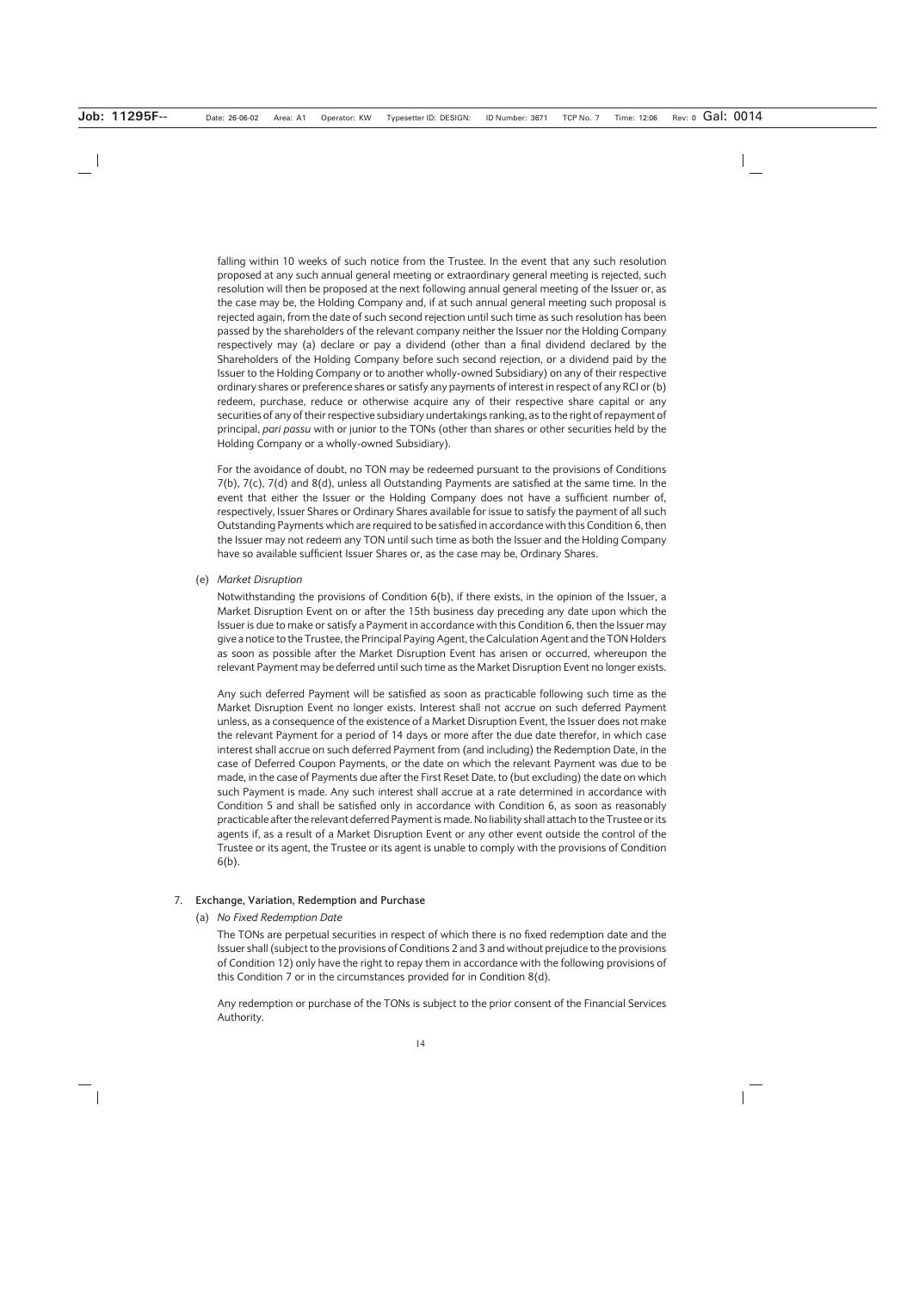falling within 10 weeks of such notice from the Trustee. In the event that any such resolution proposed at any such annual general meeting or extraordinary general meeting is rejected, such resolution will then be proposed at the next following annual general meeting of the Issuer or, as the case may be, the Holding Company and, if at such annual general meeting such proposal is rejected again, from the date of such second rejection until such time as such resolution has been passed by the shareholders of the relevant company neither the Issuer nor the Holding Company respectively may (a) declare or pay a dividend (other than a final dividend declared by the Shareholders of the Holding Company before such second rejection, or a dividend paid by the Issuer to the Holding Company or to another wholly-owned Subsidiary) on any of their respective ordinary shares or preference shares or satisfy any payments of interest in respect of any RCI or (b) redeem, purchase, reduce or otherwise acquire any of their respective share capital or any securities of any of their respective subsidiary undertakings ranking, as to the right of repayment of principal, *pari passu* with or junior to the TONs (other than shares or other securities held by the Holding Company or a wholly-owned Subsidiary).

For the avoidance of doubt, no TON may be redeemed pursuant to the provisions of Conditions 7(b), 7(c), 7(d) and 8(d), unless all Outstanding Payments are satisfied at the same time. In the event that either the Issuer or the Holding Company does not have a sufficient number of, respectively, Issuer Shares or Ordinary Shares available for issue to satisfy the payment of all such Outstanding Payments which are required to be satisfied in accordance with this Condition 6, then the Issuer may not redeem any TON until such time as both the Issuer and the Holding Company have so available sufficient Issuer Shares or, as the case may be, Ordinary Shares.

(e) *Market Disruption*

Notwithstanding the provisions of Condition 6(b), if there exists, in the opinion of the Issuer, a Market Disruption Event on or after the 15th business day preceding any date upon which the Issuer is due to make or satisfy a Payment in accordance with this Condition 6, then the Issuer may give a notice to the Trustee, the Principal Paying Agent, the Calculation Agent and the TON Holders as soon as possible after the Market Disruption Event has arisen or occurred, whereupon the relevant Payment may be deferred until such time as the Market Disruption Event no longer exists.

Any such deferred Payment will be satisfied as soon as practicable following such time as the Market Disruption Event no longer exists. Interest shall not accrue on such deferred Payment unless, as a consequence of the existence of a Market Disruption Event, the Issuer does not make the relevant Payment for a period of 14 days or more after the due date therefor, in which case interest shall accrue on such deferred Payment from (and including) the Redemption Date, in the case of Deferred Coupon Payments, or the date on which the relevant Payment was due to be made, in the case of Payments due after the First Reset Date, to (but excluding) the date on which such Payment is made. Any such interest shall accrue at a rate determined in accordance with Condition 5 and shall be satisfied only in accordance with Condition 6, as soon as reasonably practicable after the relevant deferred Payment is made. No liability shall attach to the Trustee or its agents if, as a result of a Market Disruption Event or any other event outside the control of the Trustee or its agent, the Trustee or its agent is unable to comply with the provisions of Condition 6(b).

#### 7. **Exchange, Variation, Redemption and Purchase**

#### (a) *No Fixed Redemption Date*

The TONs are perpetual securities in respect of which there is no fixed redemption date and the Issuer shall (subject to the provisions of Conditions 2 and 3 and without prejudice to the provisions of Condition 12) only have the right to repay them in accordance with the following provisions of this Condition 7 or in the circumstances provided for in Condition 8(d).

Any redemption or purchase of the TONs is subject to the prior consent of the Financial Services Authority.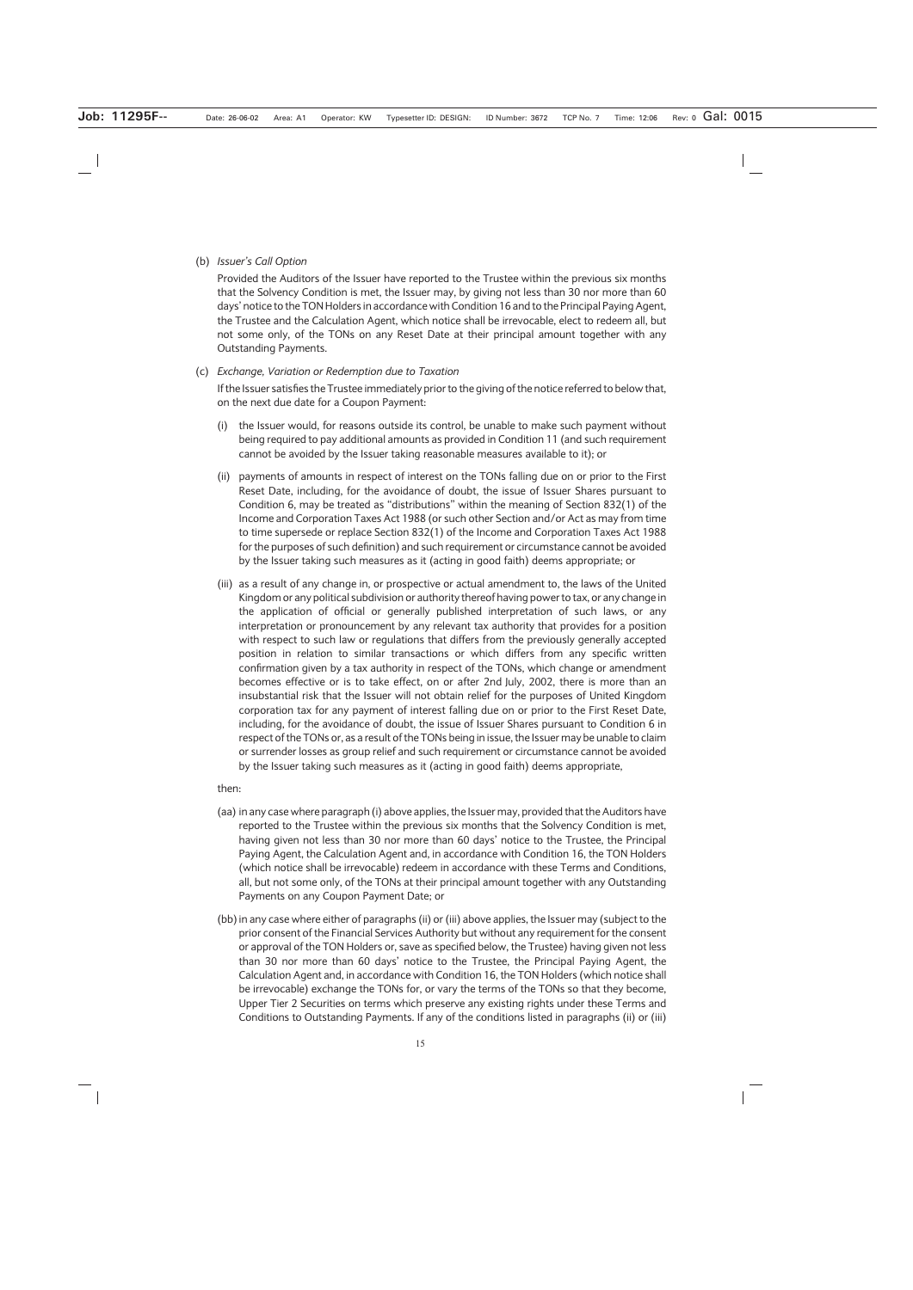#### (b) *Issuer's Call Option*

Provided the Auditors of the Issuer have reported to the Trustee within the previous six months that the Solvency Condition is met, the Issuer may, by giving not less than 30 nor more than 60 days' notice to the TON Holders in accordance with Condition 16 and to the Principal Paying Agent, the Trustee and the Calculation Agent, which notice shall be irrevocable, elect to redeem all, but not some only, of the TONs on any Reset Date at their principal amount together with any Outstanding Payments.

#### (c) *Exchange, Variation or Redemption due to Taxation*

If the Issuer satisfies the Trustee immediately prior to the giving of the notice referred to below that, on the next due date for a Coupon Payment:

- (i) the Issuer would, for reasons outside its control, be unable to make such payment without being required to pay additional amounts as provided in Condition 11 (and such requirement cannot be avoided by the Issuer taking reasonable measures available to it); or
- (ii) payments of amounts in respect of interest on the TONs falling due on or prior to the First Reset Date, including, for the avoidance of doubt, the issue of Issuer Shares pursuant to Condition 6, may be treated as "distributions" within the meaning of Section 832(1) of the Income and Corporation Taxes Act 1988 (or such other Section and/or Act as may from time to time supersede or replace Section 832(1) of the Income and Corporation Taxes Act 1988 for the purposes of such definition) and such requirement or circumstance cannot be avoided by the Issuer taking such measures as it (acting in good faith) deems appropriate; or
- (iii) as a result of any change in, or prospective or actual amendment to, the laws of the United Kingdom or any political subdivision or authority thereof having power to tax, or any change in the application of official or generally published interpretation of such laws, or any interpretation or pronouncement by any relevant tax authority that provides for a position with respect to such law or regulations that differs from the previously generally accepted position in relation to similar transactions or which differs from any specific written confirmation given by a tax authority in respect of the TONs, which change or amendment becomes effective or is to take effect, on or after 2nd July, 2002, there is more than an insubstantial risk that the Issuer will not obtain relief for the purposes of United Kingdom corporation tax for any payment of interest falling due on or prior to the First Reset Date, including, for the avoidance of doubt, the issue of Issuer Shares pursuant to Condition 6 in respect of the TONs or, as a result of the TONs being in issue, the Issuer may be unable to claim or surrender losses as group relief and such requirement or circumstance cannot be avoided by the Issuer taking such measures as it (acting in good faith) deems appropriate,

#### then:

- (aa) in any case where paragraph (i) above applies, the Issuer may, provided that the Auditors have reported to the Trustee within the previous six months that the Solvency Condition is met, having given not less than 30 nor more than 60 days' notice to the Trustee, the Principal Paying Agent, the Calculation Agent and, in accordance with Condition 16, the TON Holders (which notice shall be irrevocable) redeem in accordance with these Terms and Conditions, all, but not some only, of the TONs at their principal amount together with any Outstanding Payments on any Coupon Payment Date; or
- (bb) in any case where either of paragraphs (ii) or (iii) above applies, the Issuer may (subject to the prior consent of the Financial Services Authority but without any requirement for the consent or approval of the TON Holders or, save as specified below, the Trustee) having given not less than 30 nor more than 60 days' notice to the Trustee, the Principal Paying Agent, the Calculation Agent and, in accordance with Condition 16, the TON Holders (which notice shall be irrevocable) exchange the TONs for, or vary the terms of the TONs so that they become, Upper Tier 2 Securities on terms which preserve any existing rights under these Terms and Conditions to Outstanding Payments. If any of the conditions listed in paragraphs (ii) or (iii)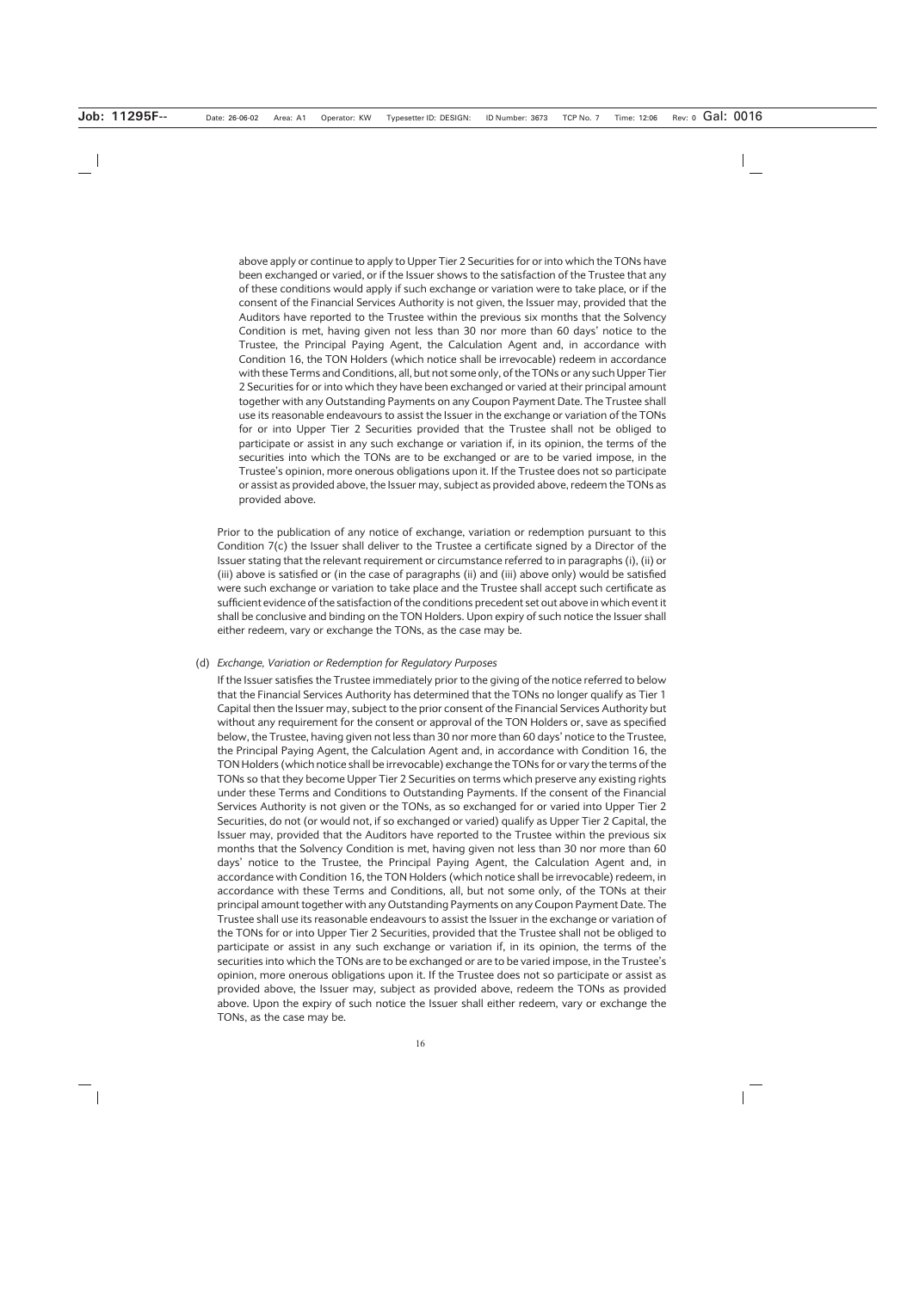above apply or continue to apply to Upper Tier 2 Securities for or into which the TONs have been exchanged or varied, or if the Issuer shows to the satisfaction of the Trustee that any of these conditions would apply if such exchange or variation were to take place, or if the consent of the Financial Services Authority is not given, the Issuer may, provided that the Auditors have reported to the Trustee within the previous six months that the Solvency Condition is met, having given not less than 30 nor more than 60 days' notice to the Trustee, the Principal Paying Agent, the Calculation Agent and, in accordance with Condition 16, the TON Holders (which notice shall be irrevocable) redeem in accordance with these Terms and Conditions, all, but not some only, of the TONs or any such Upper Tier 2 Securities for or into which they have been exchanged or varied at their principal amount together with any Outstanding Payments on any Coupon Payment Date. The Trustee shall use its reasonable endeavours to assist the Issuer in the exchange or variation of the TONs for or into Upper Tier 2 Securities provided that the Trustee shall not be obliged to participate or assist in any such exchange or variation if, in its opinion, the terms of the securities into which the TONs are to be exchanged or are to be varied impose, in the Trustee's opinion, more onerous obligations upon it. If the Trustee does not so participate or assist as provided above, the Issuer may, subject as provided above, redeem the TONs as provided above.

Prior to the publication of any notice of exchange, variation or redemption pursuant to this Condition  $7(c)$  the Issuer shall deliver to the Trustee a certificate signed by a Director of the Issuer stating that the relevant requirement or circumstance referred to in paragraphs (i), (ii) or (iii) above is satisfied or (in the case of paragraphs (ii) and (iii) above only) would be satisfied were such exchange or variation to take place and the Trustee shall accept such certificate as sufficient evidence of the satisfaction of the conditions precedent set out above in which event it shall be conclusive and binding on the TON Holders. Upon expiry of such notice the Issuer shall either redeem, vary or exchange the TONs, as the case may be.

#### (d) *Exchange, Variation or Redemption for Regulatory Purposes*

If the Issuer satisfies the Trustee immediately prior to the giving of the notice referred to below that the Financial Services Authority has determined that the TONs no longer qualify as Tier 1 Capital then the Issuer may, subject to the prior consent of the Financial Services Authority but without any requirement for the consent or approval of the TON Holders or, save as specified below, the Trustee, having given not less than 30 nor more than 60 days' notice to the Trustee, the Principal Paying Agent, the Calculation Agent and, in accordance with Condition 16, the TON Holders (which notice shall be irrevocable) exchange the TONs for or vary the terms of the TONs so that they become Upper Tier 2 Securities on terms which preserve any existing rights under these Terms and Conditions to Outstanding Payments. If the consent of the Financial Services Authority is not given or the TONs, as so exchanged for or varied into Upper Tier 2 Securities, do not (or would not, if so exchanged or varied) qualify as Upper Tier 2 Capital, the Issuer may, provided that the Auditors have reported to the Trustee within the previous six months that the Solvency Condition is met, having given not less than 30 nor more than 60 days' notice to the Trustee, the Principal Paying Agent, the Calculation Agent and, in accordance with Condition 16, the TON Holders (which notice shall be irrevocable) redeem, in accordance with these Terms and Conditions, all, but not some only, of the TONs at their principal amount together with any Outstanding Payments on any Coupon Payment Date. The Trustee shall use its reasonable endeavours to assist the Issuer in the exchange or variation of the TONs for or into Upper Tier 2 Securities, provided that the Trustee shall not be obliged to participate or assist in any such exchange or variation if, in its opinion, the terms of the securities into which the TONs are to be exchanged or are to be varied impose, in the Trustee's opinion, more onerous obligations upon it. If the Trustee does not so participate or assist as provided above, the Issuer may, subject as provided above, redeem the TONs as provided above. Upon the expiry of such notice the Issuer shall either redeem, vary or exchange the TONs, as the case may be.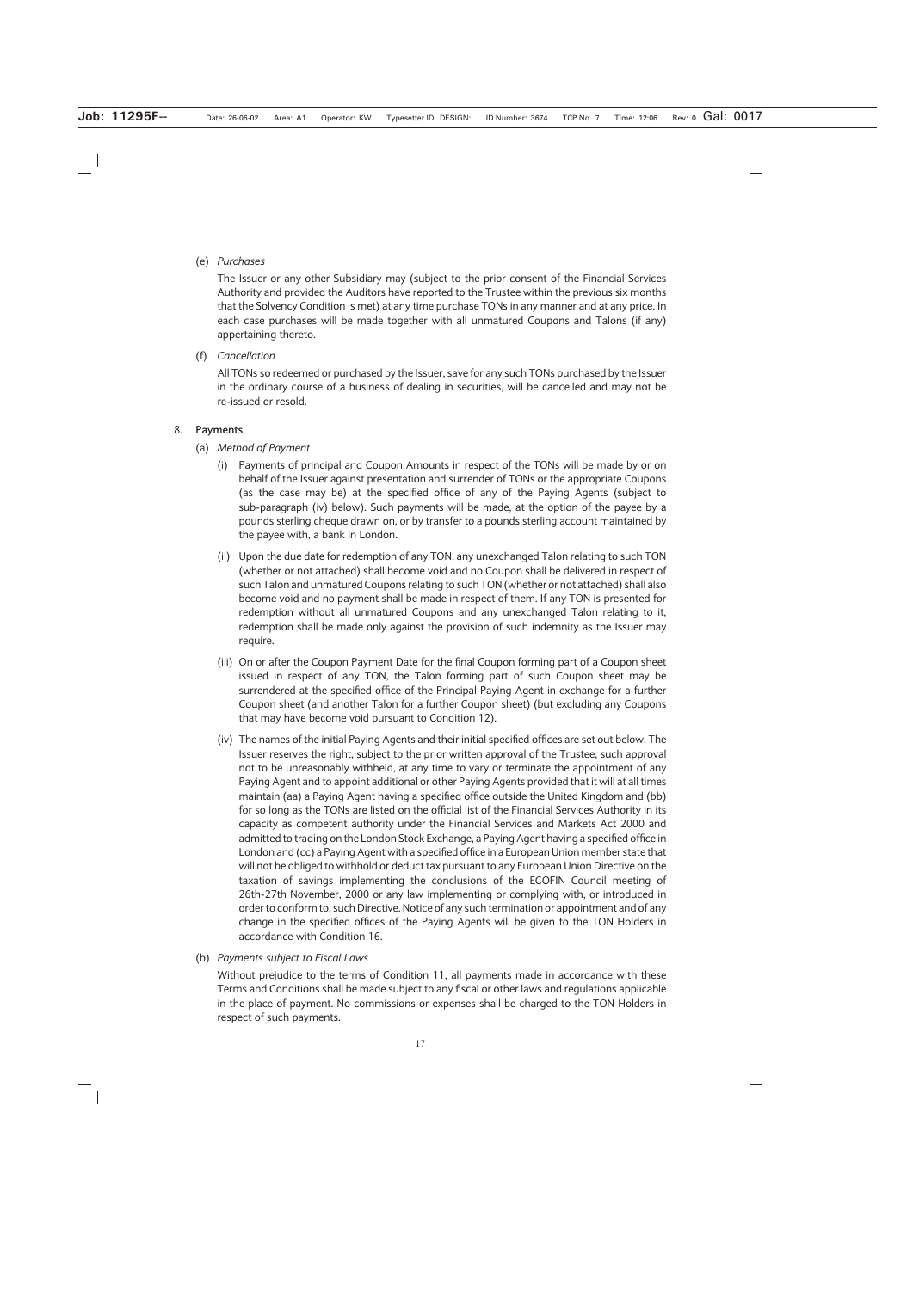# (e) *Purchases*

The Issuer or any other Subsidiary may (subject to the prior consent of the Financial Services Authority and provided the Auditors have reported to the Trustee within the previous six months that the Solvency Condition is met) at any time purchase TONs in any manner and at any price. In each case purchases will be made together with all unmatured Coupons and Talons (if any) appertaining thereto.

(f) *Cancellation*

All TONs so redeemed or purchased by the Issuer, save for any such TONs purchased by the Issuer in the ordinary course of a business of dealing in securities, will be cancelled and may not be re-issued or resold.

# 8. **Payments**

- (a) *Method of Payment*
	- (i) Payments of principal and Coupon Amounts in respect of the TONs will be made by or on behalf of the Issuer against presentation and surrender of TONs or the appropriate Coupons (as the case may be) at the specified office of any of the Paying Agents (subject to sub-paragraph (iv) below). Such payments will be made, at the option of the payee by a pounds sterling cheque drawn on, or by transfer to a pounds sterling account maintained by the payee with, a bank in London.
	- (ii) Upon the due date for redemption of any TON, any unexchanged Talon relating to such TON (whether or not attached) shall become void and no Coupon shall be delivered in respect of such Talon and unmatured Coupons relating to such TON (whether or not attached) shall also become void and no payment shall be made in respect of them. If any TON is presented for redemption without all unmatured Coupons and any unexchanged Talon relating to it, redemption shall be made only against the provision of such indemnity as the Issuer may require.
	- (iii) On or after the Coupon Payment Date for the final Coupon forming part of a Coupon sheet issued in respect of any TON, the Talon forming part of such Coupon sheet may be surrendered at the specified office of the Principal Paying Agent in exchange for a further Coupon sheet (and another Talon for a further Coupon sheet) (but excluding any Coupons that may have become void pursuant to Condition 12).
	- (iv) The names of the initial Paying Agents and their initial specified offices are set out below. The Issuer reserves the right, subject to the prior written approval of the Trustee, such approval not to be unreasonably withheld, at any time to vary or terminate the appointment of any Paying Agent and to appoint additional or other Paying Agents provided that it will at all times maintain (aa) a Paying Agent having a specified office outside the United Kingdom and (bb) for so long as the TONs are listed on the official list of the Financial Services Authority in its capacity as competent authority under the Financial Services and Markets Act 2000 and admitted to trading on the London Stock Exchange, a Paying Agent having a specified office in London and (cc) a Paying Agent with a specified office in a European Union member state that will not be obliged to withhold or deduct tax pursuant to any European Union Directive on the taxation of savings implementing the conclusions of the ECOFIN Council meeting of 26th-27th November, 2000 or any law implementing or complying with, or introduced in order to conform to, such Directive. Notice of any such termination or appointment and of any change in the specified offices of the Paying Agents will be given to the TON Holders in accordance with Condition 16.
- (b) *Payments subject to Fiscal Laws*

Without prejudice to the terms of Condition 11, all payments made in accordance with these Terms and Conditions shall be made subject to any fiscal or other laws and regulations applicable in the place of payment. No commissions or expenses shall be charged to the TON Holders in respect of such payments.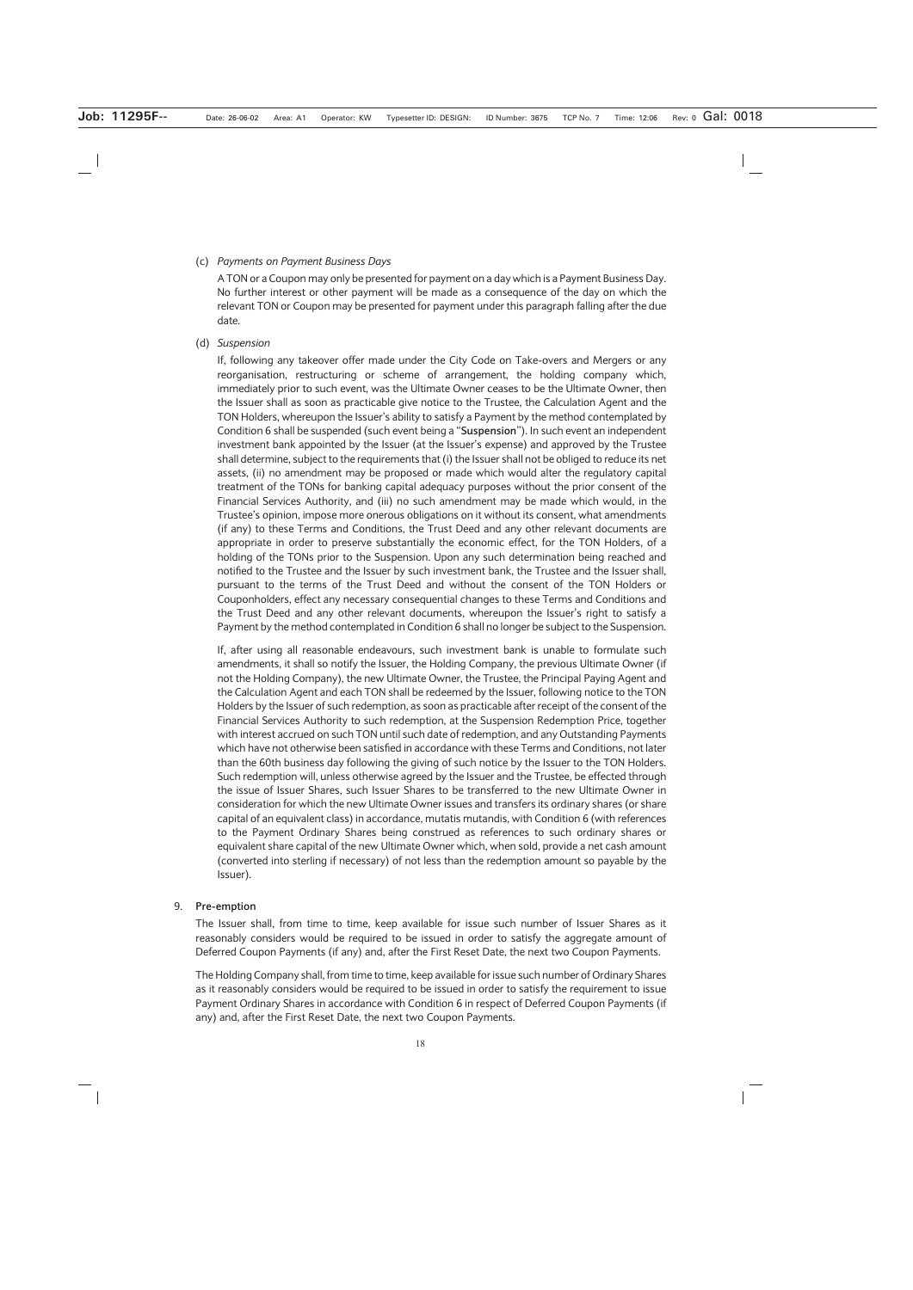#### (c) *Payments on Payment Business Days*

A TON or a Coupon may only be presented for payment on a day which is a Payment Business Day. No further interest or other payment will be made as a consequence of the day on which the relevant TON or Coupon may be presented for payment under this paragraph falling after the due date.

#### (d) *Suspension*

If, following any takeover offer made under the City Code on Take-overs and Mergers or any reorganisation, restructuring or scheme of arrangement, the holding company which, immediately prior to such event, was the Ultimate Owner ceases to be the Ultimate Owner, then the Issuer shall as soon as practicable give notice to the Trustee, the Calculation Agent and the TON Holders, whereupon the Issuer's ability to satisfy a Payment by the method contemplated by Condition 6 shall be suspended (such event being a "**Suspension**"). In such event an independent investment bank appointed by the Issuer (at the Issuer's expense) and approved by the Trustee shall determine, subject to the requirements that (i) the Issuer shall not be obliged to reduce its net assets, (ii) no amendment may be proposed or made which would alter the regulatory capital treatment of the TONs for banking capital adequacy purposes without the prior consent of the Financial Services Authority, and (iii) no such amendment may be made which would, in the Trustee's opinion, impose more onerous obligations on it without its consent, what amendments (if any) to these Terms and Conditions, the Trust Deed and any other relevant documents are appropriate in order to preserve substantially the economic effect, for the TON Holders, of a holding of the TONs prior to the Suspension. Upon any such determination being reached and notified to the Trustee and the Issuer by such investment bank, the Trustee and the Issuer shall, pursuant to the terms of the Trust Deed and without the consent of the TON Holders or Couponholders, effect any necessary consequential changes to these Terms and Conditions and the Trust Deed and any other relevant documents, whereupon the Issuer's right to satisfy a Payment by the method contemplated in Condition 6 shall no longer be subject to the Suspension.

If, after using all reasonable endeavours, such investment bank is unable to formulate such amendments, it shall so notify the Issuer, the Holding Company, the previous Ultimate Owner (if not the Holding Company), the new Ultimate Owner, the Trustee, the Principal Paying Agent and the Calculation Agent and each TON shall be redeemed by the Issuer, following notice to the TON Holders by the Issuer of such redemption, as soon as practicable after receipt of the consent of the Financial Services Authority to such redemption, at the Suspension Redemption Price, together with interest accrued on such TON until such date of redemption, and any Outstanding Payments which have not otherwise been satisfied in accordance with these Terms and Conditions, not later than the 60th business day following the giving of such notice by the Issuer to the TON Holders. Such redemption will, unless otherwise agreed by the Issuer and the Trustee, be effected through the issue of Issuer Shares, such Issuer Shares to be transferred to the new Ultimate Owner in consideration for which the new Ultimate Owner issues and transfers its ordinary shares (or share capital of an equivalent class) in accordance, mutatis mutandis, with Condition 6 (with references to the Payment Ordinary Shares being construed as references to such ordinary shares or equivalent share capital of the new Ultimate Owner which, when sold, provide a net cash amount (converted into sterling if necessary) of not less than the redemption amount so payable by the Issuer).

#### 9. **Pre-emption**

The Issuer shall, from time to time, keep available for issue such number of Issuer Shares as it reasonably considers would be required to be issued in order to satisfy the aggregate amount of Deferred Coupon Payments (if any) and, after the First Reset Date, the next two Coupon Payments.

The Holding Company shall, from time to time, keep available for issue such number of Ordinary Shares as it reasonably considers would be required to be issued in order to satisfy the requirement to issue Payment Ordinary Shares in accordance with Condition 6 in respect of Deferred Coupon Payments (if any) and, after the First Reset Date, the next two Coupon Payments.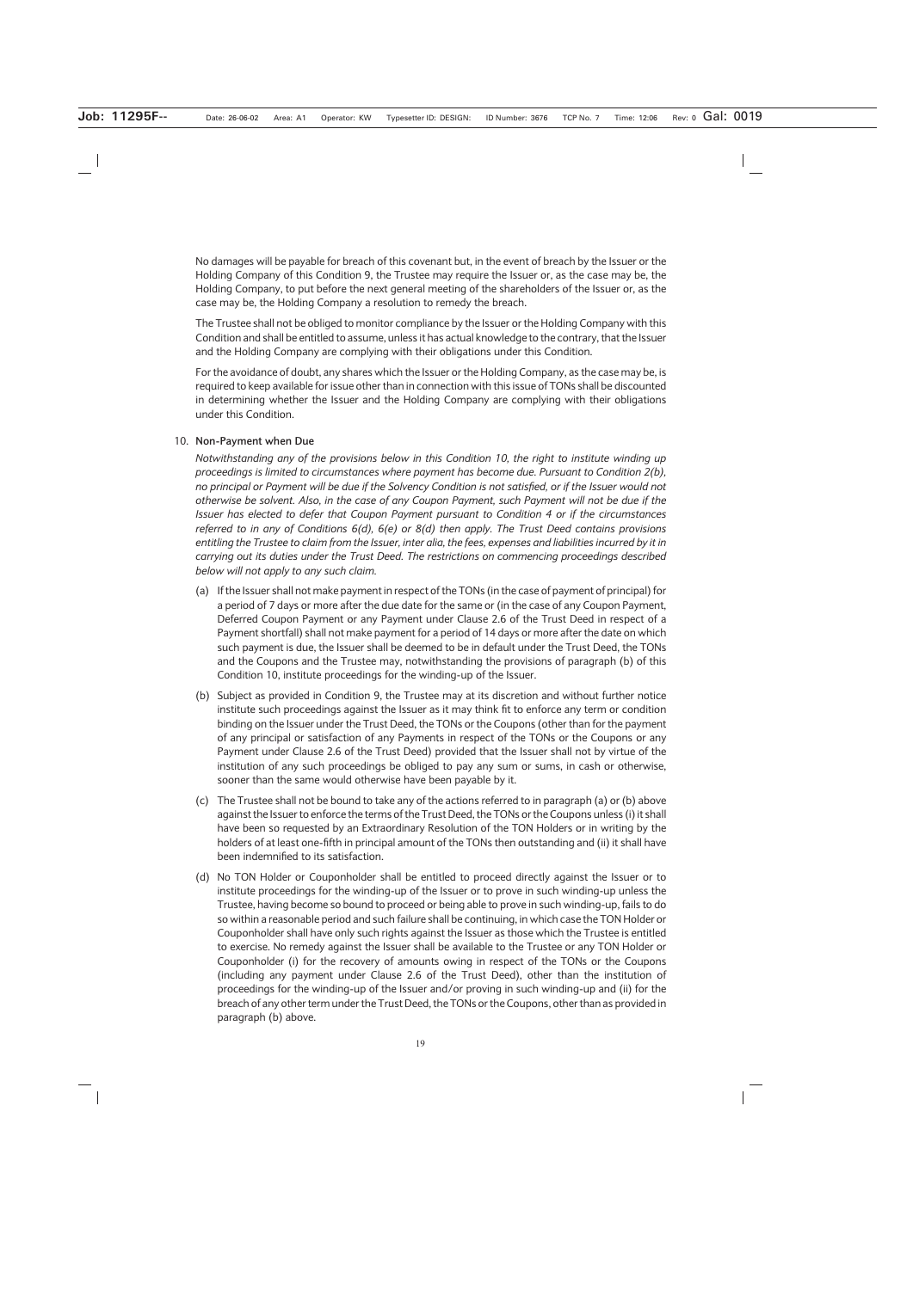No damages will be payable for breach of this covenant but, in the event of breach by the Issuer or the Holding Company of this Condition 9, the Trustee may require the Issuer or, as the case may be, the Holding Company, to put before the next general meeting of the shareholders of the Issuer or, as the case may be, the Holding Company a resolution to remedy the breach.

The Trustee shall not be obliged to monitor compliance by the Issuer or the Holding Company with this Condition and shall be entitled to assume, unless it has actual knowledge to the contrary, that the Issuer and the Holding Company are complying with their obligations under this Condition.

For the avoidance of doubt, any shares which the Issuer or the Holding Company, as the case may be, is required to keep available for issue other than in connection with this issue of TONs shall be discounted in determining whether the Issuer and the Holding Company are complying with their obligations under this Condition.

### 10. **Non-Payment when Due**

*Notwithstanding any of the provisions below in this Condition 10, the right to institute winding up proceedings is limited to circumstances where payment has become due. Pursuant to Condition 2(b), no principal or Payment will be due if the Solvency Condition is not satisfied, or if the Issuer would not otherwise be solvent. Also, in the case of any Coupon Payment, such Payment will not be due if the Issuer has elected to defer that Coupon Payment pursuant to Condition 4 or if the circumstances referred to in any of Conditions 6(d), 6(e) or 8(d) then apply. The Trust Deed contains provisions entitling the Trustee to claim from the Issuer, inter alia, the fees, expenses and liabilities incurred by it in carrying out its duties under the Trust Deed. The restrictions on commencing proceedings described below will not apply to any such claim.*

- (a) If the Issuer shall not make payment in respect of the TONs (in the case of payment of principal) for a period of 7 days or more after the due date for the same or (in the case of any Coupon Payment, Deferred Coupon Payment or any Payment under Clause 2.6 of the Trust Deed in respect of a Payment shortfall) shall not make payment for a period of 14 days or more after the date on which such payment is due, the Issuer shall be deemed to be in default under the Trust Deed, the TONs and the Coupons and the Trustee may, notwithstanding the provisions of paragraph (b) of this Condition 10, institute proceedings for the winding-up of the Issuer.
- (b) Subject as provided in Condition 9, the Trustee may at its discretion and without further notice institute such proceedings against the Issuer as it may think fit to enforce any term or condition binding on the Issuer under the Trust Deed, the TONs or the Coupons (other than for the payment of any principal or satisfaction of any Payments in respect of the TONs or the Coupons or any Payment under Clause 2.6 of the Trust Deed) provided that the Issuer shall not by virtue of the institution of any such proceedings be obliged to pay any sum or sums, in cash or otherwise, sooner than the same would otherwise have been payable by it.
- (c) The Trustee shall not be bound to take any of the actions referred to in paragraph (a) or (b) above against the Issuer to enforce the terms of the Trust Deed, the TONs or the Coupons unless (i) it shall have been so requested by an Extraordinary Resolution of the TON Holders or in writing by the holders of at least one-fifth in principal amount of the TONs then outstanding and (ii) it shall have been indemnified to its satisfaction.
- (d) No TON Holder or Couponholder shall be entitled to proceed directly against the Issuer or to institute proceedings for the winding-up of the Issuer or to prove in such winding-up unless the Trustee, having become so bound to proceed or being able to prove in such winding-up, fails to do so within a reasonable period and such failure shall be continuing, in which case the TON Holder or Couponholder shall have only such rights against the Issuer as those which the Trustee is entitled to exercise. No remedy against the Issuer shall be available to the Trustee or any TON Holder or Couponholder (i) for the recovery of amounts owing in respect of the TONs or the Coupons (including any payment under Clause 2.6 of the Trust Deed), other than the institution of proceedings for the winding-up of the Issuer and/or proving in such winding-up and (ii) for the breach of any other term under the Trust Deed, the TONs or the Coupons, other than as provided in paragraph (b) above.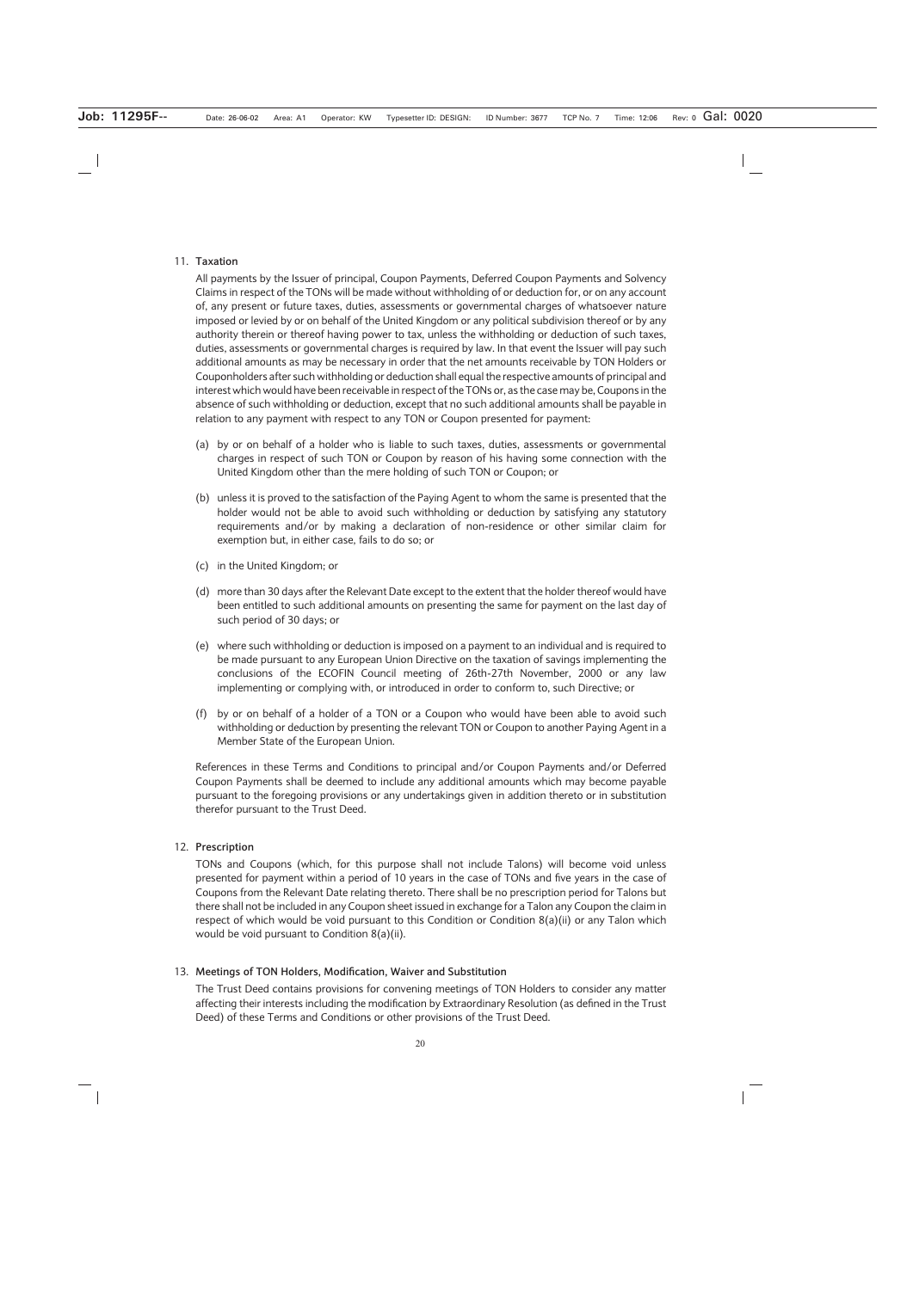### 11. **Taxation**

All payments by the Issuer of principal, Coupon Payments, Deferred Coupon Payments and Solvency Claims in respect of the TONs will be made without withholding of or deduction for, or on any account of, any present or future taxes, duties, assessments or governmental charges of whatsoever nature imposed or levied by or on behalf of the United Kingdom or any political subdivision thereof or by any authority therein or thereof having power to tax, unless the withholding or deduction of such taxes, duties, assessments or governmental charges is required by law. In that event the Issuer will pay such additional amounts as may be necessary in order that the net amounts receivable by TON Holders or Couponholders after such withholding or deduction shall equal the respective amounts of principal and interest which would have been receivable in respect of the TONs or, as the case may be, Coupons in the absence of such withholding or deduction, except that no such additional amounts shall be payable in relation to any payment with respect to any TON or Coupon presented for payment:

- (a) by or on behalf of a holder who is liable to such taxes, duties, assessments or governmental charges in respect of such TON or Coupon by reason of his having some connection with the United Kingdom other than the mere holding of such TON or Coupon; or
- (b) unless it is proved to the satisfaction of the Paying Agent to whom the same is presented that the holder would not be able to avoid such withholding or deduction by satisfying any statutory requirements and/or by making a declaration of non-residence or other similar claim for exemption but, in either case, fails to do so; or
- (c) in the United Kingdom; or
- (d) more than 30 days after the Relevant Date except to the extent that the holder thereof would have been entitled to such additional amounts on presenting the same for payment on the last day of such period of 30 days; or
- (e) where such withholding or deduction is imposed on a payment to an individual and is required to be made pursuant to any European Union Directive on the taxation of savings implementing the conclusions of the ECOFIN Council meeting of 26th-27th November, 2000 or any law implementing or complying with, or introduced in order to conform to, such Directive; or
- (f) by or on behalf of a holder of a TON or a Coupon who would have been able to avoid such withholding or deduction by presenting the relevant TON or Coupon to another Paying Agent in a Member State of the European Union.

References in these Terms and Conditions to principal and/or Coupon Payments and/or Deferred Coupon Payments shall be deemed to include any additional amounts which may become payable pursuant to the foregoing provisions or any undertakings given in addition thereto or in substitution therefor pursuant to the Trust Deed.

# 12. **Prescription**

TONs and Coupons (which, for this purpose shall not include Talons) will become void unless presented for payment within a period of 10 years in the case of TONs and five years in the case of Coupons from the Relevant Date relating thereto. There shall be no prescription period for Talons but there shall not be included in any Coupon sheet issued in exchange for a Talon any Coupon the claim in respect of which would be void pursuant to this Condition or Condition 8(a)(ii) or any Talon which would be void pursuant to Condition 8(a)(ii).

# 13. **Meetings of TON Holders, Modification, Waiver and Substitution**

The Trust Deed contains provisions for convening meetings of TON Holders to consider any matter affecting their interests including the modification by Extraordinary Resolution (as defined in the Trust Deed) of these Terms and Conditions or other provisions of the Trust Deed.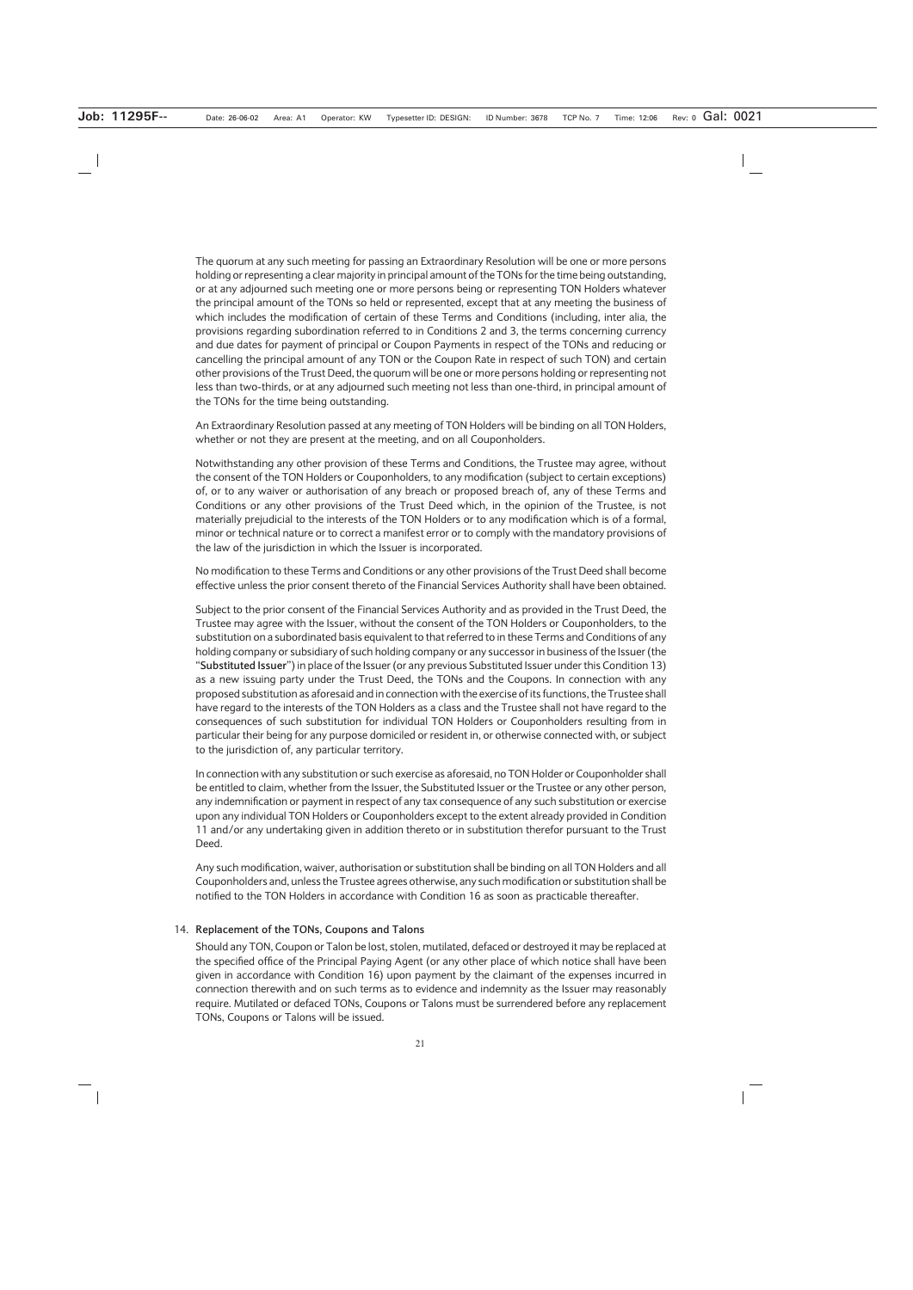The quorum at any such meeting for passing an Extraordinary Resolution will be one or more persons holding or representing a clear majority in principal amount of the TONs for the time being outstanding, or at any adjourned such meeting one or more persons being or representing TON Holders whatever the principal amount of the TONs so held or represented, except that at any meeting the business of which includes the modification of certain of these Terms and Conditions (including, inter alia, the provisions regarding subordination referred to in Conditions 2 and 3, the terms concerning currency and due dates for payment of principal or Coupon Payments in respect of the TONs and reducing or cancelling the principal amount of any TON or the Coupon Rate in respect of such TON) and certain other provisions of the Trust Deed, the quorum will be one or more persons holding or representing not less than two-thirds, or at any adjourned such meeting not less than one-third, in principal amount of the TONs for the time being outstanding.

An Extraordinary Resolution passed at any meeting of TON Holders will be binding on all TON Holders, whether or not they are present at the meeting, and on all Couponholders.

Notwithstanding any other provision of these Terms and Conditions, the Trustee may agree, without the consent of the TON Holders or Couponholders, to any modification (subject to certain exceptions) of, or to any waiver or authorisation of any breach or proposed breach of, any of these Terms and Conditions or any other provisions of the Trust Deed which, in the opinion of the Trustee, is not materially prejudicial to the interests of the TON Holders or to any modification which is of a formal, minor or technical nature or to correct a manifest error or to comply with the mandatory provisions of the law of the jurisdiction in which the Issuer is incorporated.

No modification to these Terms and Conditions or any other provisions of the Trust Deed shall become effective unless the prior consent thereto of the Financial Services Authority shall have been obtained.

Subject to the prior consent of the Financial Services Authority and as provided in the Trust Deed, the Trustee may agree with the Issuer, without the consent of the TON Holders or Couponholders, to the substitution on a subordinated basis equivalent to that referred to in these Terms and Conditions of any holding company or subsidiary of such holding company or any successor in business of the Issuer (the "**Substituted Issuer**") in place of the Issuer (or any previous Substituted Issuer under this Condition 13) as a new issuing party under the Trust Deed, the TONs and the Coupons. In connection with any proposed substitution as aforesaid and in connection with the exercise of its functions, the Trustee shall have regard to the interests of the TON Holders as a class and the Trustee shall not have regard to the consequences of such substitution for individual TON Holders or Couponholders resulting from in particular their being for any purpose domiciled or resident in, or otherwise connected with, or subject to the jurisdiction of, any particular territory.

In connection with any substitution or such exercise as aforesaid, no TON Holder or Couponholder shall be entitled to claim, whether from the Issuer, the Substituted Issuer or the Trustee or any other person, any indemnification or payment in respect of any tax consequence of any such substitution or exercise upon any individual TON Holders or Couponholders except to the extent already provided in Condition 11 and/or any undertaking given in addition thereto or in substitution therefor pursuant to the Trust Deed.

Any such modification, waiver, authorisation or substitution shall be binding on all TON Holders and all Couponholders and, unless the Trustee agrees otherwise, any such modification or substitution shall be notified to the TON Holders in accordance with Condition 16 as soon as practicable thereafter.

### 14. **Replacement of the TONs, Coupons and Talons**

Should any TON, Coupon or Talon be lost, stolen, mutilated, defaced or destroyed it may be replaced at the specified office of the Principal Paying Agent (or any other place of which notice shall have been given in accordance with Condition 16) upon payment by the claimant of the expenses incurred in connection therewith and on such terms as to evidence and indemnity as the Issuer may reasonably require. Mutilated or defaced TONs, Coupons or Talons must be surrendered before any replacement TONs, Coupons or Talons will be issued.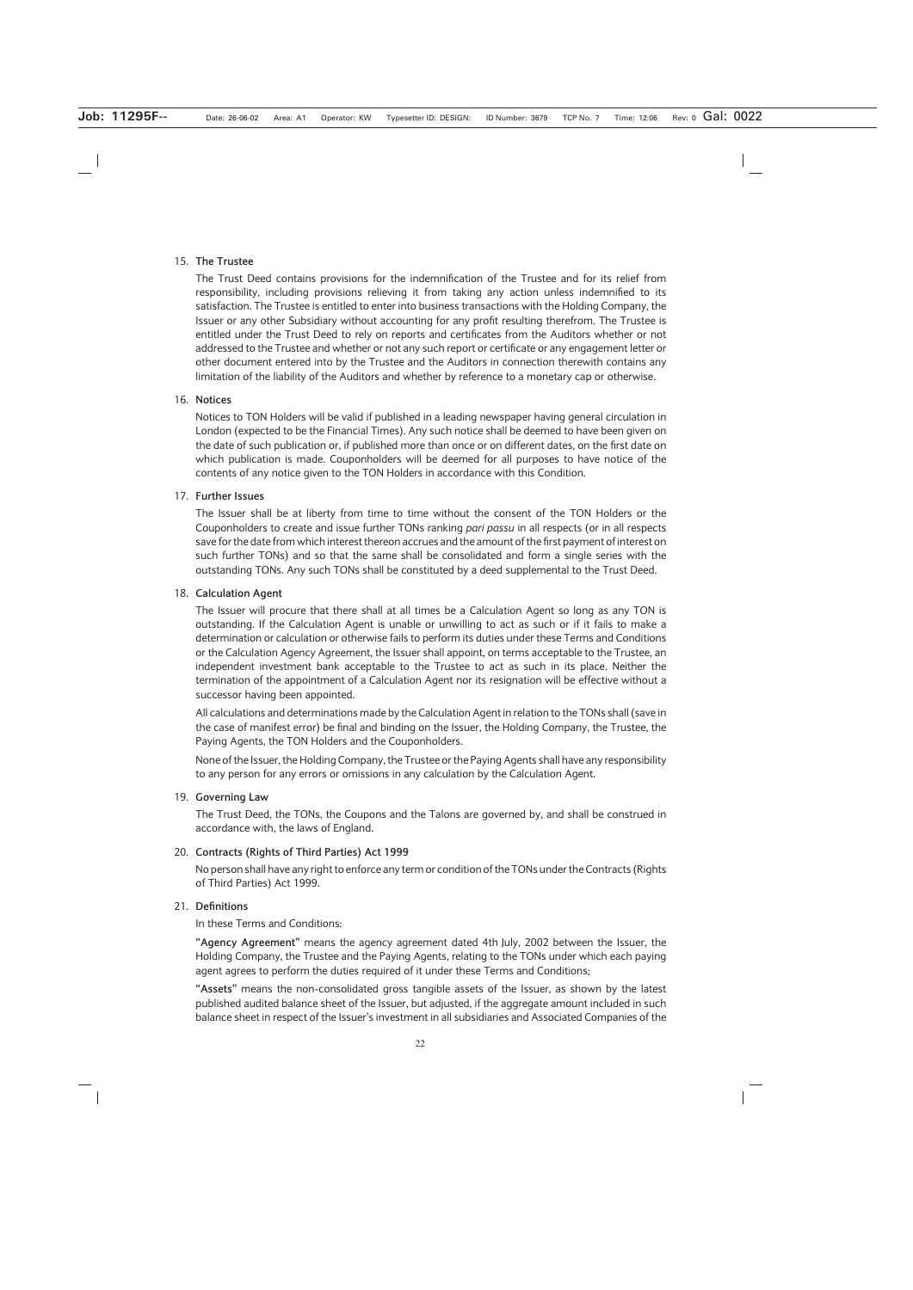#### 15. **The Trustee**

The Trust Deed contains provisions for the indemnification of the Trustee and for its relief from responsibility, including provisions relieving it from taking any action unless indemnified to its satisfaction. The Trustee is entitled to enter into business transactions with the Holding Company, the Issuer or any other Subsidiary without accounting for any profit resulting therefrom. The Trustee is entitled under the Trust Deed to rely on reports and certificates from the Auditors whether or not addressed to the Trustee and whether or not any such report or certificate or any engagement letter or other document entered into by the Trustee and the Auditors in connection therewith contains any limitation of the liability of the Auditors and whether by reference to a monetary cap or otherwise.

#### 16. **Notices**

Notices to TON Holders will be valid if published in a leading newspaper having general circulation in London (expected to be the Financial Times). Any such notice shall be deemed to have been given on the date of such publication or, if published more than once or on different dates, on the first date on which publication is made. Couponholders will be deemed for all purposes to have notice of the contents of any notice given to the TON Holders in accordance with this Condition.

#### 17. **Further Issues**

The Issuer shall be at liberty from time to time without the consent of the TON Holders or the Couponholders to create and issue further TONs ranking *pari passu* in all respects (or in all respects save for the date from which interest thereon accrues and the amount of the first payment of interest on such further TONs) and so that the same shall be consolidated and form a single series with the outstanding TONs. Any such TONs shall be constituted by a deed supplemental to the Trust Deed.

#### 18. **Calculation Agent**

The Issuer will procure that there shall at all times be a Calculation Agent so long as any TON is outstanding. If the Calculation Agent is unable or unwilling to act as such or if it fails to make a determination or calculation or otherwise fails to perform its duties under these Terms and Conditions or the Calculation Agency Agreement, the Issuer shall appoint, on terms acceptable to the Trustee, an independent investment bank acceptable to the Trustee to act as such in its place. Neither the termination of the appointment of a Calculation Agent nor its resignation will be effective without a successor having been appointed.

All calculations and determinations made by the Calculation Agent in relation to the TONs shall (save in the case of manifest error) be final and binding on the Issuer, the Holding Company, the Trustee, the Paying Agents, the TON Holders and the Couponholders.

None of the Issuer, the Holding Company, the Trustee or the Paying Agents shall have any responsibility to any person for any errors or omissions in any calculation by the Calculation Agent.

#### 19. **Governing Law**

The Trust Deed, the TONs, the Coupons and the Talons are governed by, and shall be construed in accordance with, the laws of England.

### 20. **Contracts (Rights of Third Parties) Act 1999**

No person shall have any right to enforce any term or condition of the TONs under the Contracts (Rights of Third Parties) Act 1999.

# 21. **Definitions**

In these Terms and Conditions:

**"Agency Agreement"** means the agency agreement dated 4th July, 2002 between the Issuer, the Holding Company, the Trustee and the Paying Agents, relating to the TONs under which each paying agent agrees to perform the duties required of it under these Terms and Conditions;

**"Assets"** means the non-consolidated gross tangible assets of the Issuer, as shown by the latest published audited balance sheet of the Issuer, but adjusted, if the aggregate amount included in such balance sheet in respect of the Issuer's investment in all subsidiaries and Associated Companies of the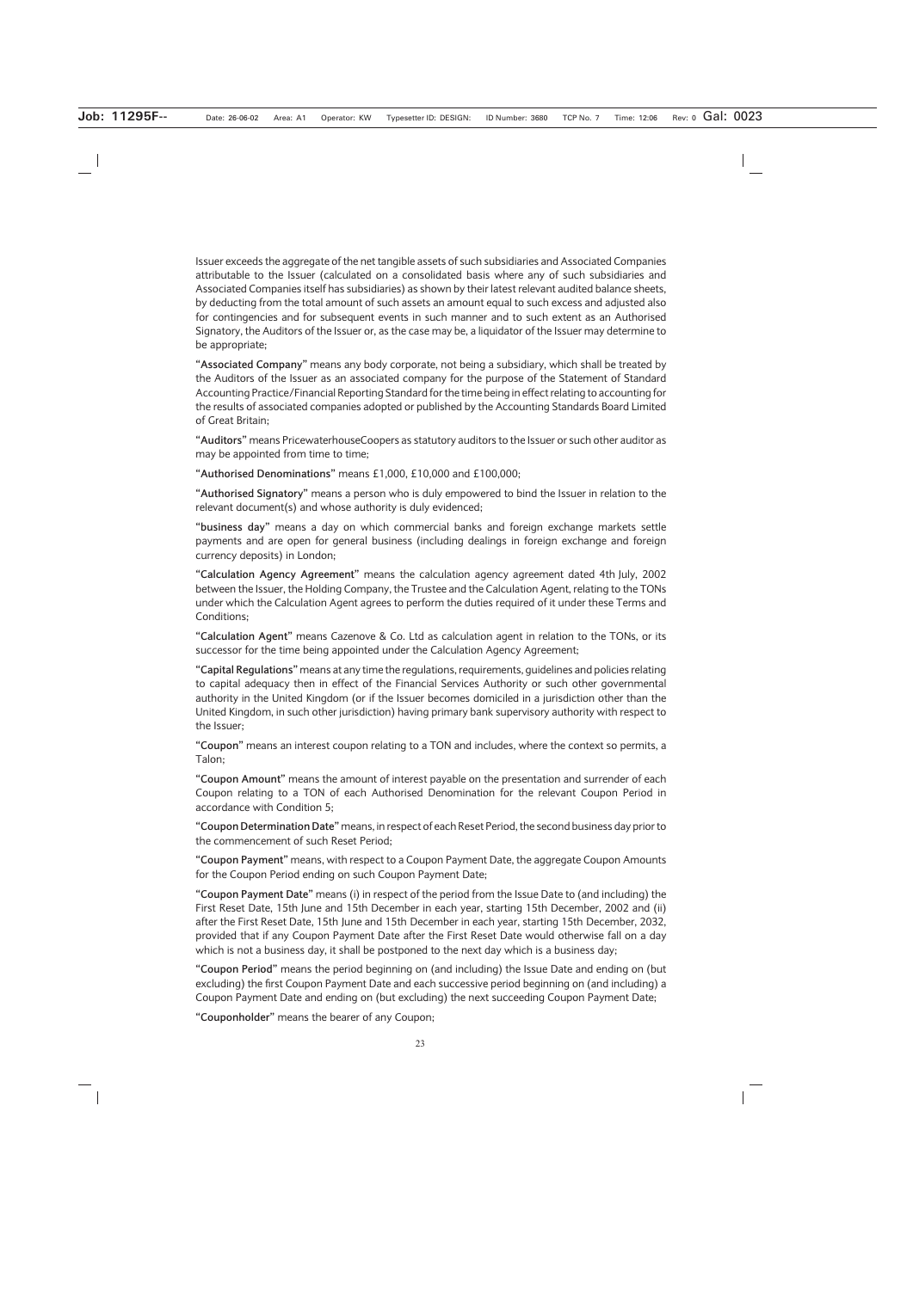Issuer exceeds the aggregate of the net tangible assets of such subsidiaries and Associated Companies attributable to the Issuer (calculated on a consolidated basis where any of such subsidiaries and Associated Companies itself has subsidiaries) as shown by their latest relevant audited balance sheets, by deducting from the total amount of such assets an amount equal to such excess and adjusted also for contingencies and for subsequent events in such manner and to such extent as an Authorised Signatory, the Auditors of the Issuer or, as the case may be, a liquidator of the Issuer may determine to be appropriate;

**"Associated Company"** means any body corporate, not being a subsidiary, which shall be treated by the Auditors of the Issuer as an associated company for the purpose of the Statement of Standard Accounting Practice/Financial Reporting Standard for the time being in effect relating to accounting for the results of associated companies adopted or published by the Accounting Standards Board Limited of Great Britain;

**"Auditors"** means PricewaterhouseCoopers as statutory auditors to the Issuer or such other auditor as may be appointed from time to time;

**"Authorised Denominations"** means £1,000, £10,000 and £100,000;

**"Authorised Signatory"** means a person who is duly empowered to bind the Issuer in relation to the relevant document(s) and whose authority is duly evidenced;

**"business day"** means a day on which commercial banks and foreign exchange markets settle payments and are open for general business (including dealings in foreign exchange and foreign currency deposits) in London;

**"Calculation Agency Agreement"** means the calculation agency agreement dated 4th July, 2002 between the Issuer, the Holding Company, the Trustee and the Calculation Agent, relating to the TONs under which the Calculation Agent agrees to perform the duties required of it under these Terms and Conditions;

**"Calculation Agent"** means Cazenove & Co. Ltd as calculation agent in relation to the TONs, or its successor for the time being appointed under the Calculation Agency Agreement;

**"Capital Regulations"** means at any time the regulations, requirements, guidelines and policies relating to capital adequacy then in effect of the Financial Services Authority or such other governmental authority in the United Kingdom (or if the Issuer becomes domiciled in a jurisdiction other than the United Kingdom, in such other jurisdiction) having primary bank supervisory authority with respect to the Issuer;

**"Coupon"** means an interest coupon relating to a TON and includes, where the context so permits, a Talon;

**"Coupon Amount"** means the amount of interest payable on the presentation and surrender of each Coupon relating to a TON of each Authorised Denomination for the relevant Coupon Period in accordance with Condition 5;

**"Coupon Determination Date"** means, in respect of each Reset Period, the second business day prior to the commencement of such Reset Period;

**"Coupon Payment"** means, with respect to a Coupon Payment Date, the aggregate Coupon Amounts for the Coupon Period ending on such Coupon Payment Date;

**"Coupon Payment Date"** means (i) in respect of the period from the Issue Date to (and including) the First Reset Date, 15th June and 15th December in each year, starting 15th December, 2002 and (ii) after the First Reset Date, 15th June and 15th December in each year, starting 15th December, 2032, provided that if any Coupon Payment Date after the First Reset Date would otherwise fall on a day which is not a business day, it shall be postponed to the next day which is a business day;

**"Coupon Period"** means the period beginning on (and including) the Issue Date and ending on (but excluding) the first Coupon Payment Date and each successive period beginning on (and including) a Coupon Payment Date and ending on (but excluding) the next succeeding Coupon Payment Date;

**"Couponholder"** means the bearer of any Coupon;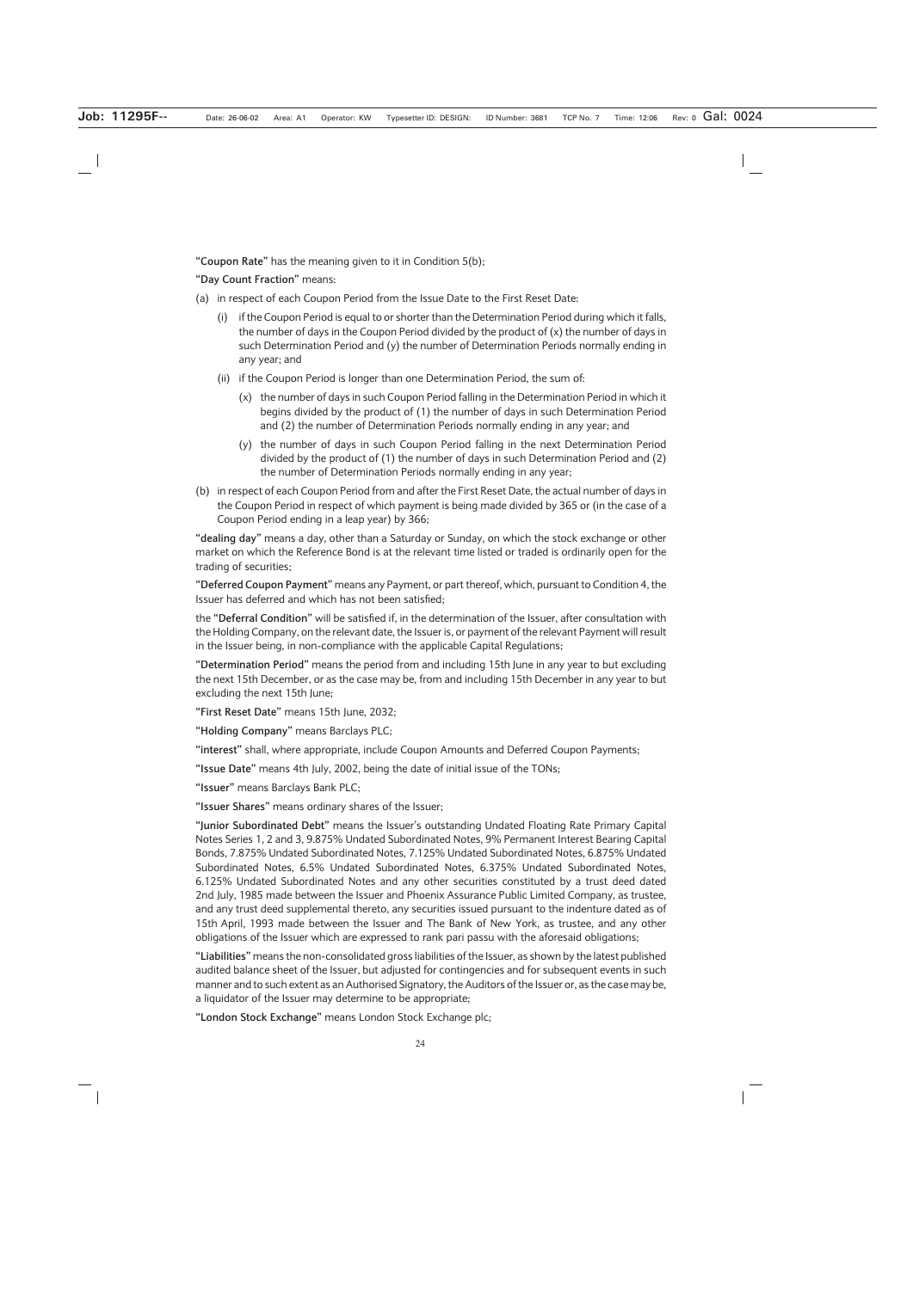**"Coupon Rate"** has the meaning given to it in Condition 5(b);

**"Day Count Fraction"** means:

- (a) in respect of each Coupon Period from the Issue Date to the First Reset Date:
	- (i) if the Coupon Period is equal to or shorter than the Determination Period during which it falls, the number of days in the Coupon Period divided by the product of (x) the number of days in such Determination Period and (y) the number of Determination Periods normally ending in any year; and
	- (ii) if the Coupon Period is longer than one Determination Period, the sum of:
		- (x) the number of days in such Coupon Period falling in the Determination Period in which it begins divided by the product of (1) the number of days in such Determination Period and (2) the number of Determination Periods normally ending in any year; and
		- (y) the number of days in such Coupon Period falling in the next Determination Period divided by the product of (1) the number of days in such Determination Period and (2) the number of Determination Periods normally ending in any year;
- (b) in respect of each Coupon Period from and after the First Reset Date, the actual number of days in the Coupon Period in respect of which payment is being made divided by 365 or (in the case of a Coupon Period ending in a leap year) by 366;

**"dealing day"** means a day, other than a Saturday or Sunday, on which the stock exchange or other market on which the Reference Bond is at the relevant time listed or traded is ordinarily open for the trading of securities;

**"Deferred Coupon Payment"** means any Payment, or part thereof, which, pursuant to Condition 4, the Issuer has deferred and which has not been satisfied;

the **"Deferral Condition"** will be satisfied if, in the determination of the Issuer, after consultation with the Holding Company, on the relevant date, the Issuer is, or payment of the relevant Payment will result in the Issuer being, in non-compliance with the applicable Capital Regulations;

**"Determination Period"** means the period from and including 15th June in any year to but excluding the next 15th December, or as the case may be, from and including 15th December in any year to but excluding the next 15th June;

**"First Reset Date"** means 15th June, 2032;

**"Holding Company"** means Barclays PLC;

**"interest"** shall, where appropriate, include Coupon Amounts and Deferred Coupon Payments;

**"Issue Date"** means 4th July, 2002, being the date of initial issue of the TONs;

**"Issuer"** means Barclays Bank PLC;

**"Issuer Shares"** means ordinary shares of the Issuer;

**"Junior Subordinated Debt"** means the Issuer's outstanding Undated Floating Rate Primary Capital Notes Series 1, 2 and 3, 9.875% Undated Subordinated Notes, 9% Permanent Interest Bearing Capital Bonds, 7.875% Undated Subordinated Notes, 7.125% Undated Subordinated Notes, 6.875% Undated Subordinated Notes, 6.5% Undated Subordinated Notes, 6.375% Undated Subordinated Notes, 6.125% Undated Subordinated Notes and any other securities constituted by a trust deed dated 2nd July, 1985 made between the Issuer and Phoenix Assurance Public Limited Company, as trustee, and any trust deed supplemental thereto, any securities issued pursuant to the indenture dated as of 15th April, 1993 made between the Issuer and The Bank of New York, as trustee, and any other obligations of the Issuer which are expressed to rank pari passu with the aforesaid obligations;

**"Liabilities"** means the non-consolidated gross liabilities of the Issuer, as shown by the latest published audited balance sheet of the Issuer, but adjusted for contingencies and for subsequent events in such manner and to such extent as an Authorised Signatory, the Auditors of the Issuer or, as the case may be, a liquidator of the Issuer may determine to be appropriate;

**"London Stock Exchange"** means London Stock Exchange plc;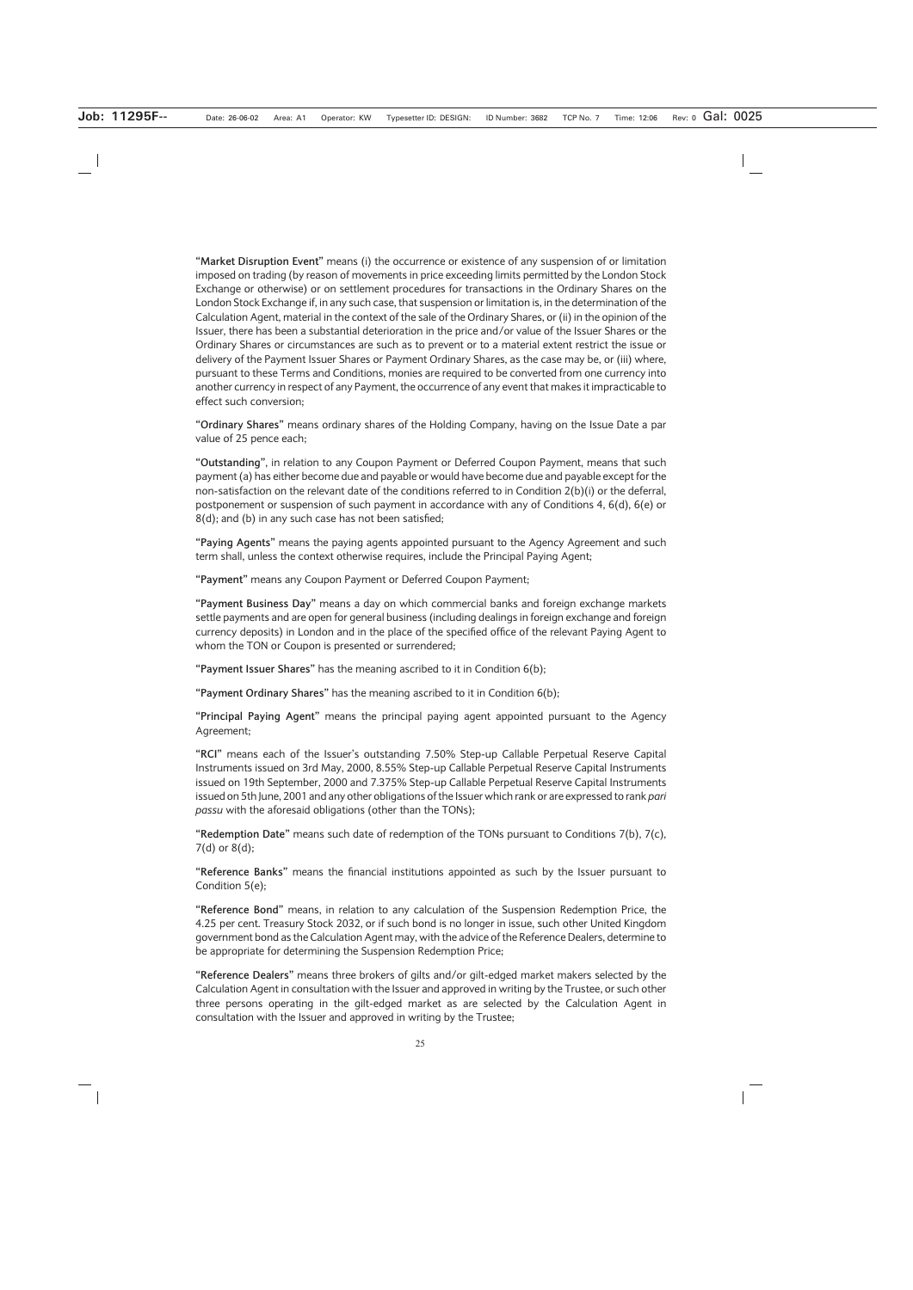**"Market Disruption Event"** means (i) the occurrence or existence of any suspension of or limitation imposed on trading (by reason of movements in price exceeding limits permitted by the London Stock Exchange or otherwise) or on settlement procedures for transactions in the Ordinary Shares on the London Stock Exchange if, in any such case, that suspension or limitation is, in the determination of the Calculation Agent, material in the context of the sale of the Ordinary Shares, or (ii) in the opinion of the Issuer, there has been a substantial deterioration in the price and/or value of the Issuer Shares or the Ordinary Shares or circumstances are such as to prevent or to a material extent restrict the issue or delivery of the Payment Issuer Shares or Payment Ordinary Shares, as the case may be, or (iii) where, pursuant to these Terms and Conditions, monies are required to be converted from one currency into another currency in respect of any Payment, the occurrence of any event that makes it impracticable to effect such conversion;

**"Ordinary Shares"** means ordinary shares of the Holding Company, having on the Issue Date a par value of 25 pence each;

**"Outstanding"**, in relation to any Coupon Payment or Deferred Coupon Payment, means that such payment (a) has either become due and payable or would have become due and payable except for the non-satisfaction on the relevant date of the conditions referred to in Condition 2(b)(i) or the deferral, postponement or suspension of such payment in accordance with any of Conditions 4, 6(d), 6(e) or 8(d); and (b) in any such case has not been satisfied;

**"Paying Agents"** means the paying agents appointed pursuant to the Agency Agreement and such term shall, unless the context otherwise requires, include the Principal Paying Agent;

**"Payment"** means any Coupon Payment or Deferred Coupon Payment;

**"Payment Business Day"** means a day on which commercial banks and foreign exchange markets settle payments and are open for general business (including dealings in foreign exchange and foreign currency deposits) in London and in the place of the specified office of the relevant Paying Agent to whom the TON or Coupon is presented or surrendered;

**"Payment Issuer Shares"** has the meaning ascribed to it in Condition 6(b);

**"Payment Ordinary Shares"** has the meaning ascribed to it in Condition 6(b);

**"Principal Paying Agent"** means the principal paying agent appointed pursuant to the Agency Agreement;

**"RCI"** means each of the Issuer's outstanding 7.50% Step-up Callable Perpetual Reserve Capital Instruments issued on 3rd May, 2000, 8.55% Step-up Callable Perpetual Reserve Capital Instruments issued on 19th September, 2000 and 7.375% Step-up Callable Perpetual Reserve Capital Instruments issued on 5th June, 2001 and any other obligations of the Issuer which rank or are expressed to rank *pari passu* with the aforesaid obligations (other than the TONs);

**"Redemption Date"** means such date of redemption of the TONs pursuant to Conditions 7(b), 7(c), 7(d) or 8(d);

**"Reference Banks"** means the financial institutions appointed as such by the Issuer pursuant to Condition 5(e);

**"Reference Bond"** means, in relation to any calculation of the Suspension Redemption Price, the 4.25 per cent. Treasury Stock 2032, or if such bond is no longer in issue, such other United Kingdom government bond as the Calculation Agent may, with the advice of the Reference Dealers, determine to be appropriate for determining the Suspension Redemption Price;

**"Reference Dealers"** means three brokers of gilts and/or gilt-edged market makers selected by the Calculation Agent in consultation with the Issuer and approved in writing by the Trustee, or such other three persons operating in the gilt-edged market as are selected by the Calculation Agent in consultation with the Issuer and approved in writing by the Trustee;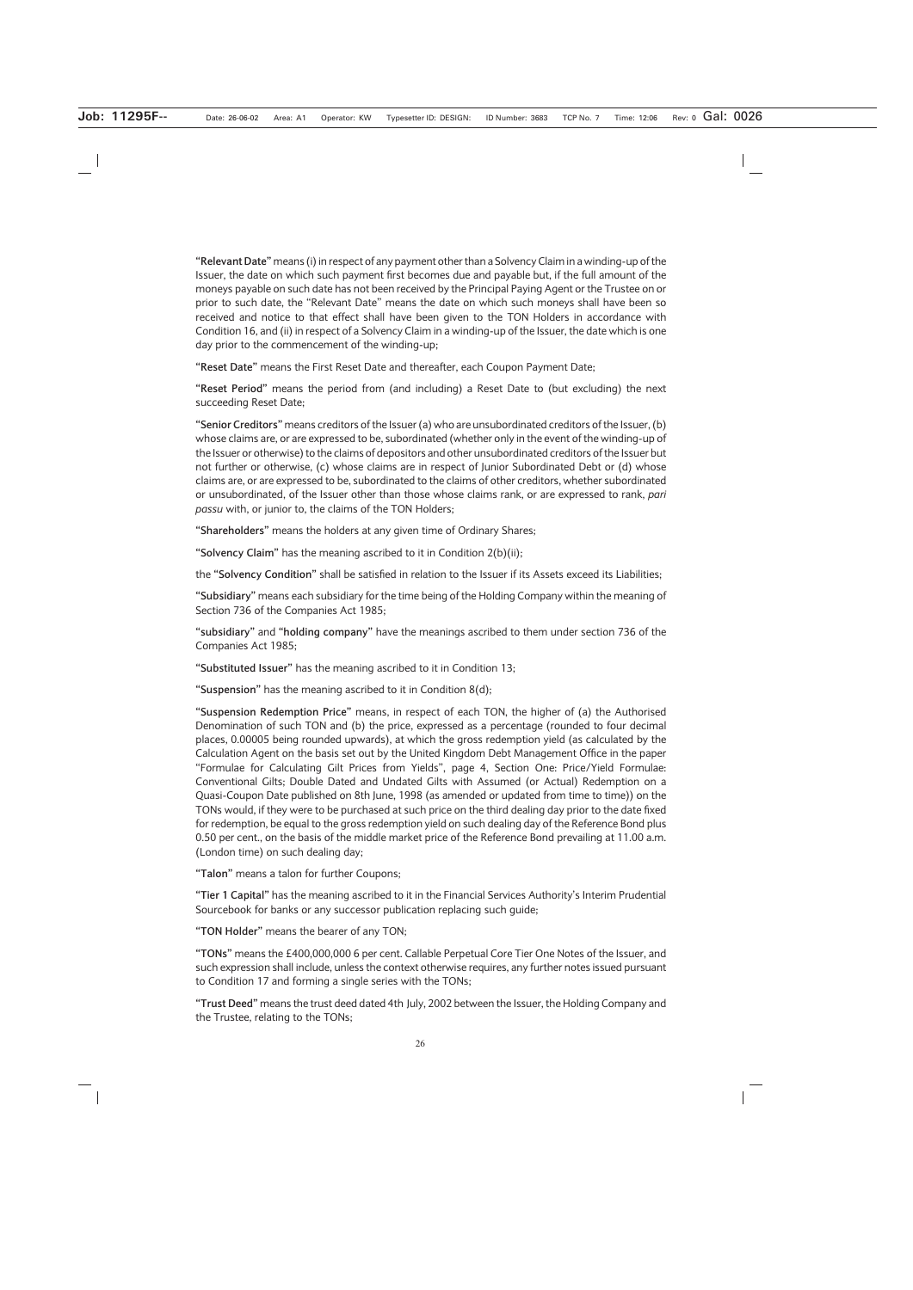**"Relevant Date"** means (i) in respect of any payment other than a Solvency Claim in a winding-up of the Issuer, the date on which such payment first becomes due and payable but, if the full amount of the moneys payable on such date has not been received by the Principal Paying Agent or the Trustee on or prior to such date, the "Relevant Date" means the date on which such moneys shall have been so received and notice to that effect shall have been given to the TON Holders in accordance with Condition 16, and (ii) in respect of a Solvency Claim in a winding-up of the Issuer, the date which is one day prior to the commencement of the winding-up;

**"Reset Date"** means the First Reset Date and thereafter, each Coupon Payment Date;

**"Reset Period"** means the period from (and including) a Reset Date to (but excluding) the next succeeding Reset Date;

**"Senior Creditors"** means creditors of the Issuer (a) who are unsubordinated creditors of the Issuer, (b) whose claims are, or are expressed to be, subordinated (whether only in the event of the winding-up of the Issuer or otherwise) to the claims of depositors and other unsubordinated creditors of the Issuer but not further or otherwise, (c) whose claims are in respect of Junior Subordinated Debt or (d) whose claims are, or are expressed to be, subordinated to the claims of other creditors, whether subordinated or unsubordinated, of the Issuer other than those whose claims rank, or are expressed to rank, *pari passu* with, or junior to, the claims of the TON Holders;

**"Shareholders"** means the holders at any given time of Ordinary Shares;

**"Solvency Claim"** has the meaning ascribed to it in Condition 2(b)(ii);

the **"Solvency Condition"** shall be satisfied in relation to the Issuer if its Assets exceed its Liabilities;

**"Subsidiary"** means each subsidiary for the time being of the Holding Company within the meaning of Section 736 of the Companies Act 1985;

**"subsidiary"** and **"holding company"** have the meanings ascribed to them under section 736 of the Companies Act 1985;

**"Substituted Issuer"** has the meaning ascribed to it in Condition 13;

**"Suspension"** has the meaning ascribed to it in Condition 8(d);

**"Suspension Redemption Price"** means, in respect of each TON, the higher of (a) the Authorised Denomination of such TON and (b) the price, expressed as a percentage (rounded to four decimal places, 0.00005 being rounded upwards), at which the gross redemption yield (as calculated by the Calculation Agent on the basis set out by the United Kingdom Debt Management Office in the paper "Formulae for Calculating Gilt Prices from Yields", page 4, Section One: Price/Yield Formulae: Conventional Gilts; Double Dated and Undated Gilts with Assumed (or Actual) Redemption on a Quasi-Coupon Date published on 8th June, 1998 (as amended or updated from time to time)) on the TONs would, if they were to be purchased at such price on the third dealing day prior to the date fixed for redemption, be equal to the gross redemption yield on such dealing day of the Reference Bond plus 0.50 per cent., on the basis of the middle market price of the Reference Bond prevailing at 11.00 a.m. (London time) on such dealing day;

**"Talon"** means a talon for further Coupons;

**"Tier 1 Capital"** has the meaning ascribed to it in the Financial Services Authority's Interim Prudential Sourcebook for banks or any successor publication replacing such guide;

**"TON Holder"** means the bearer of any TON;

**"TONs"** means the £400,000,000 6 per cent. Callable Perpetual Core Tier One Notes of the Issuer, and such expression shall include, unless the context otherwise requires, any further notes issued pursuant to Condition 17 and forming a single series with the TONs;

**"Trust Deed"** means the trust deed dated 4th July, 2002 between the Issuer, the Holding Company and the Trustee, relating to the TONs;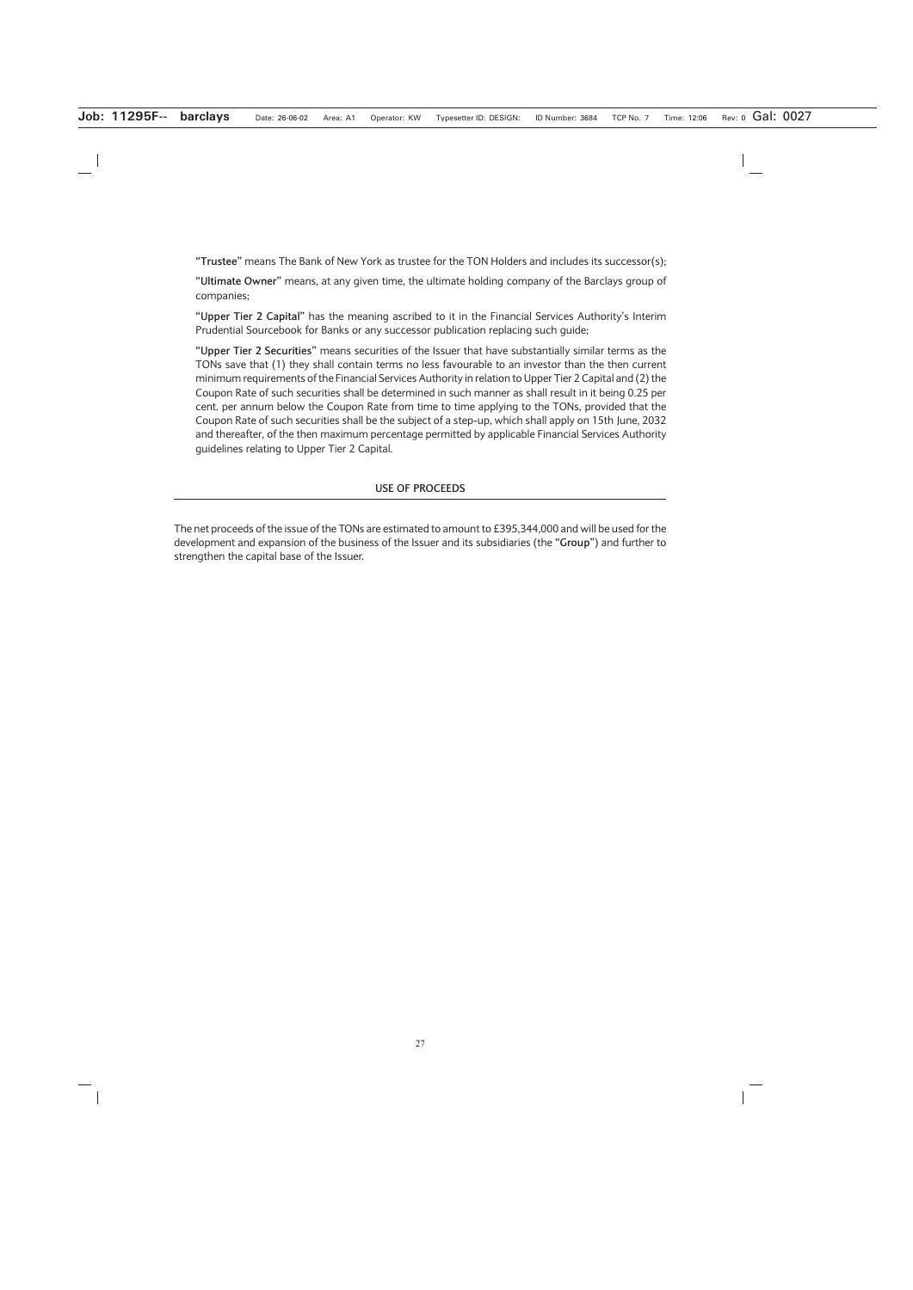**"Trustee"** means The Bank of New York as trustee for the TON Holders and includes its successor(s);

**"Ultimate Owner"** means, at any given time, the ultimate holding company of the Barclays group of companies;

**"Upper Tier 2 Capital"** has the meaning ascribed to it in the Financial Services Authority's Interim Prudential Sourcebook for Banks or any successor publication replacing such guide;

**"Upper Tier 2 Securities"** means securities of the Issuer that have substantially similar terms as the TONs save that (1) they shall contain terms no less favourable to an investor than the then current minimum requirements of the Financial Services Authority in relation to Upper Tier 2 Capital and (2) the Coupon Rate of such securities shall be determined in such manner as shall result in it being 0.25 per cent. per annum below the Coupon Rate from time to time applying to the TONs, provided that the Coupon Rate of such securities shall be the subject of a step-up, which shall apply on 15th June, 2032 and thereafter, of the then maximum percentage permitted by applicable Financial Services Authority guidelines relating to Upper Tier 2 Capital.

### **USE OF PROCEEDS**

The net proceeds of the issue of the TONs are estimated to amount to £395,344,000 and will be used for the development and expansion of the business of the Issuer and its subsidiaries (the **"Group"**) and further to strengthen the capital base of the Issuer.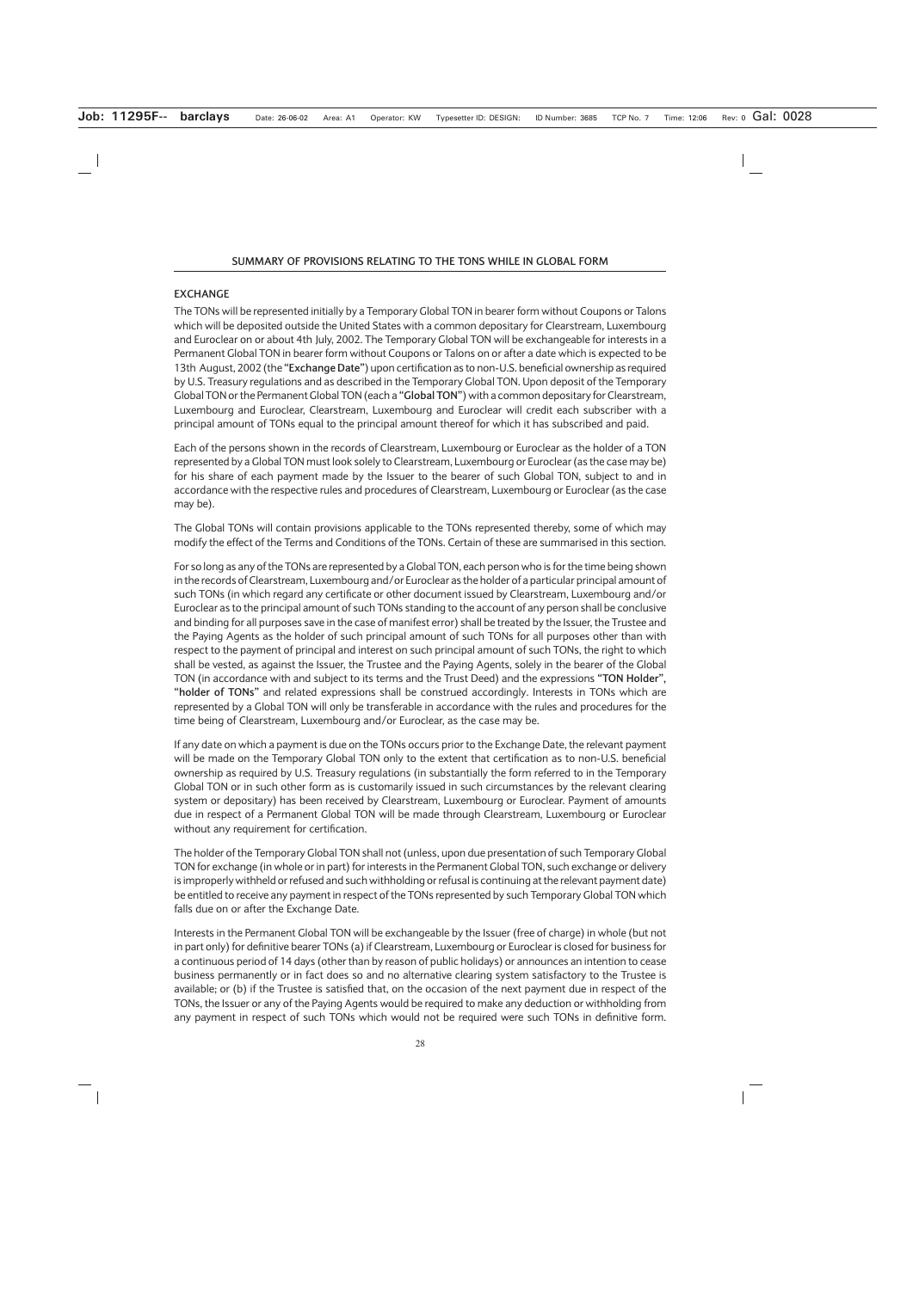# **EXCHANGE**

The TONs will be represented initially by a Temporary Global TON in bearer form without Coupons or Talons which will be deposited outside the United States with a common depositary for Clearstream, Luxembourg and Euroclear on or about 4th July, 2002. The Temporary Global TON will be exchangeable for interests in a Permanent Global TON in bearer form without Coupons or Talons on or after a date which is expected to be 13th August, 2002 (the **"Exchange Date"**) upon certification as to non-U.S. beneficial ownership as required by U.S. Treasury regulations and as described in the Temporary Global TON. Upon deposit of the Temporary Global TON or the Permanent Global TON (each a **"Global TON"**) with a common depositary for Clearstream, Luxembourg and Euroclear, Clearstream, Luxembourg and Euroclear will credit each subscriber with a principal amount of TONs equal to the principal amount thereof for which it has subscribed and paid.

Each of the persons shown in the records of Clearstream, Luxembourg or Euroclear as the holder of a TON represented by a Global TON must look solely to Clearstream, Luxembourg or Euroclear (as the case may be) for his share of each payment made by the Issuer to the bearer of such Global TON, subject to and in accordance with the respective rules and procedures of Clearstream, Luxembourg or Euroclear (as the case may be).

The Global TONs will contain provisions applicable to the TONs represented thereby, some of which may modify the effect of the Terms and Conditions of the TONs. Certain of these are summarised in this section.

For so long as any of the TONs are represented by a Global TON, each person who is for the time being shown in the records of Clearstream, Luxembourg and/or Euroclear as the holder of a particular principal amount of such TONs (in which regard any certificate or other document issued by Clearstream, Luxembourg and/or Euroclear as to the principal amount of such TONs standing to the account of any person shall be conclusive and binding for all purposes save in the case of manifest error) shall be treated by the Issuer, the Trustee and the Paying Agents as the holder of such principal amount of such TONs for all purposes other than with respect to the payment of principal and interest on such principal amount of such TONs, the right to which shall be vested, as against the Issuer, the Trustee and the Paying Agents, solely in the bearer of the Global TON (in accordance with and subject to its terms and the Trust Deed) and the expressions **"TON Holder", "holder of TONs"** and related expressions shall be construed accordingly. Interests in TONs which are represented by a Global TON will only be transferable in accordance with the rules and procedures for the time being of Clearstream, Luxembourg and/or Euroclear, as the case may be.

If any date on which a payment is due on the TONs occurs prior to the Exchange Date, the relevant payment will be made on the Temporary Global TON only to the extent that certification as to non-U.S. beneficial ownership as required by U.S. Treasury regulations (in substantially the form referred to in the Temporary Global TON or in such other form as is customarily issued in such circumstances by the relevant clearing system or depositary) has been received by Clearstream, Luxembourg or Euroclear. Payment of amounts due in respect of a Permanent Global TON will be made through Clearstream, Luxembourg or Euroclear without any requirement for certification.

The holder of the Temporary Global TON shall not (unless, upon due presentation of such Temporary Global TON for exchange (in whole or in part) for interests in the Permanent Global TON, such exchange or delivery is improperly withheld or refused and such withholding or refusal is continuing at the relevant payment date) be entitled to receive any payment in respect of the TONs represented by such Temporary Global TON which falls due on or after the Exchange Date.

Interests in the Permanent Global TON will be exchangeable by the Issuer (free of charge) in whole (but not in part only) for definitive bearer TONs (a) if Clearstream, Luxembourg or Euroclear is closed for business for a continuous period of 14 days (other than by reason of public holidays) or announces an intention to cease business permanently or in fact does so and no alternative clearing system satisfactory to the Trustee is available; or (b) if the Trustee is satisfied that, on the occasion of the next payment due in respect of the TONs, the Issuer or any of the Paying Agents would be required to make any deduction or withholding from any payment in respect of such TONs which would not be required were such TONs in definitive form.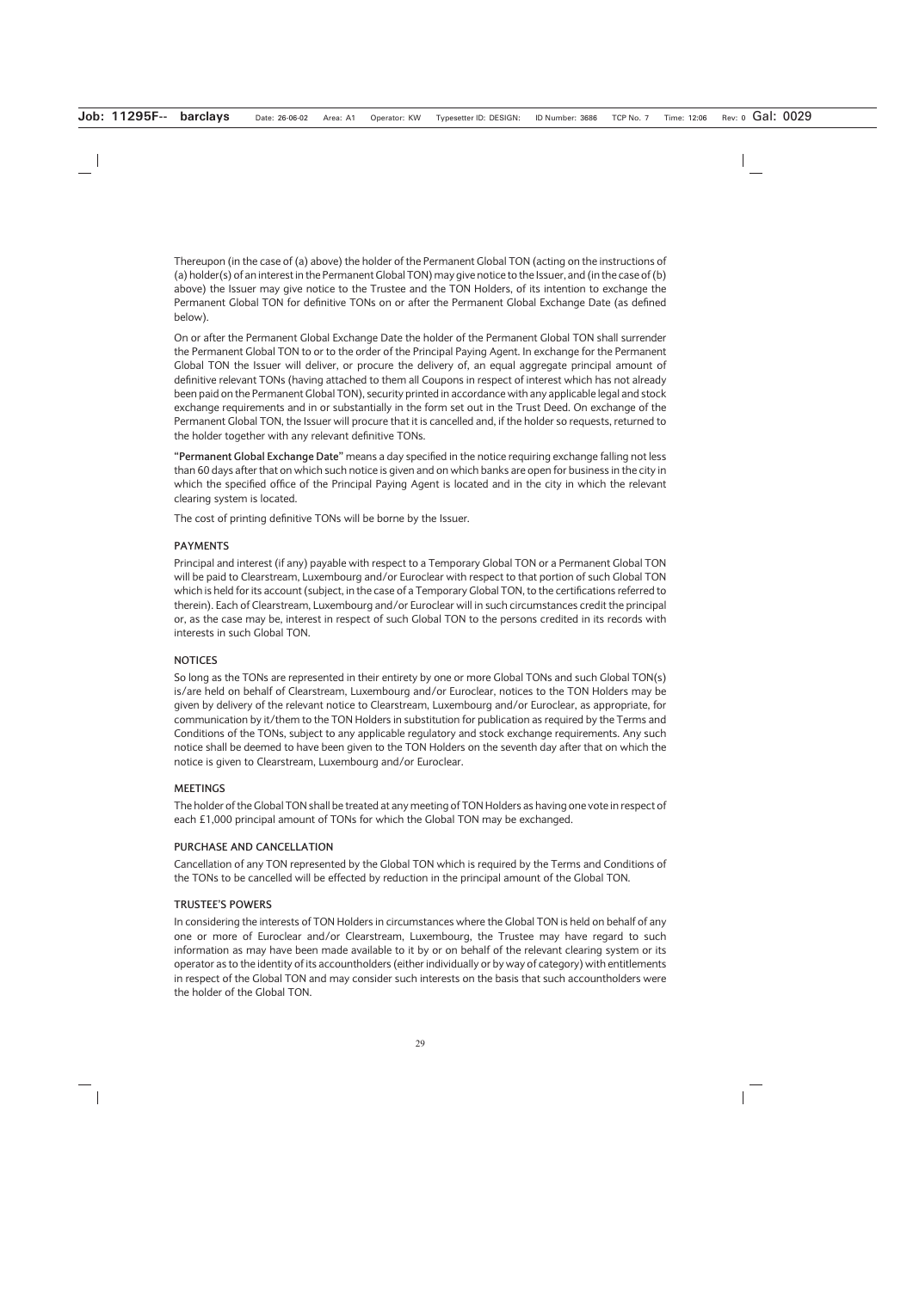Thereupon (in the case of (a) above) the holder of the Permanent Global TON (acting on the instructions of (a) holder(s) of an interest in the Permanent Global TON) may give notice to the Issuer, and (in the case of (b) above) the Issuer may give notice to the Trustee and the TON Holders, of its intention to exchange the Permanent Global TON for definitive TONs on or after the Permanent Global Exchange Date (as defined below).

On or after the Permanent Global Exchange Date the holder of the Permanent Global TON shall surrender the Permanent Global TON to or to the order of the Principal Paying Agent. In exchange for the Permanent Global TON the Issuer will deliver, or procure the delivery of, an equal aggregate principal amount of definitive relevant TONs (having attached to them all Coupons in respect of interest which has not already been paid on the Permanent Global TON), security printed in accordance with any applicable legal and stock exchange requirements and in or substantially in the form set out in the Trust Deed. On exchange of the Permanent Global TON, the Issuer will procure that it is cancelled and, if the holder so requests, returned to the holder together with any relevant definitive TONs.

**"Permanent Global Exchange Date"** means a day specified in the notice requiring exchange falling not less than 60 days after that on which such notice is given and on which banks are open for business in the city in which the specified office of the Principal Paying Agent is located and in the city in which the relevant clearing system is located.

The cost of printing definitive TONs will be borne by the Issuer.

# **PAYMENTS**

Principal and interest (if any) payable with respect to a Temporary Global TON or a Permanent Global TON will be paid to Clearstream, Luxembourg and/or Euroclear with respect to that portion of such Global TON which is held for its account (subject, in the case of a Temporary Global TON, to the certifications referred to therein). Each of Clearstream, Luxembourg and/or Euroclear will in such circumstances credit the principal or, as the case may be, interest in respect of such Global TON to the persons credited in its records with interests in such Global TON.

### **NOTICES**

So long as the TONs are represented in their entirety by one or more Global TONs and such Global TON(s) is/are held on behalf of Clearstream, Luxembourg and/or Euroclear, notices to the TON Holders may be given by delivery of the relevant notice to Clearstream, Luxembourg and/or Euroclear, as appropriate, for communication by it/them to the TON Holders in substitution for publication as required by the Terms and Conditions of the TONs, subject to any applicable regulatory and stock exchange requirements. Any such notice shall be deemed to have been given to the TON Holders on the seventh day after that on which the notice is given to Clearstream, Luxembourg and/or Euroclear.

### **MEETINGS**

The holder of the Global TON shall be treated at any meeting of TON Holders as having one vote in respect of each £1,000 principal amount of TONs for which the Global TON may be exchanged.

### **PURCHASE AND CANCELLATION**

Cancellation of any TON represented by the Global TON which is required by the Terms and Conditions of the TONs to be cancelled will be effected by reduction in the principal amount of the Global TON.

### **TRUSTEE'S POWERS**

In considering the interests of TON Holders in circumstances where the Global TON is held on behalf of any one or more of Euroclear and/or Clearstream, Luxembourg, the Trustee may have regard to such information as may have been made available to it by or on behalf of the relevant clearing system or its operator as to the identity of its accountholders (either individually or by way of category) with entitlements in respect of the Global TON and may consider such interests on the basis that such accountholders were the holder of the Global TON.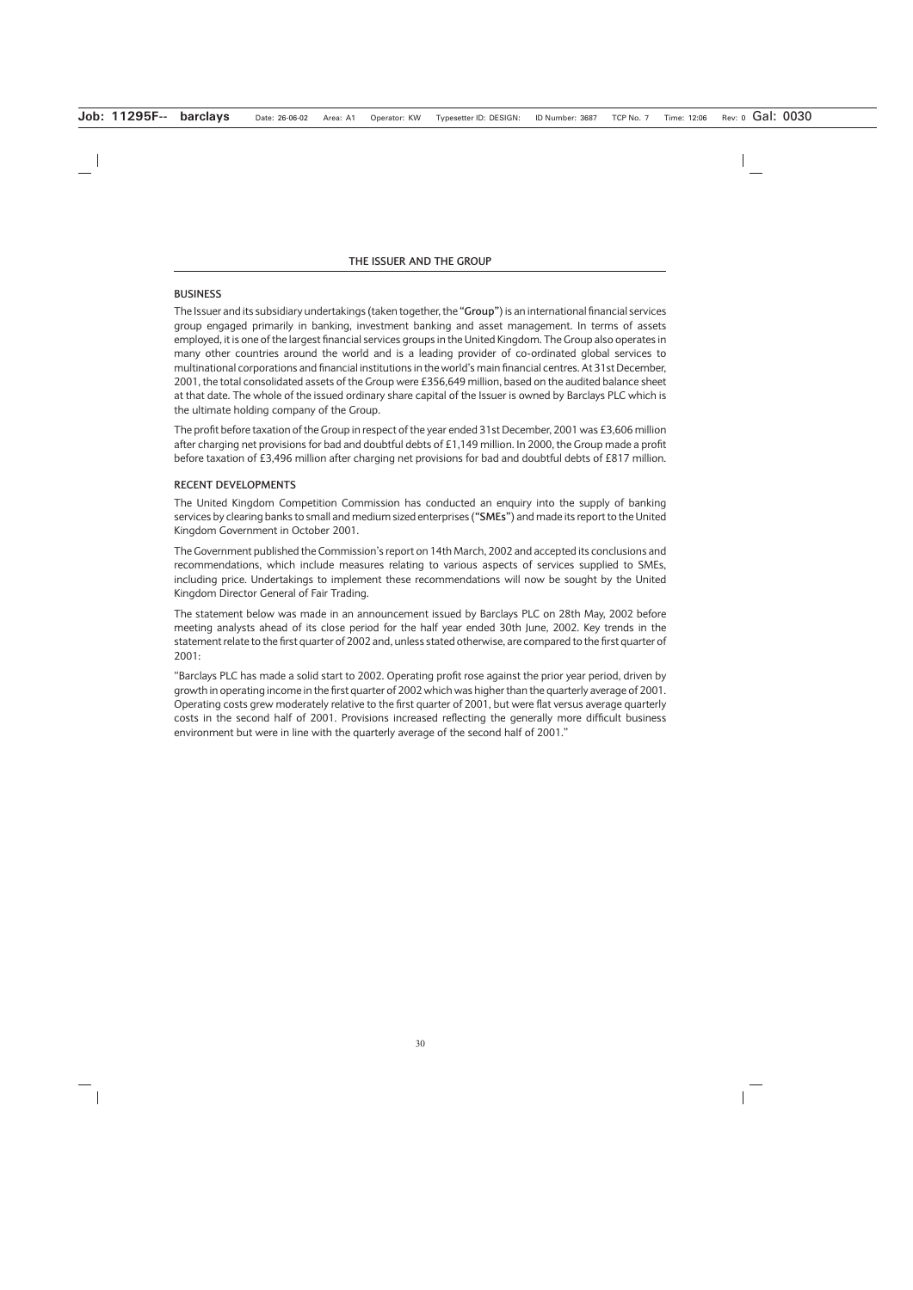# **BUSINESS**

The Issuer and its subsidiary undertakings (taken together, the **"Group"**) is an international financial services group engaged primarily in banking, investment banking and asset management. In terms of assets employed, it is one of the largest financial services groups in the United Kingdom. The Group also operates in many other countries around the world and is a leading provider of co-ordinated global services to multinational corporations and financial institutions in the world's main financial centres. At 31st December, 2001, the total consolidated assets of the Group were £356,649 million, based on the audited balance sheet at that date. The whole of the issued ordinary share capital of the Issuer is owned by Barclays PLC which is the ultimate holding company of the Group.

The profit before taxation of the Group in respect of the year ended 31st December, 2001 was £3,606 million after charging net provisions for bad and doubtful debts of £1,149 million. In 2000, the Group made a profit before taxation of £3,496 million after charging net provisions for bad and doubtful debts of £817 million.

# **RECENT DEVELOPMENTS**

The United Kingdom Competition Commission has conducted an enquiry into the supply of banking services by clearing banks to small and medium sized enterprises (**"SMEs"**) and made its report to the United Kingdom Government in October 2001.

The Government published the Commission's report on 14th March, 2002 and accepted its conclusions and recommendations, which include measures relating to various aspects of services supplied to SMEs, including price. Undertakings to implement these recommendations will now be sought by the United Kingdom Director General of Fair Trading.

The statement below was made in an announcement issued by Barclays PLC on 28th May, 2002 before meeting analysts ahead of its close period for the half year ended 30th June, 2002. Key trends in the statement relate to the first quarter of 2002 and, unless stated otherwise, are compared to the first quarter of 2001:

"Barclays PLC has made a solid start to 2002. Operating profit rose against the prior year period, driven by growth in operating income in the first quarter of 2002 which was higher than the quarterly average of 2001. Operating costs grew moderately relative to the first quarter of 2001, but were flat versus average quarterly costs in the second half of 2001. Provisions increased reflecting the generally more difficult business environment but were in line with the quarterly average of the second half of 2001."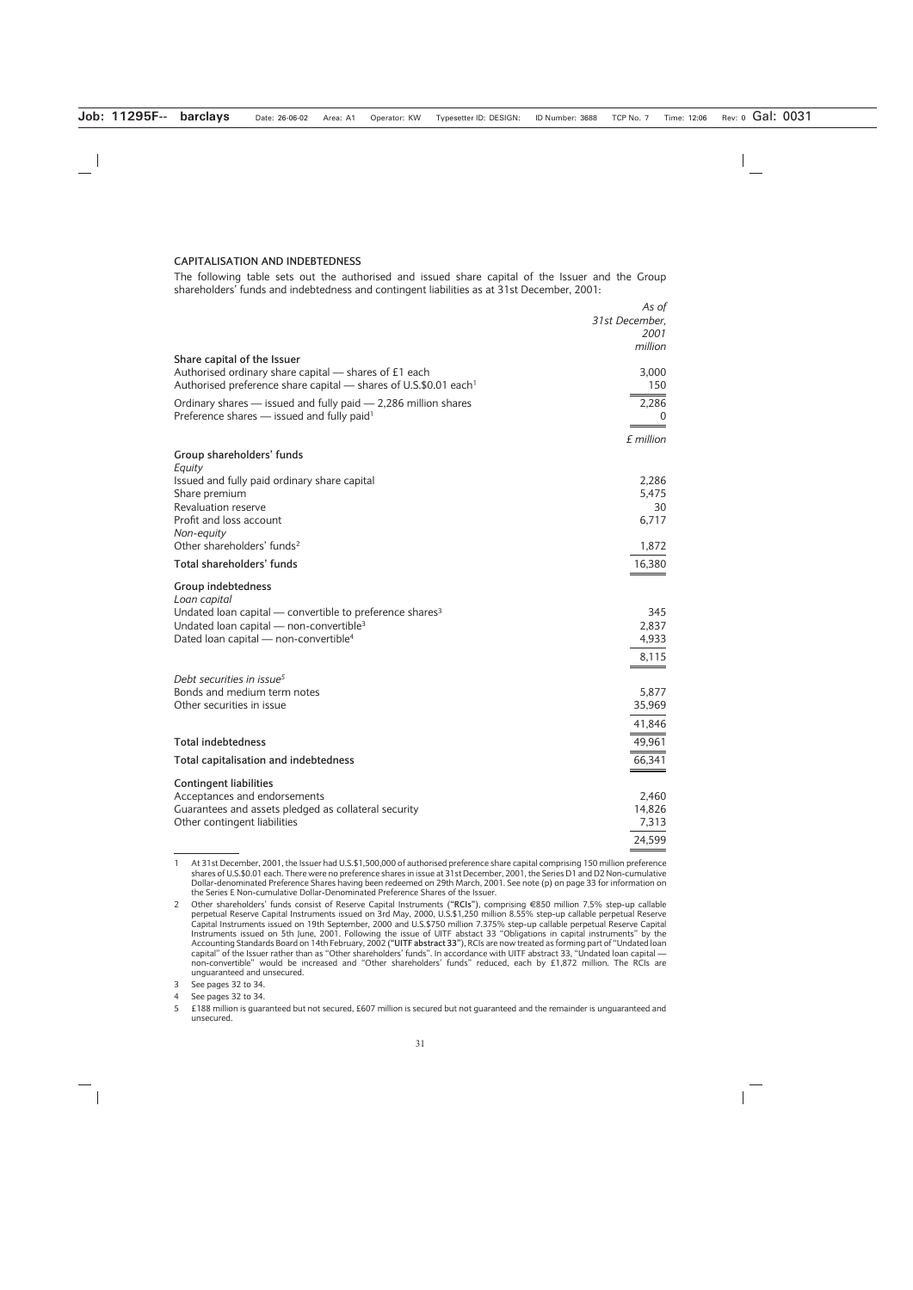#### **CAPITALISATION AND INDEBTEDNESS**

The following table sets out the authorised and issued share capital of the Issuer and the Group shareholders' funds and indebtedness and contingent liabilities as at 31st December, 2001:

|                                                                                                                                                                      | As of<br>31st December,<br>2001<br>million |
|----------------------------------------------------------------------------------------------------------------------------------------------------------------------|--------------------------------------------|
| Share capital of the Issuer<br>Authorised ordinary share capital — shares of £1 each<br>Authorised preference share capital - shares of U.S.\$0.01 each <sup>1</sup> | 3,000<br>150                               |
| Ordinary shares - issued and fully paid - 2,286 million shares<br>Preference shares - issued and fully paid <sup>1</sup>                                             | 2,286<br>$\Omega$                          |
|                                                                                                                                                                      | £ million                                  |
| Group shareholders' funds<br>Equity                                                                                                                                  |                                            |
| Issued and fully paid ordinary share capital                                                                                                                         | 2,286                                      |
| Share premium<br>Revaluation reserve                                                                                                                                 | 5,475<br>30                                |
| Profit and loss account<br>Non-equity                                                                                                                                | 6,717                                      |
| Other shareholders' funds <sup>2</sup>                                                                                                                               | 1,872                                      |
| Total shareholders' funds                                                                                                                                            | 16,380                                     |
| <b>Group indebtedness</b><br>Loan capital                                                                                                                            |                                            |
| Undated loan capital $-$ convertible to preference shares <sup>3</sup>                                                                                               | 345                                        |
| Undated loan capital $-$ non-convertible <sup>3</sup>                                                                                                                | 2,837                                      |
| Dated loan capital - non-convertible <sup>4</sup>                                                                                                                    | 4,933                                      |
|                                                                                                                                                                      | 8,115                                      |
| Debt securities in issue <sup>5</sup>                                                                                                                                |                                            |
| Bonds and medium term notes<br>Other securities in issue                                                                                                             | 5,877<br>35,969                            |
|                                                                                                                                                                      | 41,846                                     |
| <b>Total indebtedness</b>                                                                                                                                            |                                            |
|                                                                                                                                                                      | 49,961                                     |
| Total capitalisation and indebtedness                                                                                                                                | 66,341                                     |
| <b>Contingent liabilities</b>                                                                                                                                        |                                            |
| Acceptances and endorsements<br>Guarantees and assets pledged as collateral security                                                                                 | 2,460<br>14,826                            |
| Other contingent liabilities                                                                                                                                         | 7,313                                      |
|                                                                                                                                                                      | 24,599                                     |

<sup>1</sup> At 31st December, 2001, the Issuer had U.S.\$1,500,000 of authorised preference share capital comprising 150 million preference shares of U.S.\$0.01 each. There were no preference shares in issue at 31st December, 2001, the Series D1 and D2 Non-cumulative Dollar-denominated Preference Shares having been redeemed on 29th March, 2001. See note (p) on page 33 for information on the Series E Non-cumulative Dollar-Denominated Preference Shares of the Issuer.

<sup>2</sup> Other shareholders' funds consist of Reserve Capital Instruments (**"RCIs"**), comprising (850 million 7.5% step-up callable perpetual Reserve Capital Instruments issued on 3rd May, 2000, U.S.\$1,250 million 8.55% step-up callable perpetual Reserve Capital Instruments issued on 19th September, 2000 and U.S.\$750 million 7.375% step-up callable perpetual Reserve Capital Instruments issued on 5th June, 2001. Following the issue of UITF abstact 33 "Obligations in capital instruments" by the Accounting Standards Board on 14th February, 2002 (**"UITF abstract 33"**), RCIs are now treated as forming part of "Undated loan capital" of the Issuer rather than as "Other shareholders' funds". In accordance with UITF abstract 33, "Undated loan capital non-convertible" would be increased and "Other shareholders' funds" reduced, each by £1,872 million. The RCIs are unguaranteed and unsecured.

<sup>3</sup> See pages 32 to 34.

<sup>4</sup> See pages 32 to 34.

<sup>5 £188</sup> million is guaranteed but not secured, £607 million is secured but not guaranteed and the remainder is unguaranteed and unsecured.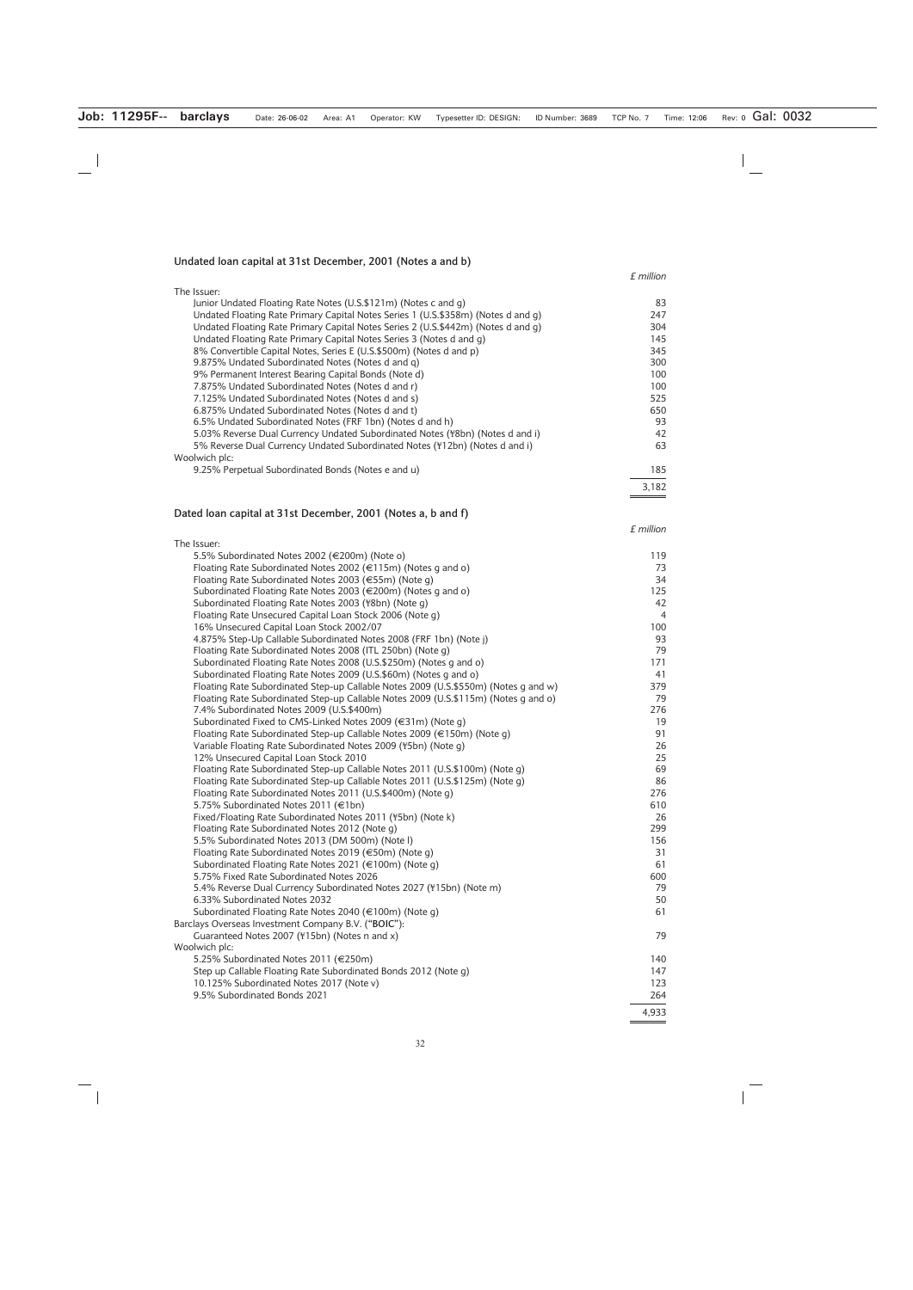#### **Undated loan capital at 31st December, 2001 (Notes a and b)**

*£ million*

*£ million*

4,933

| The Issuer:                                                                       |       |
|-----------------------------------------------------------------------------------|-------|
| Junior Undated Floating Rate Notes (U.S.\$121m) (Notes c and g)                   | 83    |
| Undated Floating Rate Primary Capital Notes Series 1 (U.S.\$358m) (Notes d and g) | 247   |
| Undated Floating Rate Primary Capital Notes Series 2 (U.S.\$442m) (Notes d and q) | 304   |
| Undated Floating Rate Primary Capital Notes Series 3 (Notes d and q)              | 145   |
| 8% Convertible Capital Notes, Series E (U.S.\$500m) (Notes d and p)               | 345   |
| 9.875% Undated Subordinated Notes (Notes d and q)                                 | 300   |
| 9% Permanent Interest Bearing Capital Bonds (Note d)                              | 100   |
| 7.875% Undated Subordinated Notes (Notes d and r)                                 | 100   |
| 7.125% Undated Subordinated Notes (Notes d and s)                                 | 525   |
| 6.875% Undated Subordinated Notes (Notes d and t)                                 | 650   |
| 6.5% Undated Subordinated Notes (FRF 1bn) (Notes d and h)                         | 93    |
| 5.03% Reverse Dual Currency Undated Subordinated Notes (\'8bn) (Notes d and i)    | 42    |
| 5% Reverse Dual Currency Undated Subordinated Notes (\ff 2bn) (Notes d and i)     | 63    |
| Woolwich plc:                                                                     |       |
| 9.25% Perpetual Subordinated Bonds (Notes e and u)                                | 185   |
|                                                                                   | 3.182 |

 $5.5%$  Subordinated Notes 2002 (€200m) (Note o) 119

#### **Dated loan capital at 31st December, 2001 (Notes a, b and f)**

The Issuer:

Floating Rate Subordinated Notes 2002 ( $\in$ 115m) (Notes g and o) 73 Floating Rate Subordinated Notes 2003 (€55m) (Note g) 34<br>Subordinated Floating Rate Notes 2003 (€200m) (Notes g and o) 35 Subordinated Floating Rate Notes 2003 ( $\in$ 200m) (Notes g and o) Subordinated Floating Rate Notes 2003 (\{\text{8}} 8bordinated Floating Rate Notes 2003 (\{\text{8}} 8bordinated Floating Rate Notes 2003 (\{\text{8}} 8bordinated Floating Rate Notes 2003 (\{\text{8}} 8bordinated Floating Floating Rate Unsecured Capital Loan Stock 2006 (Note g) 4<br>16% Unsecured Capital Loan Stock 2002/07 16% Unsecured Capital Loan Stock 2002/07<br>4.875% Step-Up Callable Subordinated Notes 2008 (FRF 1bn) (Note i) 93 4.875% Step-Up Callable Subordinated Notes 2008 (FRF 1bn) (Note j) 93 Floating Rate Subordinated Notes 2008 (ITL 250bn) (Note g) 79 Subordinated Floating Rate Notes 2008 (U.S.\$250m) (Notes g and o) 171 Subordinated Floating Rate Notes 2009 (U.S.\$60m) (Notes g and o) 41 Floating Rate Subordinated Step-up Callable Notes 2009 (U.S.\$550m) (Notes g and w) 379 Floating Rate Subordinated Step-up Callable Notes 2009 (U.S.\$115m) (Notes g and o) 79 7.4% Subordinated Notes 2009 (U.S.\$400m) 276 Subordinated Fixed to CMS-Linked Notes 2009 ( $\in$ 31m) (Note g) 19<br>Floating Rate Subordinated Step-up Callable Notes 2009 ( $\in$ 150m) (Note g) 191 Floating Rate Subordinated Step-up Callable Notes 2009 ( $\in$ 150m) (Note g) Variable Floating Rate Subordinated Notes 2009 (¥5bn) (Note g) 26<br>12% Unsecured Capital Loan Stock 2010 12% Unsecured Capital Loan Stock 2010 Floating Rate Subordinated Step-up Callable Notes 2011 (U.S.\$100m) (Note g) 69 Floating Rate Subordinated Step-up Callable Notes 2011 (U.S.\$125m) (Note g) 86 Floating Rate Subordinated Notes 2011 (U.S.\$400m) (Note g) 276  $5.75\%$  Subordinated Notes 2011 ( $\epsilon$ 1bn) 610 Fixed/Floating Rate Subordinated Notes 2011 (¥5bn) (Note k) 26 Floating Rate Subordinated Notes 2012 (Note g) 299 5.5% Subordinated Notes 2013 (DM 500m) (Note l) 156 Floating Rate Subordinated Notes 2019  $(\text{\textsterling}50m)$  (Note g) 31 Subordinated Floating Rate Notes 2021 ( $\in$ 100m) (Note g) 61 5.75% Fixed Rate Subordinated Notes 2026<br>5.4% Reverse Dual Currency Subordinated Notes 2027 (\ff 15bn) (Note m) 79 5.4% Reverse Dual Currency Subordinated Notes 2027 (\ff415bn) (Note m) 6.33% Subordinated Notes 2032 50 and 30 and 30 and 30 and 30 and 30 and 30 and 30 and 30 and 30 and 30 and 30  $\pm$ Subordinated Floating Rate Notes 2040  $(\text{€100m})$  (Note g) 61 Barclays Overseas Investment Company B.V. (**"BOIC"**): Guaranteed Notes 2007 (\times\) (Notes n and x) 79 Woolwich plc: 5.25% Subordinated Notes 2011 (€250m) 140 Step up Callable Floating Rate Subordinated Bonds 2012 (Note g) 147

10.125% Subordinated Notes 2017 (Note v) 123 9.5% Subordinated Bonds 2021 264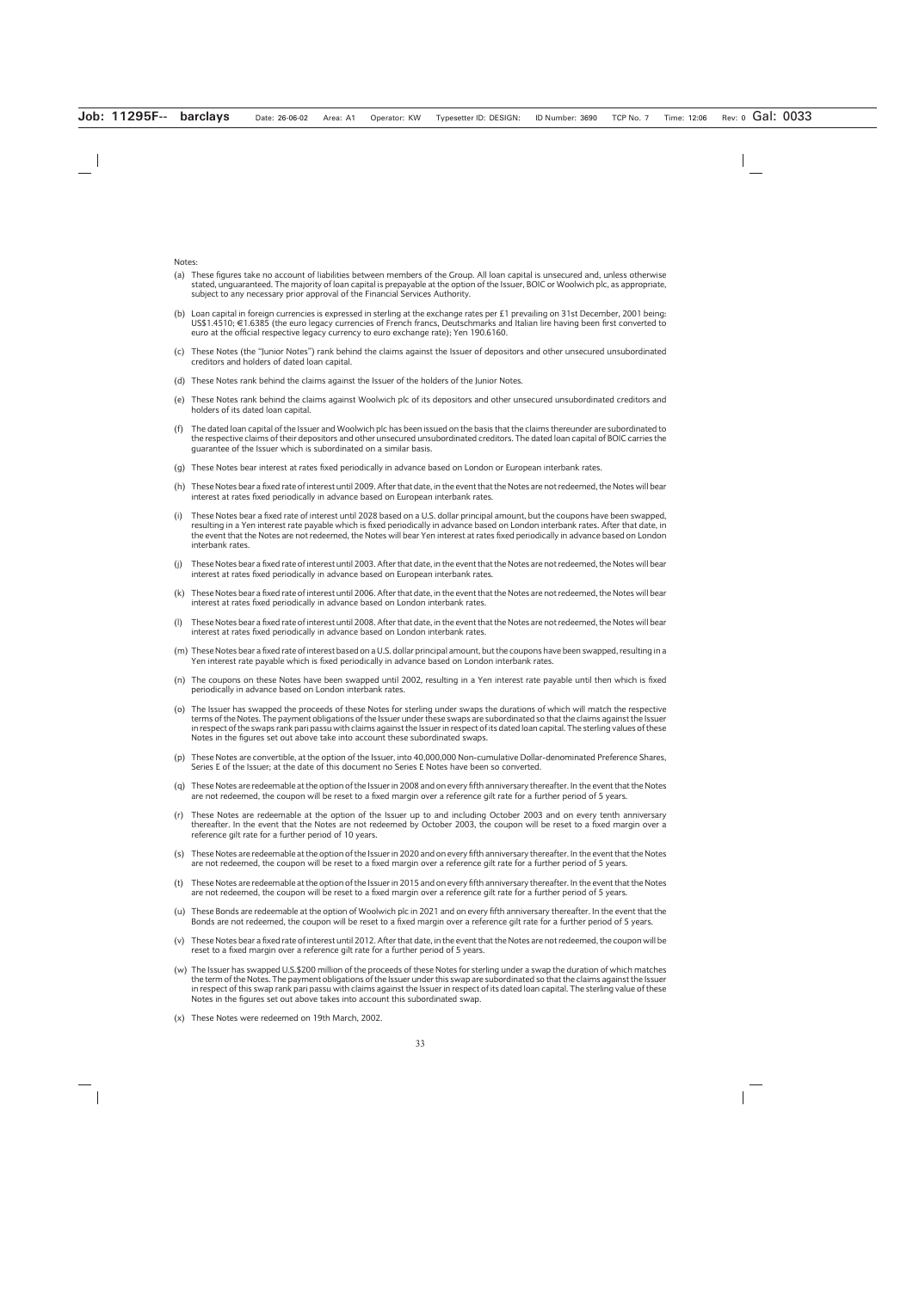Notes:

- (a) These figures take no account of liabilities between members of the Group. All loan capital is unsecured and, unless otherwise stated, unguaranteed. The majority of loan capital is prepayable at the option of the Issuer, BOIC or Woolwich plc, as appropriate, subject to any necessary prior approval of the Financial Services Authority.
- (b) Loan capital in foreign currencies is expressed in sterling at the exchange rates per £1 prevailing on 31st December, 2001 being:  $USS1.4510$ ;  $\in$  1.6385 (the euro legacy currencies of French francs, Deutschmarks and Italian lire having been first converted to euro at the official respective legacy currency to euro exchange rate); Yen 190.6160.
- (c) These Notes (the "Junior Notes") rank behind the claims against the Issuer of depositors and other unsecured unsubordinated creditors and holders of dated loan capital.
- (d) These Notes rank behind the claims against the Issuer of the holders of the Junior Notes.
- (e) These Notes rank behind the claims against Woolwich plc of its depositors and other unsecured unsubordinated creditors and holders of its dated loan capital.
- (f) The dated loan capital of the Issuer and Woolwich plc has been issued on the basis that the claims thereunder are subordinated to the respective claims of their depositors and other unsecured unsubordinated creditors. The dated loan capital of BOIC carries the guarantee of the Issuer which is subordinated on a similar basis.
- (g) These Notes bear interest at rates fixed periodically in advance based on London or European interbank rates.
- (h) These Notes bear a fixed rate of interest until 2009. After that date, in the event that the Notes are not redeemed, the Notes will bear interest at rates fixed periodically in advance based on European interbank rates.
- (i) These Notes bear a fixed rate of interest until 2028 based on a U.S. dollar principal amount, but the coupons have been swapped, resulting in a Yen interest rate payable which is fixed periodically in advance based on London interbank rates. After that date, in the event that the Notes are not redeemed, the Notes will bear Yen interest at rates fixed periodically in advance based on London interbank rates.
- (j) These Notes bear a fixed rate of interest until 2003. After that date, in the event that the Notes are not redeemed, the Notes will bear interest at rates fixed periodically in advance based on European interbank rates.
- (k) These Notes bear a fixed rate of interest until 2006. After that date, in the event that the Notes are not redeemed, the Notes will bear interest at rates fixed periodically in advance based on London interbank rates.
- (l) These Notes bear a fixed rate of interest until 2008. After that date, in the event that the Notes are not redeemed, the Notes will bear interest at rates fixed periodically in advance based on London interbank rates.
- (m) These Notes bear a fixed rate of interest based on a U.S. dollar principal amount, but the coupons have been swapped, resulting in a Yen interest rate payable which is fixed periodically in advance based on London interbank rates.
- (n) The coupons on these Notes have been swapped until 2002, resulting in a Yen interest rate payable until then which is fixed periodically in advance based on London interbank rates.
- (o) The Issuer has swapped the proceeds of these Notes for sterling under swaps the durations of which will match the respective terms of the Notes. The payment obligations of the Issuer under these swaps are subordinated so that the claims against the Issuer in respect of the swaps rank pari passu with claims against the Issuer in respect of its dated loan capital. The sterling values of these Notes in the figures set out above take into account these subordinated swaps.
- (p) These Notes are convertible, at the option of the Issuer, into 40,000,000 Non-cumulative Dollar-denominated Preference Shares, Series E of the Issuer; at the date of this document no Series E Notes have been so converted.
- (q) These Notes are redeemable at the option of the Issuer in 2008 and on every fifth anniversary thereafter. In the event that the Notes are not redeemed, the coupon will be reset to a fixed margin over a reference gilt rate for a further period of 5 years.
- (r) These Notes are redeemable at the option of the Issuer up to and including October 2003 and on every tenth anniversary thereafter. In the event that the Notes are not redeemed by October 2003, the coupon will be reset to a fixed margin over a reference gilt rate for a further period of 10 years.
- (s) These Notes are redeemable at the option of the Issuer in 2020 and on every fifth anniversary thereafter. In the event that the Notes are not redeemed, the coupon will be reset to a fixed margin over a reference gilt rate for a further period of 5 years.
- (t) These Notes are redeemable at the option of the Issuer in 2015 and on every fifth anniversary thereafter. In the event that the Notes are not redeemed, the coupon will be reset to a fixed margin over a reference gilt rate for a further period of 5 years.
- (u) These Bonds are redeemable at the option of Woolwich plc in 2021 and on every fifth anniversary thereafter. In the event that the Bonds are not redeemed, the coupon will be reset to a fixed margin over a reference gilt rate for a further period of 5 years.
- (v) These Notes bear a fixed rate of interest until 2012. After that date, in the event that the Notes are not redeemed, the coupon will be reset to a fixed margin over a reference gilt rate for a further period of 5 years.
- (w) The Issuer has swapped U.S.\$200 million of the proceeds of these Notes for sterling under a swap the duration of which matches the term of the Notes. The payment obligations of the Issuer under this swap are subordinated so that the claims against the Issuer in respect of this swap rank pari passu with claims against the Issuer in respect of its dated loan capital. The sterling value of these Notes in the figures set out above takes into account this subordinated swap.
- (x) These Notes were redeemed on 19th March, 2002.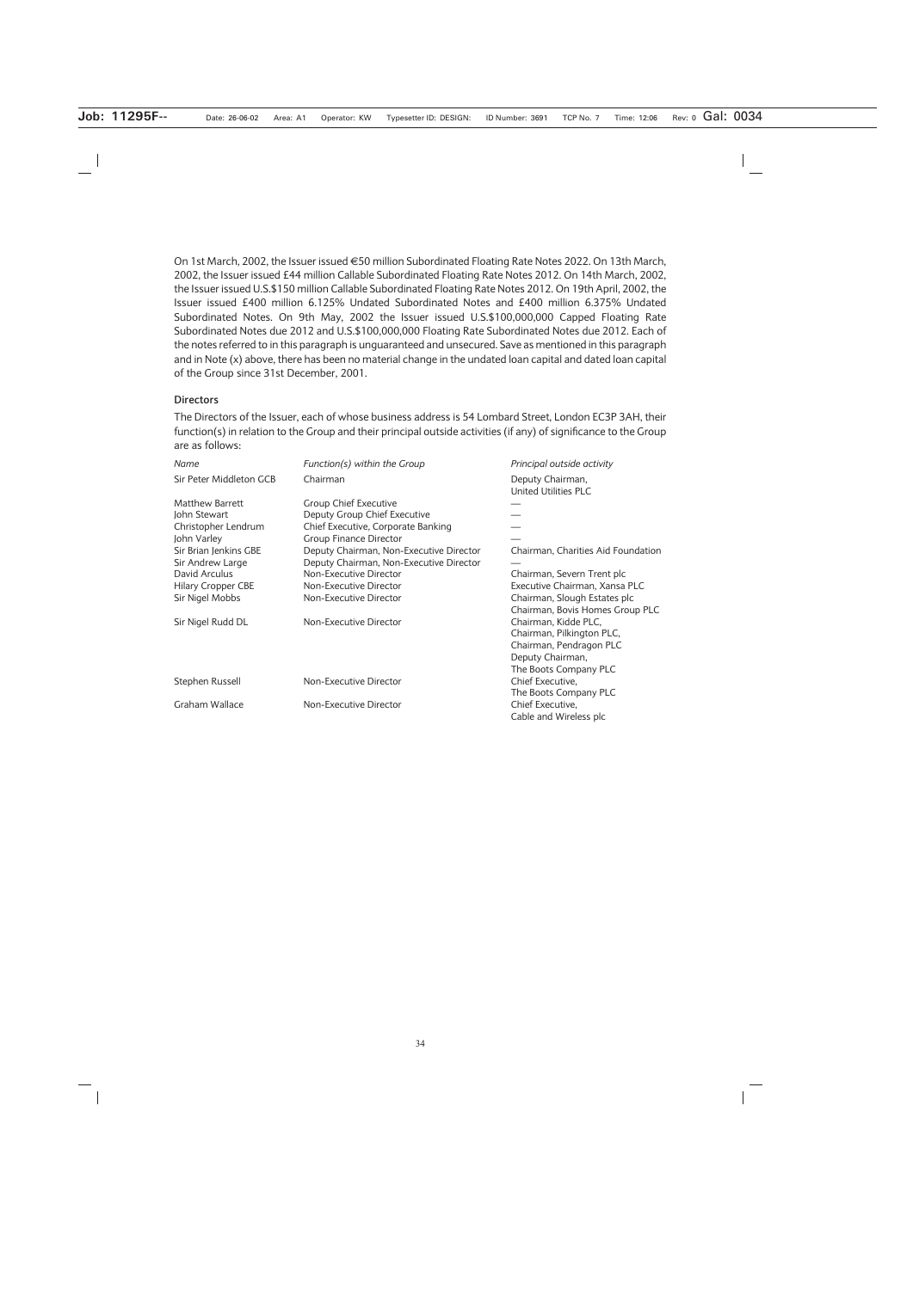On 1st March, 2002, the Issuer issued €50 million Subordinated Floating Rate Notes 2022. On 13th March, 2002, the Issuer issued £44 million Callable Subordinated Floating Rate Notes 2012. On 14th March, 2002, the Issuer issued U.S.\$150 million Callable Subordinated Floating Rate Notes 2012. On 19th April, 2002, the Issuer issued £400 million 6.125% Undated Subordinated Notes and £400 million 6.375% Undated Subordinated Notes. On 9th May, 2002 the Issuer issued U.S.\$100,000,000 Capped Floating Rate Subordinated Notes due 2012 and U.S.\$100,000,000 Floating Rate Subordinated Notes due 2012. Each of the notes referred to in this paragraph is unguaranteed and unsecured. Save as mentioned in this paragraph and in Note (x) above, there has been no material change in the undated loan capital and dated loan capital of the Group since 31st December, 2001.

#### **Directors**

The Directors of the Issuer, each of whose business address is 54 Lombard Street, London EC3P 3AH, their function(s) in relation to the Group and their principal outside activities (if any) of significance to the Group are as follows:

| Name                      | Function(s) within the Group            | Principal outside activity                      |
|---------------------------|-----------------------------------------|-------------------------------------------------|
| Sir Peter Middleton GCB   | Chairman                                | Deputy Chairman,<br><b>United Utilities PLC</b> |
| Matthew Barrett           | Group Chief Executive                   |                                                 |
| John Stewart              | Deputy Group Chief Executive            |                                                 |
| Christopher Lendrum       | Chief Executive, Corporate Banking      |                                                 |
| John Varley               | <b>Group Finance Director</b>           |                                                 |
| Sir Brian Jenkins GBE     | Deputy Chairman, Non-Executive Director | Chairman, Charities Aid Foundation              |
| Sir Andrew Large          | Deputy Chairman, Non-Executive Director |                                                 |
| David Arculus             | Non-Executive Director                  | Chairman, Severn Trent plc                      |
| <b>Hilary Cropper CBE</b> | Non-Executive Director                  | Executive Chairman, Xansa PLC                   |
| Sir Nigel Mobbs           | Non-Executive Director                  | Chairman, Slough Estates plc                    |
|                           |                                         | Chairman, Bovis Homes Group PLC                 |
| Sir Nigel Rudd DL         | Non-Executive Director                  | Chairman, Kidde PLC,                            |
|                           |                                         | Chairman, Pilkington PLC,                       |
|                           |                                         | Chairman, Pendragon PLC                         |
|                           |                                         | Deputy Chairman,                                |
|                           |                                         | The Boots Company PLC                           |
| Stephen Russell           | Non-Executive Director                  | Chief Executive,                                |
|                           |                                         | The Boots Company PLC                           |
| Graham Wallace            | Non-Executive Director                  | Chief Executive,                                |
|                           |                                         | Cable and Wireless plc                          |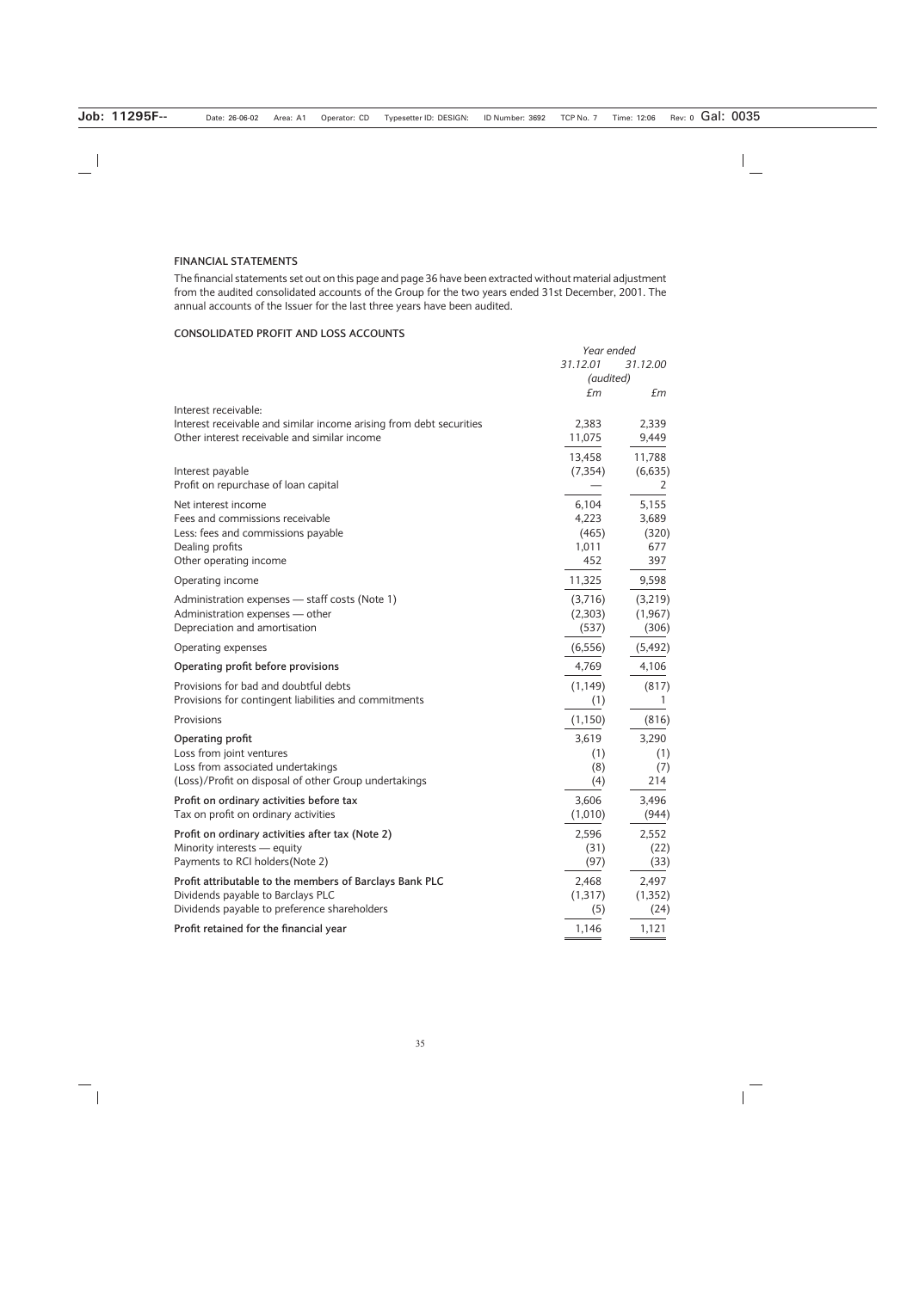# **FINANCIAL STATEMENTS**

The financial statements set out on this page and page 36 have been extracted without material adjustment from the audited consolidated accounts of the Group for the two years ended 31st December, 2001. The annual accounts of the Issuer for the last three years have been audited.

# **CONSOLIDATED PROFIT AND LOSS ACCOUNTS**

|                                                                                                                                              | Year ended<br>31.12.01<br>31.12.00<br>(audited) |                                       |
|----------------------------------------------------------------------------------------------------------------------------------------------|-------------------------------------------------|---------------------------------------|
|                                                                                                                                              | £m                                              | £m                                    |
| Interest receivable:<br>Interest receivable and similar income arising from debt securities<br>Other interest receivable and similar income  | 2,383<br>11,075                                 | 2,339<br>9,449                        |
| Interest payable<br>Profit on repurchase of loan capital                                                                                     | 13,458<br>(7, 354)                              | 11,788<br>(6,635)<br>2                |
| Net interest income<br>Fees and commissions receivable<br>Less: fees and commissions payable<br>Dealing profits<br>Other operating income    | 6,104<br>4,223<br>(465)<br>1,011<br>452         | 5,155<br>3,689<br>(320)<br>677<br>397 |
| Operating income                                                                                                                             | 11,325                                          | 9,598                                 |
| Administration expenses - staff costs (Note 1)<br>Administration expenses - other<br>Depreciation and amortisation                           | (3,716)<br>(2,303)<br>(537)                     | (3,219)<br>(1, 967)<br>(306)          |
| Operating expenses                                                                                                                           | (6, 556)                                        | (5, 492)                              |
| Operating profit before provisions                                                                                                           | 4,769                                           | 4,106                                 |
| Provisions for bad and doubtful debts<br>Provisions for contingent liabilities and commitments                                               | (1, 149)<br>(1)                                 | (817)<br>T                            |
| Provisions                                                                                                                                   | (1, 150)                                        | (816)                                 |
| Operating profit<br>Loss from joint ventures<br>Loss from associated undertakings<br>(Loss)/Profit on disposal of other Group undertakings   | 3,619<br>(1)<br>(8)<br>(4)                      | 3,290<br>(1)<br>(7)<br>214            |
| Profit on ordinary activities before tax<br>Tax on profit on ordinary activities                                                             | 3,606<br>(1,010)                                | 3,496<br>(944)                        |
| Profit on ordinary activities after tax (Note 2)<br>Minority interests - equity<br>Payments to RCI holders (Note 2)                          | 2,596<br>(31)<br>(97)                           | 2,552<br>(22)<br>(33)                 |
| Profit attributable to the members of Barclays Bank PLC<br>Dividends payable to Barclays PLC<br>Dividends payable to preference shareholders | 2,468<br>(1, 317)<br>(5)                        | 2,497<br>(1, 352)<br>(24)             |
| Profit retained for the financial year                                                                                                       | 1,146                                           | 1,121                                 |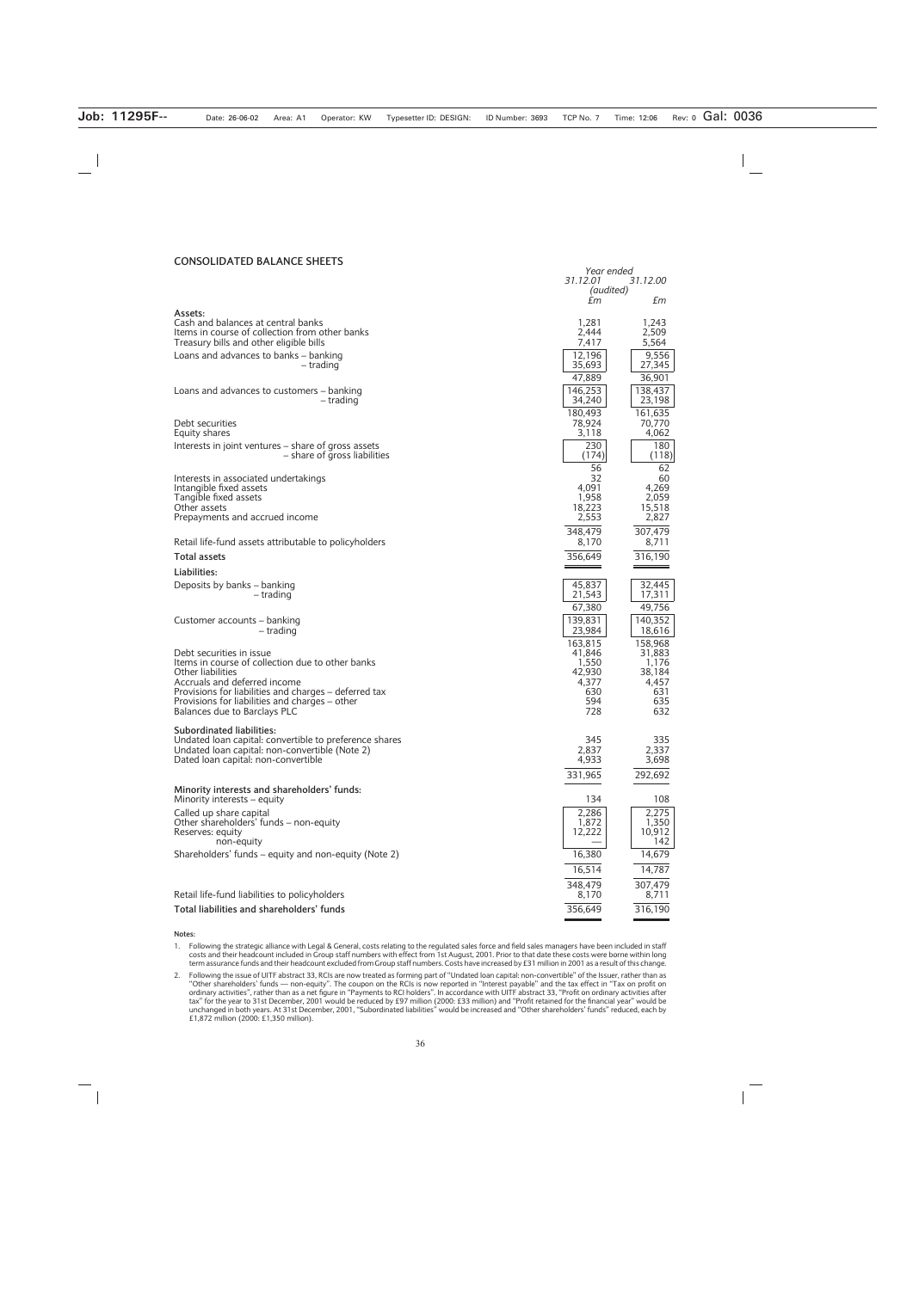#### **CONSOLIDATED BALANCE SHEETS**

|                                                                                                          | Year ended<br>31.12.00 |                   |
|----------------------------------------------------------------------------------------------------------|------------------------|-------------------|
|                                                                                                          | 31.12.01<br>(audited)  |                   |
|                                                                                                          | £т                     | £m                |
| Assets:<br>Cash and balances at central banks                                                            | 1,281                  | 1.243             |
| Items in course of collection from other banks                                                           | 2,444                  | 2.509             |
| Treasury bills and other eligible bills                                                                  | 7,417<br>12,196        | 5,564<br>9,556    |
| Loans and advances to banks - banking<br>– trading                                                       | 35,693                 | 27,345            |
|                                                                                                          | 47,889                 | 36,901            |
| Loans and advances to customers – banking<br>– trading                                                   | 146.253<br>34,240      | 138,437<br>23,198 |
|                                                                                                          | 180.493                | 161,635           |
| Debt securities                                                                                          | 78,924<br>3,118        | 70,770<br>4,062   |
| Equity shares<br>Interests in joint ventures – share of gross assets                                     | 230                    | 180               |
| - share of gross liabilities                                                                             | (174)                  | (118)             |
| Interests in associated undertakings                                                                     | 56<br>32               | 62<br>60          |
| Intangible fixed assets                                                                                  | 4,091                  | 4,269             |
| Tangible fixed assets<br>Other assets                                                                    | 1,958<br>18,223        | 2,059<br>15,518   |
| Prepayments and accrued income                                                                           | 2,553                  | 2,827             |
|                                                                                                          | 348,479                | 307,479           |
| Retail life-fund assets attributable to policyholders<br><b>Total assets</b>                             | 8,170<br>356,649       | 8,711             |
| Liabilities:                                                                                             |                        | 316,190           |
| Deposits by banks - banking                                                                              | 45,837                 | 32,445            |
| – trading                                                                                                | 21,543                 | 17,311            |
|                                                                                                          | 67,380                 | 49,756            |
| Customer accounts – banking<br>– trading                                                                 | 139,831<br>23,984      | 140,352<br>18,616 |
|                                                                                                          | 163,815                | 158,968           |
| Debt securities in issue<br>Items in course of collection due to other banks                             | 41,846                 | 31,883            |
| Other liabilities                                                                                        | 1,550<br>42,930        | 1,176<br>38,184   |
| Accruals and deferred income<br>Provisions for liabilities and charges - deferred tax                    | 4,377<br>630           | 4,457<br>631      |
| Provisions for liabilities and charges – other                                                           | 594                    | 635               |
| Balances due to Barclays PLC                                                                             | 728                    | 632               |
| <b>Subordinated liabilities:</b>                                                                         | 345                    |                   |
| Undated loan capital: convertible to preference shares<br>Undated Ioan capital: non-convertible (Note 2) | 2,837                  | 335<br>2,337      |
| Dated loan capital: non-convertible                                                                      | 4,933                  | 3,698             |
|                                                                                                          | 331,965                | 292,692           |
| Minority interests and shareholders' funds:<br>Minority interests – equity                               | 134                    | 108               |
| Called up share capital                                                                                  | 2,286                  | 2,275             |
| Other shareholders' funds – non-equity                                                                   | 1,872                  | 1,350             |
| Reserves: equity<br>non-equity                                                                           | 12,222                 | 10,912<br>142     |
| Shareholders' funds - equity and non-equity (Note 2)                                                     | 16,380                 | 14,679            |
|                                                                                                          | 16,514                 | 14,787            |
|                                                                                                          | 348,479                | 307,479           |
| Retail life-fund liabilities to policyholders                                                            | 8,170                  | 8,711             |
| Total liabilities and shareholders' funds                                                                | 356,649                | 316,190           |

**Notes:**

<sup>1.</sup> Following the strategic alliance with Legal & General, costs relating to the regulated sales force and field sales managers have been included in staff<br>costs and their headcount included in Group staff numbers with effe

<sup>2.</sup> Following the issue of UITF abstract 33, RCIs are now treated as forming part of "Undated loan capital: non-convertible" of the Issuer, rather than as "Other shareholders' funds — non-equity". The coupon on the RCIs is now reported in "Interest payable" and the tax effect in "Tax on profit on<br>ordinary activities", rather than as a net figure in "Payments to RCI holders".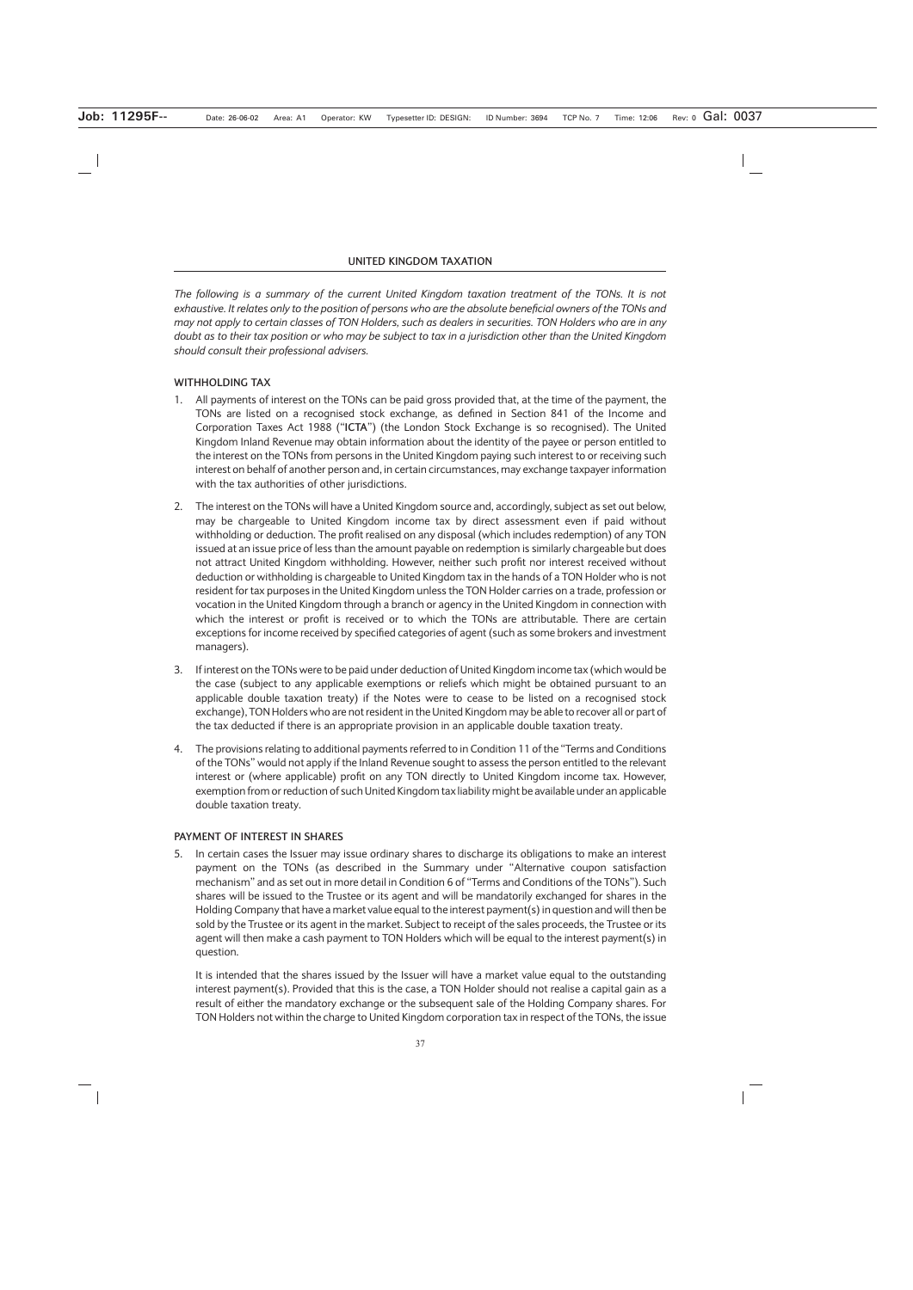### **UNITED KINGDOM TAXATION**

*The following is a summary of the current United Kingdom taxation treatment of the TONs. It is not exhaustive. It relates only to the position of persons who are the absolute beneficial owners of the TONs and may not apply to certain classes of TON Holders, such as dealers in securities. TON Holders who are in any doubt as to their tax position or who may be subject to tax in a jurisdiction other than the United Kingdom should consult their professional advisers.*

# **WITHHOLDING TAX**

- 1. All payments of interest on the TONs can be paid gross provided that, at the time of the payment, the TONs are listed on a recognised stock exchange, as defined in Section 841 of the Income and Corporation Taxes Act 1988 ("**ICTA**") (the London Stock Exchange is so recognised). The United Kingdom Inland Revenue may obtain information about the identity of the payee or person entitled to the interest on the TONs from persons in the United Kingdom paying such interest to or receiving such interest on behalf of another person and, in certain circumstances, may exchange taxpayer information with the tax authorities of other jurisdictions.
- 2. The interest on the TONs will have a United Kingdom source and, accordingly, subject as set out below, may be chargeable to United Kingdom income tax by direct assessment even if paid without withholding or deduction. The profit realised on any disposal (which includes redemption) of any TON issued at an issue price of less than the amount payable on redemption is similarly chargeable but does not attract United Kingdom withholding. However, neither such profit nor interest received without deduction or withholding is chargeable to United Kingdom tax in the hands of a TON Holder who is not resident for tax purposes in the United Kingdom unless the TON Holder carries on a trade, profession or vocation in the United Kingdom through a branch or agency in the United Kingdom in connection with which the interest or profit is received or to which the TONs are attributable. There are certain exceptions for income received by specified categories of agent (such as some brokers and investment managers).
- 3. If interest on the TONs were to be paid under deduction of United Kingdom income tax (which would be the case (subject to any applicable exemptions or reliefs which might be obtained pursuant to an applicable double taxation treaty) if the Notes were to cease to be listed on a recognised stock exchange), TON Holders who are not resident in the United Kingdom may be able to recover all or part of the tax deducted if there is an appropriate provision in an applicable double taxation treaty.
- 4. The provisions relating to additional payments referred to in Condition 11 of the "Terms and Conditions of the TONs" would not apply if the Inland Revenue sought to assess the person entitled to the relevant interest or (where applicable) profit on any TON directly to United Kingdom income tax. However, exemption from or reduction of such United Kingdom tax liability might be available under an applicable double taxation treaty.

### **PAYMENT OF INTEREST IN SHARES**

5. In certain cases the Issuer may issue ordinary shares to discharge its obligations to make an interest payment on the TONs (as described in the Summary under "Alternative coupon satisfaction mechanism" and as set out in more detail in Condition 6 of "Terms and Conditions of the TONs"). Such shares will be issued to the Trustee or its agent and will be mandatorily exchanged for shares in the Holding Company that have a market value equal to the interest payment(s) in question and will then be sold by the Trustee or its agent in the market. Subject to receipt of the sales proceeds, the Trustee or its agent will then make a cash payment to TON Holders which will be equal to the interest payment(s) in question.

It is intended that the shares issued by the Issuer will have a market value equal to the outstanding interest payment(s). Provided that this is the case, a TON Holder should not realise a capital gain as a result of either the mandatory exchange or the subsequent sale of the Holding Company shares. For TON Holders not within the charge to United Kingdom corporation tax in respect of the TONs, the issue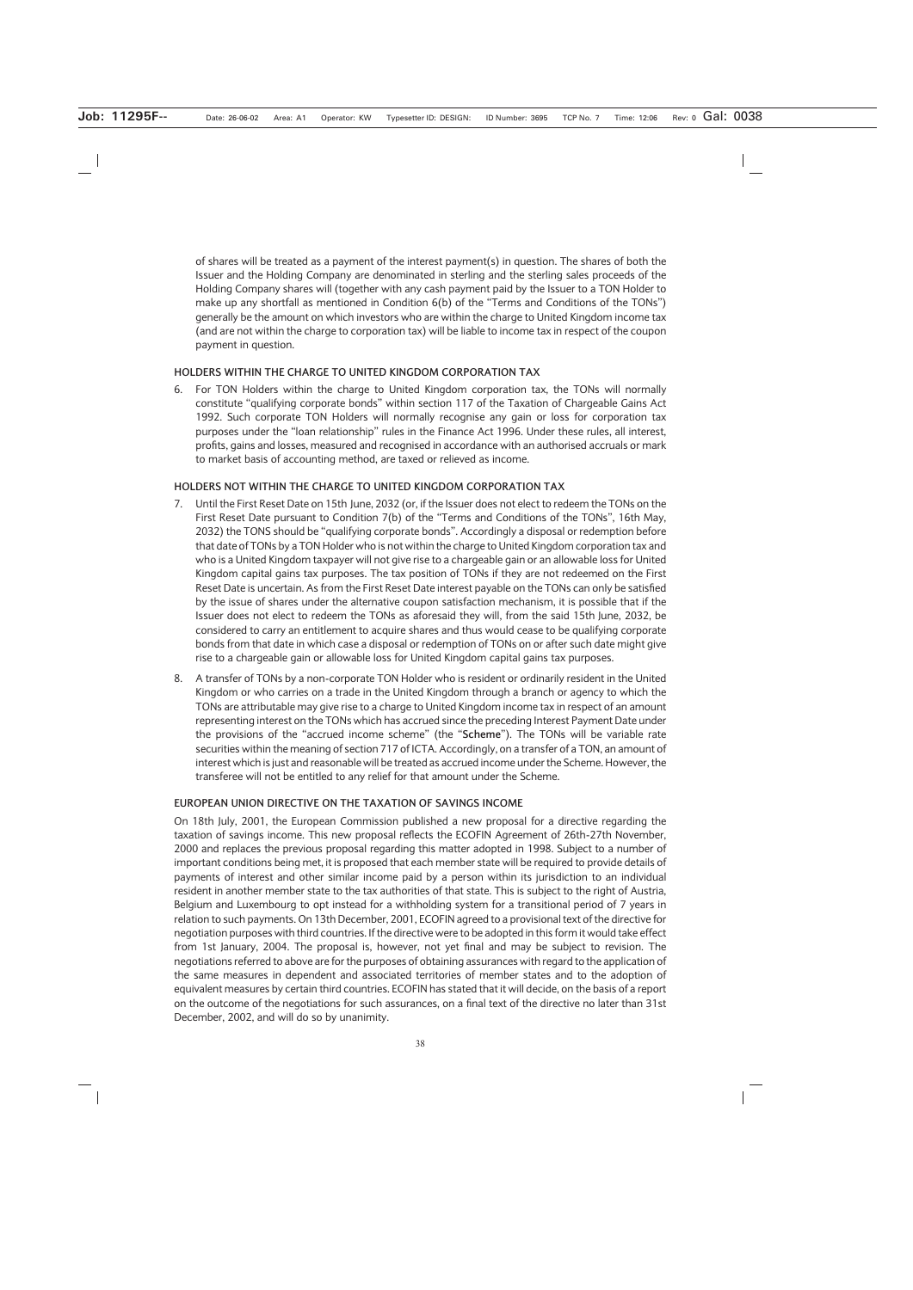of shares will be treated as a payment of the interest payment(s) in question. The shares of both the Issuer and the Holding Company are denominated in sterling and the sterling sales proceeds of the Holding Company shares will (together with any cash payment paid by the Issuer to a TON Holder to make up any shortfall as mentioned in Condition 6(b) of the "Terms and Conditions of the TONs") generally be the amount on which investors who are within the charge to United Kingdom income tax (and are not within the charge to corporation tax) will be liable to income tax in respect of the coupon payment in question.

### **HOLDERS WITHIN THE CHARGE TO UNITED KINGDOM CORPORATION TAX**

6. For TON Holders within the charge to United Kingdom corporation tax, the TONs will normally constitute "qualifying corporate bonds" within section 117 of the Taxation of Chargeable Gains Act 1992. Such corporate TON Holders will normally recognise any gain or loss for corporation tax purposes under the "loan relationship" rules in the Finance Act 1996. Under these rules, all interest, profits, gains and losses, measured and recognised in accordance with an authorised accruals or mark to market basis of accounting method, are taxed or relieved as income.

### **HOLDERS NOT WITHIN THE CHARGE TO UNITED KINGDOM CORPORATION TAX**

- 7. Until the First Reset Date on 15th June, 2032 (or, if the Issuer does not elect to redeem the TONs on the First Reset Date pursuant to Condition 7(b) of the "Terms and Conditions of the TONs", 16th May, 2032) the TONS should be "qualifying corporate bonds". Accordingly a disposal or redemption before that date of TONs by a TON Holder who is not within the charge to United Kingdom corporation tax and who is a United Kingdom taxpayer will not give rise to a chargeable gain or an allowable loss for United Kingdom capital gains tax purposes. The tax position of TONs if they are not redeemed on the First Reset Date is uncertain. As from the First Reset Date interest payable on the TONs can only be satisfied by the issue of shares under the alternative coupon satisfaction mechanism, it is possible that if the Issuer does not elect to redeem the TONs as aforesaid they will, from the said 15th June, 2032, be considered to carry an entitlement to acquire shares and thus would cease to be qualifying corporate bonds from that date in which case a disposal or redemption of TONs on or after such date might give rise to a chargeable gain or allowable loss for United Kingdom capital gains tax purposes.
- 8. A transfer of TONs by a non-corporate TON Holder who is resident or ordinarily resident in the United Kingdom or who carries on a trade in the United Kingdom through a branch or agency to which the TONs are attributable may give rise to a charge to United Kingdom income tax in respect of an amount representing interest on the TONs which has accrued since the preceding Interest Payment Date under the provisions of the "accrued income scheme" (the "**Scheme**"). The TONs will be variable rate securities within the meaning of section 717 of ICTA. Accordingly, on a transfer of a TON, an amount of interest which is just and reasonable will be treated as accrued income under the Scheme. However, the transferee will not be entitled to any relief for that amount under the Scheme.

### **EUROPEAN UNION DIRECTIVE ON THE TAXATION OF SAVINGS INCOME**

On 18th July, 2001, the European Commission published a new proposal for a directive regarding the taxation of savings income. This new proposal reflects the ECOFIN Agreement of 26th-27th November, 2000 and replaces the previous proposal regarding this matter adopted in 1998. Subject to a number of important conditions being met, it is proposed that each member state will be required to provide details of payments of interest and other similar income paid by a person within its jurisdiction to an individual resident in another member state to the tax authorities of that state. This is subject to the right of Austria, Belgium and Luxembourg to opt instead for a withholding system for a transitional period of 7 years in relation to such payments. On 13th December, 2001, ECOFIN agreed to a provisional text of the directive for negotiation purposes with third countries. If the directive were to be adopted in this form it would take effect from 1st January, 2004. The proposal is, however, not yet final and may be subject to revision. The negotiations referred to above are for the purposes of obtaining assurances with regard to the application of the same measures in dependent and associated territories of member states and to the adoption of equivalent measures by certain third countries. ECOFIN has stated that it will decide, on the basis of a report on the outcome of the negotiations for such assurances, on a final text of the directive no later than 31st December, 2002, and will do so by unanimity.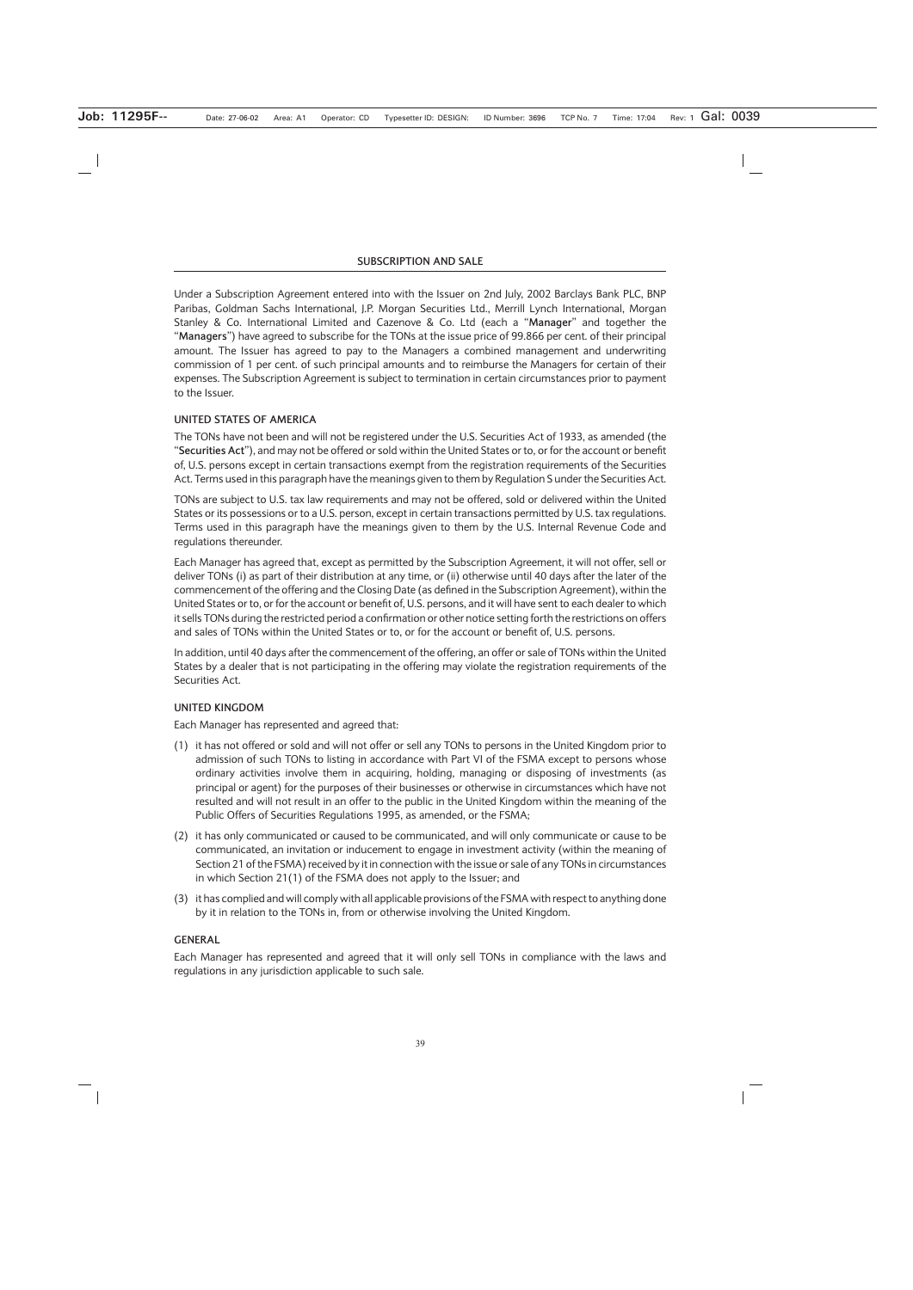Under a Subscription Agreement entered into with the Issuer on 2nd July, 2002 Barclays Bank PLC, BNP Paribas, Goldman Sachs International, J.P. Morgan Securities Ltd., Merrill Lynch International, Morgan Stanley & Co. International Limited and Cazenove & Co. Ltd (each a "**Manager**" and together the "**Managers**") have agreed to subscribe for the TONs at the issue price of 99.866 per cent. of their principal amount. The Issuer has agreed to pay to the Managers a combined management and underwriting commission of 1 per cent. of such principal amounts and to reimburse the Managers for certain of their expenses. The Subscription Agreement is subject to termination in certain circumstances prior to payment to the Issuer.

# **UNITED STATES OF AMERICA**

The TONs have not been and will not be registered under the U.S. Securities Act of 1933, as amended (the "**Securities Act**"), and may not be offered or sold within the United States or to, or for the account or benefit of, U.S. persons except in certain transactions exempt from the registration requirements of the Securities Act. Terms used in this paragraph have the meanings given to them by Regulation S under the Securities Act.

TONs are subject to U.S. tax law requirements and may not be offered, sold or delivered within the United States or its possessions or to a U.S. person, except in certain transactions permitted by U.S. tax regulations. Terms used in this paragraph have the meanings given to them by the U.S. Internal Revenue Code and regulations thereunder.

Each Manager has agreed that, except as permitted by the Subscription Agreement, it will not offer, sell or deliver TONs (i) as part of their distribution at any time, or (ii) otherwise until 40 days after the later of the commencement of the offering and the Closing Date (as defined in the Subscription Agreement), within the United States or to, or for the account or benefit of, U.S. persons, and it will have sent to each dealer to which it sells TONs during the restricted period a confirmation or other notice setting forth the restrictions on offers and sales of TONs within the United States or to, or for the account or benefit of, U.S. persons.

In addition, until 40 days after the commencement of the offering, an offer or sale of TONs within the United States by a dealer that is not participating in the offering may violate the registration requirements of the Securities Act.

### **UNITED KINGDOM**

Each Manager has represented and agreed that:

- (1) it has not offered or sold and will not offer or sell any TONs to persons in the United Kingdom prior to admission of such TONs to listing in accordance with Part VI of the FSMA except to persons whose ordinary activities involve them in acquiring, holding, managing or disposing of investments (as principal or agent) for the purposes of their businesses or otherwise in circumstances which have not resulted and will not result in an offer to the public in the United Kingdom within the meaning of the Public Offers of Securities Regulations 1995, as amended, or the FSMA;
- (2) it has only communicated or caused to be communicated, and will only communicate or cause to be communicated, an invitation or inducement to engage in investment activity (within the meaning of Section 21 of the FSMA) received by it in connection with the issue or sale of any TONs in circumstances in which Section 21(1) of the FSMA does not apply to the Issuer; and
- (3) it has complied and will comply with all applicable provisions of the FSMA with respect to anything done by it in relation to the TONs in, from or otherwise involving the United Kingdom.

# **GENERAL**

Each Manager has represented and agreed that it will only sell TONs in compliance with the laws and regulations in any jurisdiction applicable to such sale.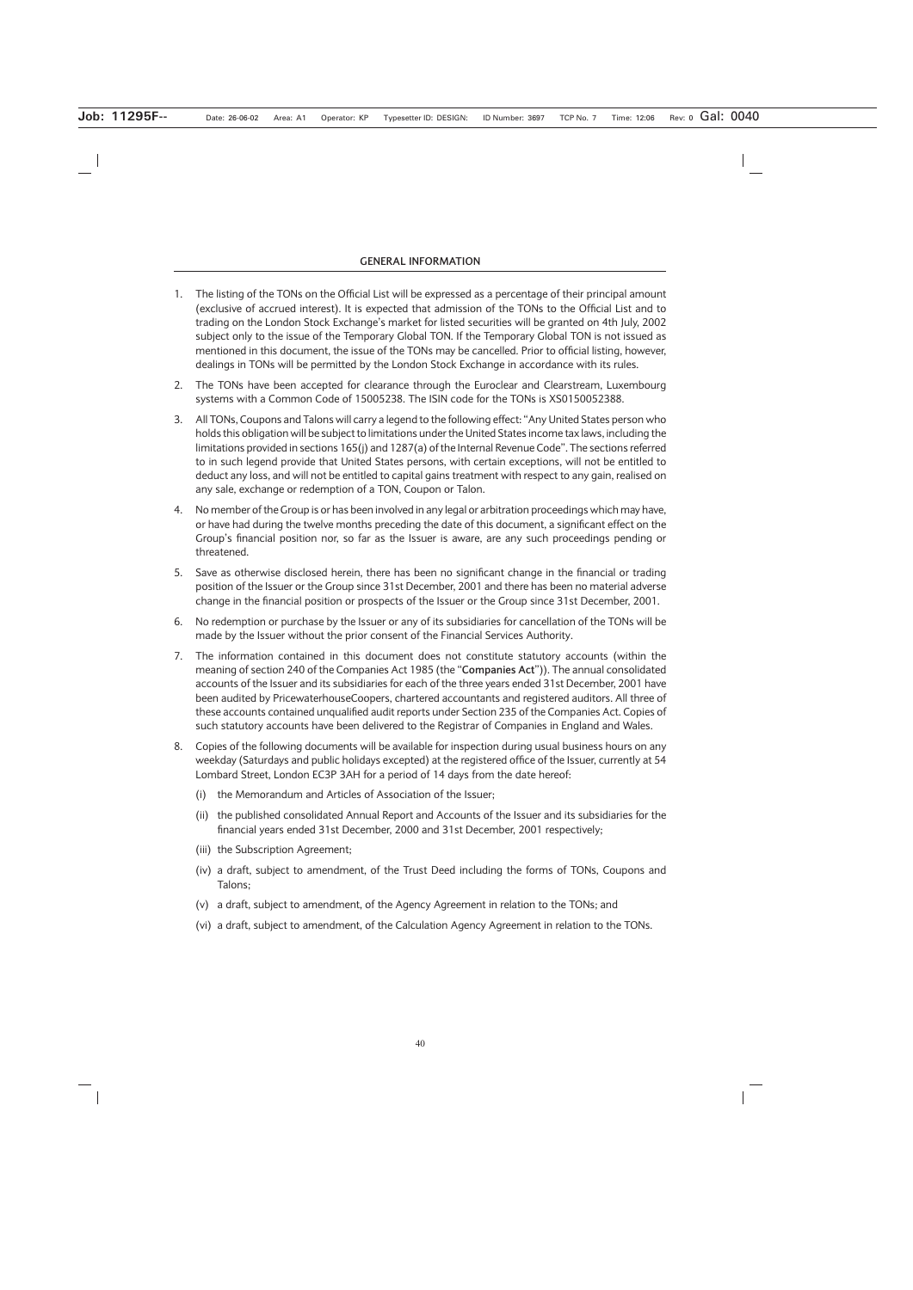#### **GENERAL INFORMATION**

- 1. The listing of the TONs on the Official List will be expressed as a percentage of their principal amount (exclusive of accrued interest). It is expected that admission of the TONs to the Official List and to trading on the London Stock Exchange's market for listed securities will be granted on 4th July, 2002 subject only to the issue of the Temporary Global TON. If the Temporary Global TON is not issued as mentioned in this document, the issue of the TONs may be cancelled. Prior to official listing, however, dealings in TONs will be permitted by the London Stock Exchange in accordance with its rules.
- 2. The TONs have been accepted for clearance through the Euroclear and Clearstream, Luxembourg systems with a Common Code of 15005238. The ISIN code for the TONs is XS0150052388.
- 3. All TONs, Coupons and Talons will carry a legend to the following effect: "Any United States person who holds this obligation will be subject to limitations under the United States income tax laws, including the limitations provided in sections 165(j) and 1287(a) of the Internal Revenue Code". The sections referred to in such legend provide that United States persons, with certain exceptions, will not be entitled to deduct any loss, and will not be entitled to capital gains treatment with respect to any gain, realised on any sale, exchange or redemption of a TON, Coupon or Talon.
- 4. No member of the Group is or has been involved in any legal or arbitration proceedings which may have, or have had during the twelve months preceding the date of this document, a significant effect on the Group's financial position nor, so far as the Issuer is aware, are any such proceedings pending or threatened.
- 5. Save as otherwise disclosed herein, there has been no significant change in the financial or trading position of the Issuer or the Group since 31st December, 2001 and there has been no material adverse change in the financial position or prospects of the Issuer or the Group since 31st December, 2001.
- 6. No redemption or purchase by the Issuer or any of its subsidiaries for cancellation of the TONs will be made by the Issuer without the prior consent of the Financial Services Authority.
- 7. The information contained in this document does not constitute statutory accounts (within the meaning of section 240 of the Companies Act 1985 (the "**Companies Act**")). The annual consolidated accounts of the Issuer and its subsidiaries for each of the three years ended 31st December, 2001 have been audited by PricewaterhouseCoopers, chartered accountants and registered auditors. All three of these accounts contained unqualified audit reports under Section 235 of the Companies Act. Copies of such statutory accounts have been delivered to the Registrar of Companies in England and Wales.
- 8. Copies of the following documents will be available for inspection during usual business hours on any weekday (Saturdays and public holidays excepted) at the registered office of the Issuer, currently at 54 Lombard Street, London EC3P 3AH for a period of 14 days from the date hereof:
	- (i) the Memorandum and Articles of Association of the Issuer;
	- (ii) the published consolidated Annual Report and Accounts of the Issuer and its subsidiaries for the financial years ended 31st December, 2000 and 31st December, 2001 respectively;
	- (iii) the Subscription Agreement;
	- (iv) a draft, subject to amendment, of the Trust Deed including the forms of TONs, Coupons and Talons;
	- (v) a draft, subject to amendment, of the Agency Agreement in relation to the TONs; and
	- (vi) a draft, subject to amendment, of the Calculation Agency Agreement in relation to the TONs.